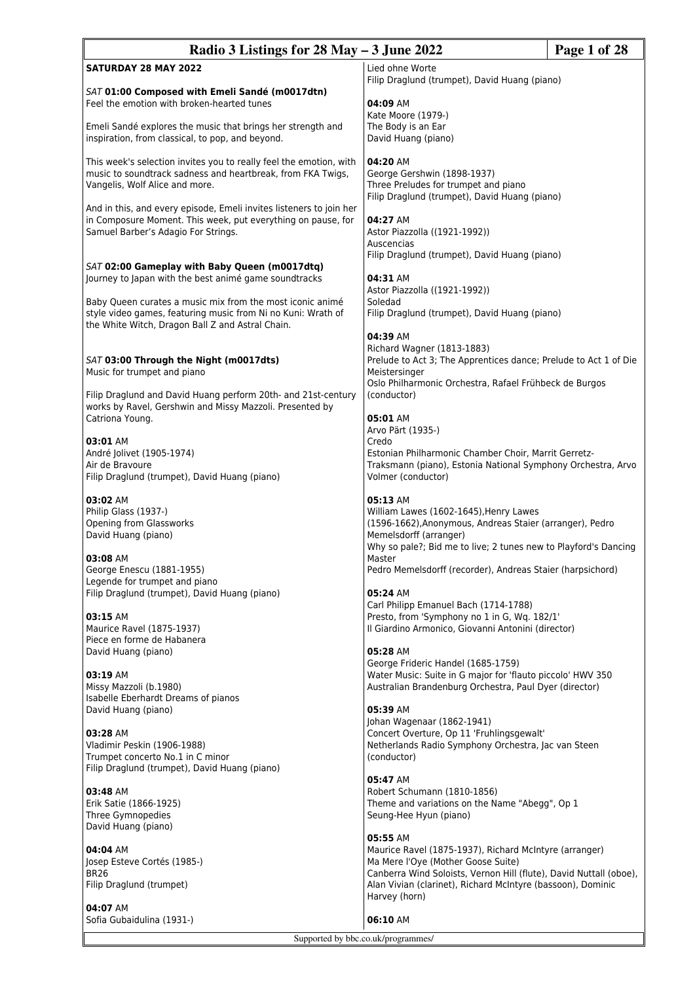| Page 1 of 28<br>Radio 3 Listings for 28 May – 3 June 2022                                                                 |                                                                                                          |  |
|---------------------------------------------------------------------------------------------------------------------------|----------------------------------------------------------------------------------------------------------|--|
| <b>SATURDAY 28 MAY 2022</b>                                                                                               | Lied ohne Worte<br>Filip Draglund (trumpet), David Huang (piano)                                         |  |
| SAT 01:00 Composed with Emeli Sandé (m0017dtn)                                                                            |                                                                                                          |  |
| Feel the emotion with broken-hearted tunes                                                                                | 04:09 AM                                                                                                 |  |
|                                                                                                                           | Kate Moore (1979-)                                                                                       |  |
| Emeli Sandé explores the music that brings her strength and                                                               | The Body is an Ear                                                                                       |  |
| inspiration, from classical, to pop, and beyond.                                                                          | David Huang (piano)                                                                                      |  |
| This week's selection invites you to really feel the emotion, with                                                        | 04:20 AM                                                                                                 |  |
| music to soundtrack sadness and heartbreak, from FKA Twigs,                                                               | George Gershwin (1898-1937)                                                                              |  |
| Vangelis, Wolf Alice and more.                                                                                            | Three Preludes for trumpet and piano                                                                     |  |
|                                                                                                                           | Filip Draglund (trumpet), David Huang (piano)                                                            |  |
| And in this, and every episode, Emeli invites listeners to join her                                                       |                                                                                                          |  |
| in Composure Moment. This week, put everything on pause, for<br>Samuel Barber's Adagio For Strings.                       | 04:27 AM                                                                                                 |  |
|                                                                                                                           | Astor Piazzolla ((1921-1992))<br>Auscencias                                                              |  |
|                                                                                                                           | Filip Draglund (trumpet), David Huang (piano)                                                            |  |
| SAT 02:00 Gameplay with Baby Queen (m0017dtq)                                                                             |                                                                                                          |  |
| Journey to Japan with the best animé game soundtracks                                                                     | 04:31 AM                                                                                                 |  |
|                                                                                                                           | Astor Piazzolla ((1921-1992))                                                                            |  |
| Baby Queen curates a music mix from the most iconic animé                                                                 | Soledad                                                                                                  |  |
| style video games, featuring music from Ni no Kuni: Wrath of<br>the White Witch, Dragon Ball Z and Astral Chain.          | Filip Draglund (trumpet), David Huang (piano)                                                            |  |
|                                                                                                                           | 04:39 AM                                                                                                 |  |
|                                                                                                                           | Richard Wagner (1813-1883)                                                                               |  |
| SAT 03:00 Through the Night (m0017dts)                                                                                    | Prelude to Act 3; The Apprentices dance; Prelude to Act 1 of Die                                         |  |
| Music for trumpet and piano                                                                                               | Meistersinger                                                                                            |  |
|                                                                                                                           | Oslo Philharmonic Orchestra, Rafael Frühbeck de Burgos                                                   |  |
| Filip Draglund and David Huang perform 20th- and 21st-century<br>works by Ravel, Gershwin and Missy Mazzoli. Presented by | (conductor)                                                                                              |  |
| Catriona Young.                                                                                                           | 05:01 AM                                                                                                 |  |
|                                                                                                                           | Arvo Pärt (1935-)                                                                                        |  |
| 03:01 AM                                                                                                                  | Credo                                                                                                    |  |
| André Jolivet (1905-1974)                                                                                                 | Estonian Philharmonic Chamber Choir, Marrit Gerretz-                                                     |  |
| Air de Bravoure                                                                                                           | Traksmann (piano), Estonia National Symphony Orchestra, Arvo                                             |  |
| Filip Draglund (trumpet), David Huang (piano)                                                                             | Volmer (conductor)                                                                                       |  |
| 03:02 AM                                                                                                                  | 05:13 AM                                                                                                 |  |
| Philip Glass (1937-)                                                                                                      | William Lawes (1602-1645), Henry Lawes                                                                   |  |
| Opening from Glassworks                                                                                                   | (1596-1662), Anonymous, Andreas Staier (arranger), Pedro                                                 |  |
| David Huang (piano)                                                                                                       | Memelsdorff (arranger)                                                                                   |  |
|                                                                                                                           | Why so pale?; Bid me to live; 2 tunes new to Playford's Dancing                                          |  |
| 03:08 AM<br>George Enescu (1881-1955)                                                                                     | Master<br>Pedro Memelsdorff (recorder), Andreas Staier (harpsichord)                                     |  |
| Legende for trumpet and piano                                                                                             |                                                                                                          |  |
| Filip Draglund (trumpet), David Huang (piano)                                                                             | 05:24 AM                                                                                                 |  |
|                                                                                                                           | Carl Philipp Emanuel Bach (1714-1788)                                                                    |  |
| 03:15 AM                                                                                                                  | Presto, from 'Symphony no 1 in G, Wq. 182/1'                                                             |  |
| Maurice Ravel (1875-1937)<br>Piece en forme de Habanera                                                                   | Il Giardino Armonico, Giovanni Antonini (director)                                                       |  |
| David Huang (piano)                                                                                                       | 05:28 AM                                                                                                 |  |
|                                                                                                                           | George Frideric Handel (1685-1759)                                                                       |  |
| 03:19 AM                                                                                                                  | Water Music: Suite in G major for 'flauto piccolo' HWV 350                                               |  |
| Missy Mazzoli (b.1980)                                                                                                    | Australian Brandenburg Orchestra, Paul Dyer (director)                                                   |  |
| Isabelle Eberhardt Dreams of pianos                                                                                       |                                                                                                          |  |
| David Huang (piano)                                                                                                       | 05:39 AM<br>Johan Wagenaar (1862-1941)                                                                   |  |
| 03:28 AM                                                                                                                  | Concert Overture, Op 11 'Fruhlingsgewalt'                                                                |  |
| Vladimir Peskin (1906-1988)                                                                                               | Netherlands Radio Symphony Orchestra, Jac van Steen                                                      |  |
| Trumpet concerto No.1 in C minor                                                                                          | (conductor)                                                                                              |  |
| Filip Draglund (trumpet), David Huang (piano)                                                                             |                                                                                                          |  |
| 03:48 AM                                                                                                                  | 05:47 AM                                                                                                 |  |
| Erik Satie (1866-1925)                                                                                                    | Robert Schumann (1810-1856)<br>Theme and variations on the Name "Abegg", Op 1                            |  |
| Three Gymnopedies                                                                                                         | Seung-Hee Hyun (piano)                                                                                   |  |
| David Huang (piano)                                                                                                       |                                                                                                          |  |
|                                                                                                                           | 05:55 AM                                                                                                 |  |
| 04:04 AM                                                                                                                  | Maurice Ravel (1875-1937), Richard McIntyre (arranger)                                                   |  |
| Josep Esteve Cortés (1985-)<br><b>BR26</b>                                                                                | Ma Mere l'Oye (Mother Goose Suite)<br>Canberra Wind Soloists, Vernon Hill (flute), David Nuttall (oboe), |  |
| Filip Draglund (trumpet)                                                                                                  | Alan Vivian (clarinet), Richard McIntyre (bassoon), Dominic                                              |  |
|                                                                                                                           | Harvey (horn)                                                                                            |  |
| 04:07 AM                                                                                                                  |                                                                                                          |  |
| Sofia Gubaidulina (1931-)                                                                                                 | 06:10 AM                                                                                                 |  |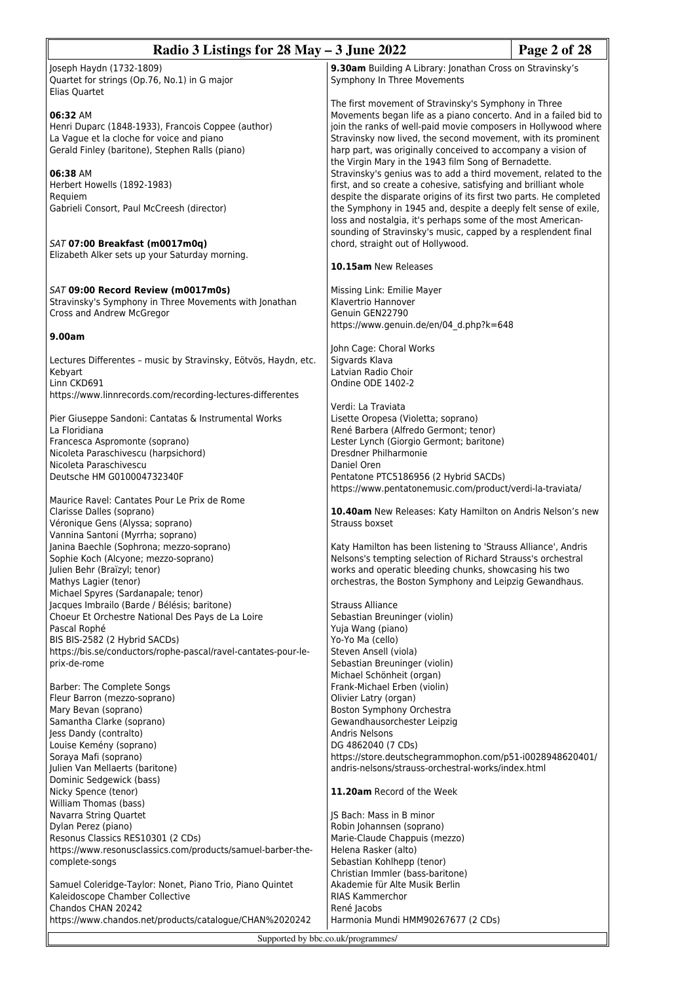| Radio 3 Listings for 28 May – 3 June 2022<br>Page 2 of 28                                                                                                      |                                                                                                                                                                                                                                                                                                                             |  |
|----------------------------------------------------------------------------------------------------------------------------------------------------------------|-----------------------------------------------------------------------------------------------------------------------------------------------------------------------------------------------------------------------------------------------------------------------------------------------------------------------------|--|
| Joseph Haydn (1732-1809)<br>Quartet for strings (Op.76, No.1) in G major<br>Elias Quartet                                                                      | 9.30am Building A Library: Jonathan Cross on Stravinsky's<br>Symphony In Three Movements                                                                                                                                                                                                                                    |  |
| 06:32 AM<br>Henri Duparc (1848-1933), Francois Coppee (author)<br>La Vague et la cloche for voice and piano<br>Gerald Finley (baritone), Stephen Ralls (piano) | The first movement of Stravinsky's Symphony in Three<br>Movements began life as a piano concerto. And in a failed bid to<br>join the ranks of well-paid movie composers in Hollywood where<br>Stravinsky now lived, the second movement, with its prominent<br>harp part, was originally conceived to accompany a vision of |  |
| 06:38 AM<br>Herbert Howells (1892-1983)<br>Requiem<br>Gabrieli Consort, Paul McCreesh (director)                                                               | the Virgin Mary in the 1943 film Song of Bernadette.<br>Stravinsky's genius was to add a third movement, related to the<br>first, and so create a cohesive, satisfying and brilliant whole<br>despite the disparate origins of its first two parts. He completed                                                            |  |
| SAT 07:00 Breakfast (m0017m0q)                                                                                                                                 | the Symphony in 1945 and, despite a deeply felt sense of exile,<br>loss and nostalgia, it's perhaps some of the most American-<br>sounding of Stravinsky's music, capped by a resplendent final<br>chord, straight out of Hollywood.                                                                                        |  |
| Elizabeth Alker sets up your Saturday morning.                                                                                                                 | 10.15am New Releases                                                                                                                                                                                                                                                                                                        |  |
| SAT 09:00 Record Review (m0017m0s)<br>Stravinsky's Symphony in Three Movements with Jonathan<br>Cross and Andrew McGregor<br>9.00am                            | Missing Link: Emilie Mayer<br>Klavertrio Hannover<br>Genuin GEN22790<br>https://www.genuin.de/en/04_d.php?k=648                                                                                                                                                                                                             |  |
|                                                                                                                                                                | John Cage: Choral Works                                                                                                                                                                                                                                                                                                     |  |
| Lectures Differentes - music by Stravinsky, Eötvös, Haydn, etc.<br>Kebyart                                                                                     | Sigvards Klava<br>Latvian Radio Choir                                                                                                                                                                                                                                                                                       |  |
| Linn CKD691<br>https://www.linnrecords.com/recording-lectures-differentes                                                                                      | Ondine ODE 1402-2                                                                                                                                                                                                                                                                                                           |  |
|                                                                                                                                                                | Verdi: La Traviata<br>Lisette Oropesa (Violetta; soprano)                                                                                                                                                                                                                                                                   |  |
| Pier Giuseppe Sandoni: Cantatas & Instrumental Works<br>La Floridiana                                                                                          | René Barbera (Alfredo Germont; tenor)                                                                                                                                                                                                                                                                                       |  |
| Francesca Aspromonte (soprano)<br>Nicoleta Paraschivescu (harpsichord)                                                                                         | Lester Lynch (Giorgio Germont; baritone)<br>Dresdner Philharmonie                                                                                                                                                                                                                                                           |  |
| Nicoleta Paraschivescu                                                                                                                                         | Daniel Oren                                                                                                                                                                                                                                                                                                                 |  |
| Deutsche HM G010004732340F                                                                                                                                     | Pentatone PTC5186956 (2 Hybrid SACDs)<br>https://www.pentatonemusic.com/product/verdi-la-traviata/                                                                                                                                                                                                                          |  |
| Maurice Ravel: Cantates Pour Le Prix de Rome                                                                                                                   |                                                                                                                                                                                                                                                                                                                             |  |
| Clarisse Dalles (soprano)<br>Véronique Gens (Alyssa; soprano)                                                                                                  | 10.40am New Releases: Katy Hamilton on Andris Nelson's new<br>Strauss boxset                                                                                                                                                                                                                                                |  |
| Vannina Santoni (Myrrha; soprano)                                                                                                                              |                                                                                                                                                                                                                                                                                                                             |  |
| Janina Baechle (Sophrona; mezzo-soprano)<br>Sophie Koch (Alcyone; mezzo-soprano)                                                                               | Katy Hamilton has been listening to 'Strauss Alliance', Andris<br>Nelsons's tempting selection of Richard Strauss's orchestral                                                                                                                                                                                              |  |
| Julien Behr (Braïzyl; tenor)                                                                                                                                   | works and operatic bleeding chunks, showcasing his two                                                                                                                                                                                                                                                                      |  |
| Mathys Lagier (tenor)<br>Michael Spyres (Sardanapale; tenor)                                                                                                   | orchestras, the Boston Symphony and Leipzig Gewandhaus.                                                                                                                                                                                                                                                                     |  |
| Jacques Imbrailo (Barde / Bélésis; baritone)                                                                                                                   | <b>Strauss Alliance</b>                                                                                                                                                                                                                                                                                                     |  |
| Choeur Et Orchestre National Des Pays de La Loire                                                                                                              | Sebastian Breuninger (violin)                                                                                                                                                                                                                                                                                               |  |
| Pascal Rophé<br>BIS BIS-2582 (2 Hybrid SACDs)                                                                                                                  | Yuja Wang (piano)<br>Yo-Yo Ma (cello)                                                                                                                                                                                                                                                                                       |  |
| https://bis.se/conductors/rophe-pascal/ravel-cantates-pour-le-                                                                                                 | Steven Ansell (viola)                                                                                                                                                                                                                                                                                                       |  |
| prix-de-rome                                                                                                                                                   | Sebastian Breuninger (violin)<br>Michael Schönheit (organ)                                                                                                                                                                                                                                                                  |  |
| Barber: The Complete Songs                                                                                                                                     | Frank-Michael Erben (violin)                                                                                                                                                                                                                                                                                                |  |
| Fleur Barron (mezzo-soprano)                                                                                                                                   | Olivier Latry (organ)                                                                                                                                                                                                                                                                                                       |  |
| Mary Bevan (soprano)<br>Samantha Clarke (soprano)                                                                                                              | Boston Symphony Orchestra<br>Gewandhausorchester Leipzig                                                                                                                                                                                                                                                                    |  |
| Jess Dandy (contralto)                                                                                                                                         | Andris Nelsons                                                                                                                                                                                                                                                                                                              |  |
| Louise Kemény (soprano)                                                                                                                                        | DG 4862040 (7 CDs)                                                                                                                                                                                                                                                                                                          |  |
| Soraya Mafi (soprano)<br>Julien Van Mellaerts (baritone)                                                                                                       | https://store.deutschegrammophon.com/p51-i0028948620401/<br>andris-nelsons/strauss-orchestral-works/index.html                                                                                                                                                                                                              |  |
| Dominic Sedgewick (bass)                                                                                                                                       |                                                                                                                                                                                                                                                                                                                             |  |
| Nicky Spence (tenor)<br>William Thomas (bass)                                                                                                                  | 11.20am Record of the Week                                                                                                                                                                                                                                                                                                  |  |
| Navarra String Quartet                                                                                                                                         | JS Bach: Mass in B minor                                                                                                                                                                                                                                                                                                    |  |
| Dylan Perez (piano)                                                                                                                                            | Robin Johannsen (soprano)                                                                                                                                                                                                                                                                                                   |  |
| Resonus Classics RES10301 (2 CDs)<br>https://www.resonusclassics.com/products/samuel-barber-the-                                                               | Marie-Claude Chappuis (mezzo)<br>Helena Rasker (alto)                                                                                                                                                                                                                                                                       |  |
| complete-songs                                                                                                                                                 | Sebastian Kohlhepp (tenor)                                                                                                                                                                                                                                                                                                  |  |
| Samuel Coleridge-Taylor: Nonet, Piano Trio, Piano Quintet                                                                                                      | Christian Immler (bass-baritone)<br>Akademie für Alte Musik Berlin                                                                                                                                                                                                                                                          |  |
| Kaleidoscope Chamber Collective                                                                                                                                | <b>RIAS Kammerchor</b>                                                                                                                                                                                                                                                                                                      |  |
| Chandos CHAN 20242                                                                                                                                             | René Jacobs                                                                                                                                                                                                                                                                                                                 |  |
| https://www.chandos.net/products/catalogue/CHAN%2020242                                                                                                        | Harmonia Mundi HMM90267677 (2 CDs)                                                                                                                                                                                                                                                                                          |  |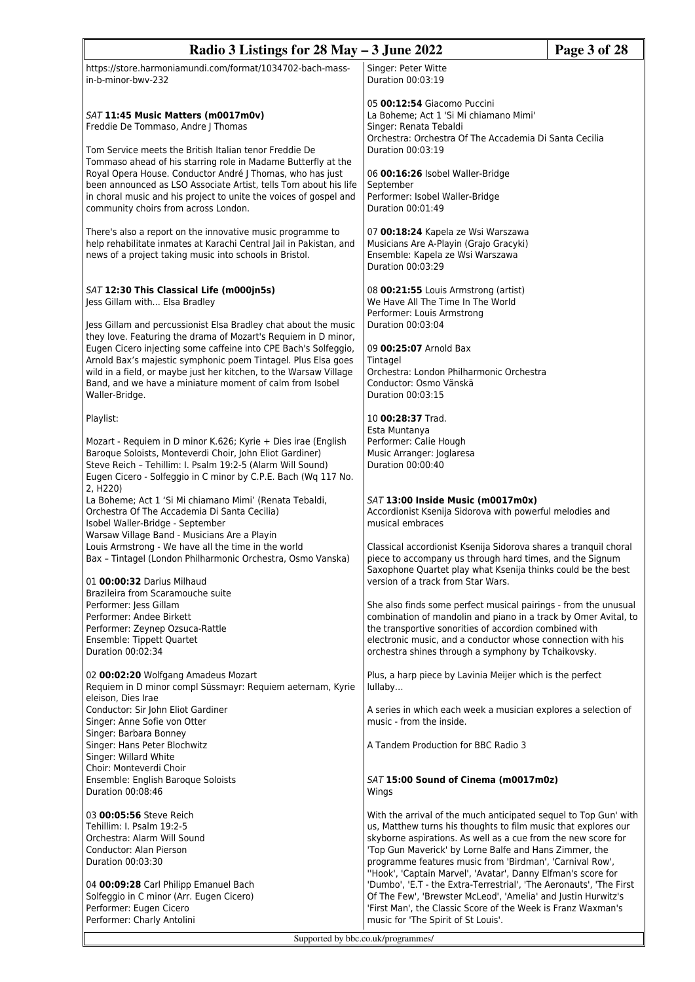| Page 3 of 28<br>Radio 3 Listings for 28 May – 3 June 2022                                                                                                                                                                                                             |                                                                                                                                                                                                      |  |
|-----------------------------------------------------------------------------------------------------------------------------------------------------------------------------------------------------------------------------------------------------------------------|------------------------------------------------------------------------------------------------------------------------------------------------------------------------------------------------------|--|
| https://store.harmoniamundi.com/format/1034702-bach-mass-<br>in-b-minor-bwy-232                                                                                                                                                                                       | Singer: Peter Witte<br>Duration 00:03:19                                                                                                                                                             |  |
|                                                                                                                                                                                                                                                                       | 05 00:12:54 Giacomo Puccini                                                                                                                                                                          |  |
| SAT 11:45 Music Matters (m0017m0v)<br>Freddie De Tommaso, Andre J Thomas                                                                                                                                                                                              | La Boheme; Act 1 'Si Mi chiamano Mimi'<br>Singer: Renata Tebaldi<br>Orchestra: Orchestra Of The Accademia Di Santa Cecilia                                                                           |  |
| Tom Service meets the British Italian tenor Freddie De<br>Tommaso ahead of his starring role in Madame Butterfly at the                                                                                                                                               | Duration 00:03:19                                                                                                                                                                                    |  |
| Royal Opera House. Conductor André J Thomas, who has just<br>been announced as LSO Associate Artist, tells Tom about his life                                                                                                                                         | 06 00:16:26 Isobel Waller-Bridge<br>September                                                                                                                                                        |  |
| in choral music and his project to unite the voices of gospel and<br>community choirs from across London.                                                                                                                                                             | Performer: Isobel Waller-Bridge<br>Duration 00:01:49                                                                                                                                                 |  |
| There's also a report on the innovative music programme to<br>help rehabilitate inmates at Karachi Central Jail in Pakistan, and<br>news of a project taking music into schools in Bristol.                                                                           | 07 00:18:24 Kapela ze Wsi Warszawa<br>Musicians Are A-Playin (Grajo Gracyki)<br>Ensemble: Kapela ze Wsi Warszawa<br>Duration 00:03:29                                                                |  |
| SAT 12:30 This Classical Life (m000jn5s)<br>Jess Gillam with Elsa Bradley                                                                                                                                                                                             | 08 00:21:55 Louis Armstrong (artist)<br>We Have All The Time In The World<br>Performer: Louis Armstrong                                                                                              |  |
| Jess Gillam and percussionist Elsa Bradley chat about the music<br>they love. Featuring the drama of Mozart's Requiem in D minor,                                                                                                                                     | Duration 00:03:04                                                                                                                                                                                    |  |
| Eugen Cicero injecting some caffeine into CPE Bach's Solfeggio,<br>Arnold Bax's majestic symphonic poem Tintagel. Plus Elsa goes<br>wild in a field, or maybe just her kitchen, to the Warsaw Village                                                                 | 09 00:25:07 Arnold Bax<br>Tintagel<br>Orchestra: London Philharmonic Orchestra                                                                                                                       |  |
| Band, and we have a miniature moment of calm from Isobel<br>Waller-Bridge.                                                                                                                                                                                            | Conductor: Osmo Vänskä<br>Duration 00:03:15                                                                                                                                                          |  |
| Playlist:                                                                                                                                                                                                                                                             | 10 00:28:37 Trad.<br>Esta Muntanya                                                                                                                                                                   |  |
| Mozart - Requiem in D minor K.626; Kyrie + Dies irae (English<br>Baroque Soloists, Monteverdi Choir, John Eliot Gardiner)<br>Steve Reich - Tehillim: I. Psalm 19:2-5 (Alarm Will Sound)<br>Eugen Cicero - Solfeggio in C minor by C.P.E. Bach (Wq 117 No.<br>2, H220) | Performer: Calie Hough<br>Music Arranger: Joglaresa<br>Duration 00:00:40                                                                                                                             |  |
| La Boheme; Act 1 'Si Mi chiamano Mimi' (Renata Tebaldi,<br>Orchestra Of The Accademia Di Santa Cecilia)<br>Isobel Waller-Bridge - September<br>Warsaw Village Band - Musicians Are a Playin                                                                           | SAT 13:00 Inside Music (m0017m0x)<br>Accordionist Ksenija Sidorova with powerful melodies and<br>musical embraces                                                                                    |  |
| Louis Armstrong - We have all the time in the world<br>Bax - Tintagel (London Philharmonic Orchestra, Osmo Vanska)                                                                                                                                                    | Classical accordionist Ksenija Sidorova shares a tranquil choral<br>piece to accompany us through hard times, and the Signum<br>Saxophone Quartet play what Ksenija thinks could be the best         |  |
| 01 <b>00:00:32</b> Darius Milhaud<br>Brazileira from Scaramouche suite<br>Performer: Jess Gillam                                                                                                                                                                      | version of a track from Star Wars.<br>She also finds some perfect musical pairings - from the unusual                                                                                                |  |
| Performer: Andee Birkett<br>Performer: Zeynep Ozsuca-Rattle                                                                                                                                                                                                           | combination of mandolin and piano in a track by Omer Avital, to<br>the transportive sonorities of accordion combined with                                                                            |  |
| Ensemble: Tippett Quartet<br>Duration 00:02:34                                                                                                                                                                                                                        | electronic music, and a conductor whose connection with his<br>orchestra shines through a symphony by Tchaikovsky.                                                                                   |  |
| 02 00:02:20 Wolfgang Amadeus Mozart<br>Requiem in D minor compl Süssmayr: Requiem aeternam, Kyrie<br>eleison, Dies Irae                                                                                                                                               | Plus, a harp piece by Lavinia Meijer which is the perfect<br>lullaby                                                                                                                                 |  |
| Conductor: Sir John Eliot Gardiner<br>Singer: Anne Sofie von Otter                                                                                                                                                                                                    | A series in which each week a musician explores a selection of<br>music - from the inside.                                                                                                           |  |
| Singer: Barbara Bonney<br>Singer: Hans Peter Blochwitz<br>Singer: Willard White                                                                                                                                                                                       | A Tandem Production for BBC Radio 3                                                                                                                                                                  |  |
| Choir: Monteverdi Choir<br>Ensemble: English Baroque Soloists                                                                                                                                                                                                         | SAT 15:00 Sound of Cinema (m0017m0z)                                                                                                                                                                 |  |
| Duration 00:08:46                                                                                                                                                                                                                                                     | Wings                                                                                                                                                                                                |  |
| 03 00:05:56 Steve Reich<br>Tehillim: I. Psalm 19:2-5<br>Orchestra: Alarm Will Sound                                                                                                                                                                                   | With the arrival of the much anticipated sequel to Top Gun' with<br>us, Matthew turns his thoughts to film music that explores our<br>skyborne aspirations. As well as a cue from the new score for  |  |
| Conductor: Alan Pierson<br>Duration 00:03:30                                                                                                                                                                                                                          | 'Top Gun Maverick' by Lorne Balfe and Hans Zimmer, the<br>programme features music from 'Birdman', 'Carnival Row',<br>"Hook', 'Captain Marvel', 'Avatar', Danny Elfman's score for                   |  |
| 04 00:09:28 Carl Philipp Emanuel Bach<br>Solfeggio in C minor (Arr. Eugen Cicero)<br>Performer: Eugen Cicero                                                                                                                                                          | 'Dumbo', 'E.T - the Extra-Terrestrial', 'The Aeronauts', 'The First<br>Of The Few', 'Brewster McLeod', 'Amelia' and Justin Hurwitz's<br>'First Man', the Classic Score of the Week is Franz Waxman's |  |
| Performer: Charly Antolini                                                                                                                                                                                                                                            | music for 'The Spirit of St Louis'.<br>Cunnerted by bho ao uklnrogrammool                                                                                                                            |  |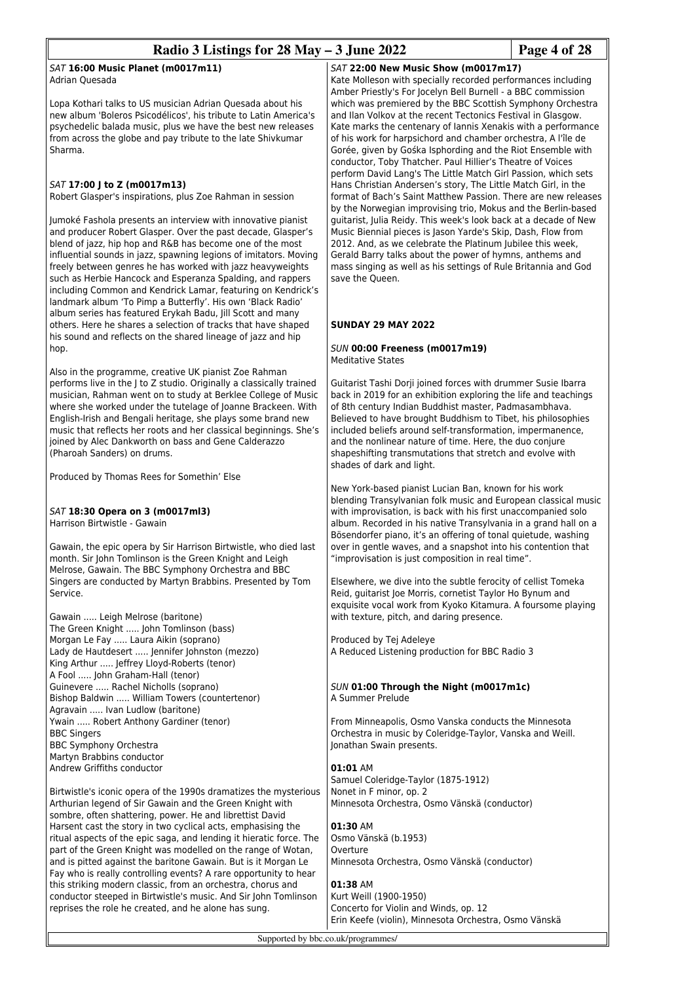# **Radio 3 Listings for 28 May – 3 June 2022 Page 4 of 28**

#### *SAT* **16:00 Music Planet (m0017m11)** Adrian Quesada

Lopa Kothari talks to US musician Adrian Quesada about his new album 'Boleros Psicodélicos', his tribute to Latin America's psychedelic balada music, plus we have the best new releases from across the globe and pay tribute to the late Shivkumar Sharma.

# *SAT* **17:00 J to Z (m0017m13)**

Robert Glasper's inspirations, plus Zoe Rahman in session

Jumoké Fashola presents an interview with innovative pianist and producer Robert Glasper. Over the past decade, Glasper's blend of jazz, hip hop and R&B has become one of the most influential sounds in jazz, spawning legions of imitators. Moving freely between genres he has worked with jazz heavyweights such as Herbie Hancock and Esperanza Spalding, and rappers including Common and Kendrick Lamar, featuring on Kendrick's landmark album 'To Pimp a Butterfly'. His own 'Black Radio' album series has featured Erykah Badu, Jill Scott and many others. Here he shares a selection of tracks that have shaped his sound and reflects on the shared lineage of jazz and hip hop.

Also in the programme, creative UK pianist Zoe Rahman performs live in the J to Z studio. Originally a classically trained musician, Rahman went on to study at Berklee College of Music where she worked under the tutelage of Joanne Brackeen. With English-Irish and Bengali heritage, she plays some brand new music that reflects her roots and her classical beginnings. She's joined by Alec Dankworth on bass and Gene Calderazzo (Pharoah Sanders) on drums.

Produced by Thomas Rees for Somethin' Else

# *SAT* **18:30 Opera on 3 (m0017ml3)** Harrison Birtwistle - Gawain

Gawain, the epic opera by Sir Harrison Birtwistle, who died last month. Sir John Tomlinson is the Green Knight and Leigh Melrose, Gawain. The BBC Symphony Orchestra and BBC Singers are conducted by Martyn Brabbins. Presented by Tom Service.

Gawain ..... Leigh Melrose (baritone) The Green Knight ..... John Tomlinson (bass) Morgan Le Fay ..... Laura Aikin (soprano) Lady de Hautdesert ..... Jennifer Johnston (mezzo) King Arthur ..... Jeffrey Lloyd-Roberts (tenor) A Fool ..... John Graham-Hall (tenor) Guinevere ..... Rachel Nicholls (soprano) Bishop Baldwin ..... William Towers (countertenor) Agravain ..... Ivan Ludlow (baritone) Ywain ..... Robert Anthony Gardiner (tenor) BBC Singers BBC Symphony Orchestra Martyn Brabbins conductor Andrew Griffiths conductor

Birtwistle's iconic opera of the 1990s dramatizes the mysterious Arthurian legend of Sir Gawain and the Green Knight with sombre, often shattering, power. He and librettist David Harsent cast the story in two cyclical acts, emphasising the ritual aspects of the epic saga, and lending it hieratic force. The part of the Green Knight was modelled on the range of Wotan, and is pitted against the baritone Gawain. But is it Morgan Le Fay who is really controlling events? A rare opportunity to hear this striking modern classic, from an orchestra, chorus and conductor steeped in Birtwistle's music. And Sir John Tomlinson reprises the role he created, and he alone has sung.

# *SAT* **22:00 New Music Show (m0017m17)**

Kate Molleson with specially recorded performances including Amber Priestly's For Jocelyn Bell Burnell - a BBC commission which was premiered by the BBC Scottish Symphony Orchestra and Ilan Volkov at the recent Tectonics Festival in Glasgow. Kate marks the centenary of Iannis Xenakis with a performance of his work for harpsichord and chamber orchestra, A l'île de Gorée, given by Gośka Isphording and the Riot Ensemble with conductor, Toby Thatcher. Paul Hillier's Theatre of Voices perform David Lang's The Little Match Girl Passion, which sets Hans Christian Andersen's story, The Little Match Girl, in the format of Bach's Saint Matthew Passion. There are new releases by the Norwegian improvising trio, Mokus and the Berlin-based guitarist, Julia Reidy. This week's look back at a decade of New Music Biennial pieces is Jason Yarde's Skip, Dash, Flow from 2012. And, as we celebrate the Platinum Jubilee this week, Gerald Barry talks about the power of hymns, anthems and mass singing as well as his settings of Rule Britannia and God save the Queen.

# **SUNDAY 29 MAY 2022**

## *SUN* **00:00 Freeness (m0017m19)** Meditative States

Guitarist Tashi Dorii joined forces with drummer Susie Ibarra back in 2019 for an exhibition exploring the life and teachings of 8th century Indian Buddhist master, Padmasambhava. Believed to have brought Buddhism to Tibet, his philosophies included beliefs around self-transformation, impermanence, and the nonlinear nature of time. Here, the duo conjure shapeshifting transmutations that stretch and evolve with shades of dark and light.

New York-based pianist Lucian Ban, known for his work blending Transylvanian folk music and European classical music with improvisation, is back with his first unaccompanied solo album. Recorded in his native Transylvania in a grand hall on a Bösendorfer piano, it's an offering of tonal quietude, washing over in gentle waves, and a snapshot into his contention that "improvisation is just composition in real time".

Elsewhere, we dive into the subtle ferocity of cellist Tomeka Reid, guitarist Joe Morris, cornetist Taylor Ho Bynum and exquisite vocal work from Kyoko Kitamura. A foursome playing with texture, pitch, and daring presence.

Produced by Tej Adeleye A Reduced Listening production for BBC Radio 3

## *SUN* **01:00 Through the Night (m0017m1c)** A Summer Prelude

From Minneapolis, Osmo Vanska conducts the Minnesota Orchestra in music by Coleridge-Taylor, Vanska and Weill. Jonathan Swain presents.

# **01:01** AM

Samuel Coleridge-Taylor (1875-1912) Nonet in F minor, op. 2 Minnesota Orchestra, Osmo Vänskä (conductor)

# **01:30** AM

Osmo Vänskä (b.1953) **Overture** Minnesota Orchestra, Osmo Vänskä (conductor)

# **01:38** AM

Kurt Weill (1900-1950) Concerto for Violin and Winds, op. 12 Erin Keefe (violin), Minnesota Orchestra, Osmo Vänskä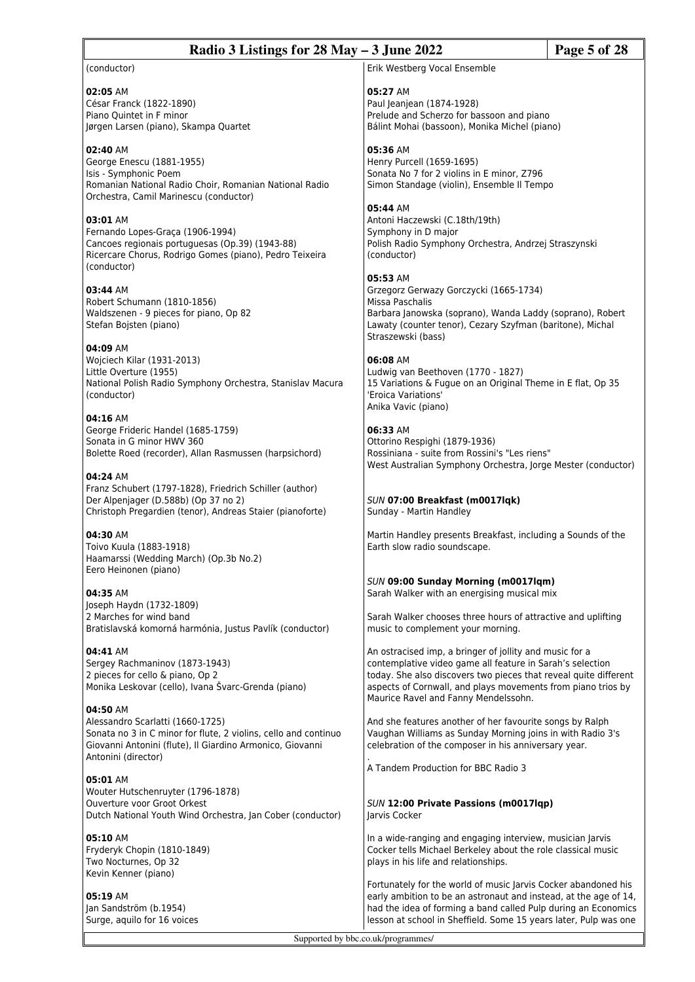# **Radio 3 Listings for 28 May – 3 June 2022 Page 5 of 28**

(conductor)

**02:05** AM César Franck (1822-1890) Piano Quintet in F minor Jørgen Larsen (piano), Skampa Quartet

**02:40** AM George Enescu (1881-1955) Isis - Symphonic Poem Romanian National Radio Choir, Romanian National Radio Orchestra, Camil Marinescu (conductor)

**03:01** AM Fernando Lopes-Graça (1906-1994) Cancoes regionais portuguesas (Op.39) (1943-88) Ricercare Chorus, Rodrigo Gomes (piano), Pedro Teixeira (conductor)

**03:44** AM Robert Schumann (1810-1856) Waldszenen - 9 pieces for piano, Op 82 Stefan Bojsten (piano)

**04:09** AM Wojciech Kilar (1931-2013) Little Overture (1955) National Polish Radio Symphony Orchestra, Stanislav Macura (conductor)

**04:16** AM George Frideric Handel (1685-1759) Sonata in G minor HWV 360 Bolette Roed (recorder), Allan Rasmussen (harpsichord)

**04:24** AM Franz Schubert (1797-1828), Friedrich Schiller (author) Der Alpenjager (D.588b) (Op 37 no 2) Christoph Pregardien (tenor), Andreas Staier (pianoforte)

**04:30** AM Toivo Kuula (1883-1918) Haamarssi (Wedding March) (Op.3b No.2) Eero Heinonen (piano)

**04:35** AM Joseph Haydn (1732-1809) 2 Marches for wind band Bratislavská komorná harmónia, Justus Pavlík (conductor)

**04:41** AM Sergey Rachmaninov (1873-1943) 2 pieces for cello & piano, Op 2 Monika Leskovar (cello), Ivana Švarc-Grenda (piano)

**04:50** AM Alessandro Scarlatti (1660-1725) Sonata no 3 in C minor for flute, 2 violins, cello and continuo Giovanni Antonini (flute), Il Giardino Armonico, Giovanni Antonini (director)

**05:01** AM Wouter Hutschenruyter (1796-1878) Ouverture voor Groot Orkest Dutch National Youth Wind Orchestra, Jan Cober (conductor)

**05:10** AM Fryderyk Chopin (1810-1849) Two Nocturnes, Op 32 Kevin Kenner (piano)

**05:19** AM Jan Sandström (b.1954) Surge, aquilo for 16 voices Erik Westberg Vocal Ensemble

**05:27** AM

Paul Jeanjean (1874-1928) Prelude and Scherzo for bassoon and piano Bálint Mohai (bassoon), Monika Michel (piano)

**05:36** AM Henry Purcell (1659-1695) Sonata No 7 for 2 violins in E minor, Z796 Simon Standage (violin), Ensemble Il Tempo

**05:44** AM Antoni Haczewski (C.18th/19th) Symphony in D major Polish Radio Symphony Orchestra, Andrzej Straszynski (conductor)

**05:53** AM Grzegorz Gerwazy Gorczycki (1665-1734) Missa Paschalis Barbara Janowska (soprano), Wanda Laddy (soprano), Robert Lawaty (counter tenor), Cezary Szyfman (baritone), Michal Straszewski (bass)

**06:08** AM Ludwig van Beethoven (1770 - 1827) 15 Variations & Fugue on an Original Theme in E flat, Op 35 'Eroica Variations' Anika Vavic (piano)

**06:33** AM Ottorino Respighi (1879-1936) Rossiniana - suite from Rossini's "Les riens" West Australian Symphony Orchestra, Jorge Mester (conductor)

*SUN* **07:00 Breakfast (m0017lqk)**

Sunday - Martin Handley

Martin Handley presents Breakfast, including a Sounds of the Earth slow radio soundscape.

*SUN* **09:00 Sunday Morning (m0017lqm)** Sarah Walker with an energising musical mix

Sarah Walker chooses three hours of attractive and uplifting music to complement your morning.

An ostracised imp, a bringer of jollity and music for a contemplative video game all feature in Sarah's selection today. She also discovers two pieces that reveal quite different aspects of Cornwall, and plays movements from piano trios by Maurice Ravel and Fanny Mendelssohn.

And she features another of her favourite songs by Ralph Vaughan Williams as Sunday Morning joins in with Radio 3's celebration of the composer in his anniversary year.

A Tandem Production for BBC Radio 3

*SUN* **12:00 Private Passions (m0017lqp)** Jarvis Cocker

In a wide-ranging and engaging interview, musician Jarvis Cocker tells Michael Berkeley about the role classical music plays in his life and relationships.

Fortunately for the world of music Jarvis Cocker abandoned his early ambition to be an astronaut and instead, at the age of 14, had the idea of forming a band called Pulp during an Economics lesson at school in Sheffield. Some 15 years later, Pulp was one

Supported by bbc.co.uk/programmes/

.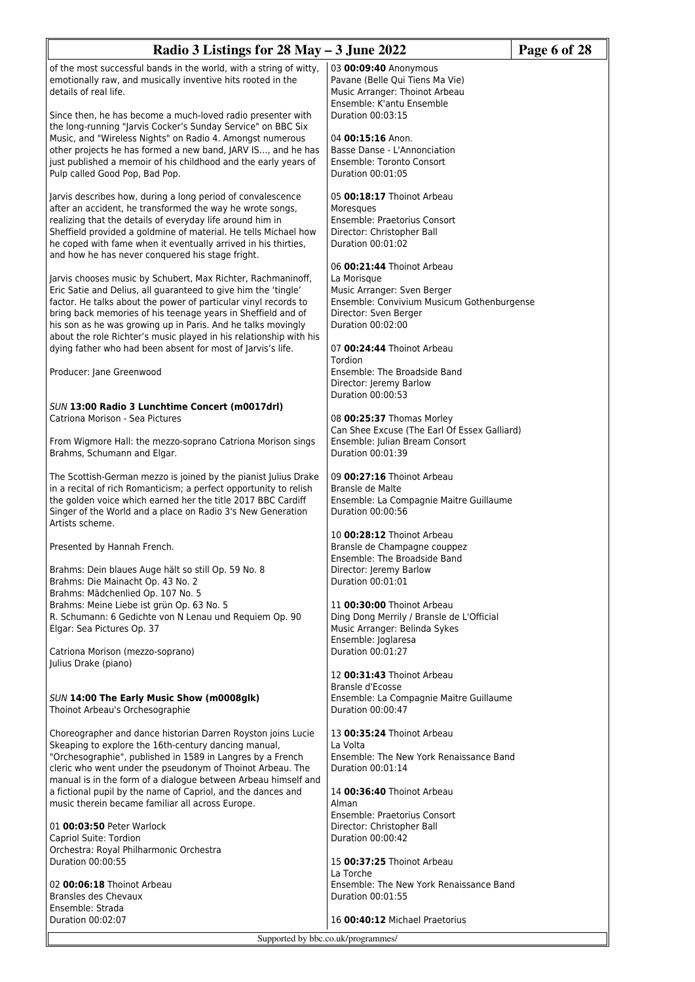| Radio 3 Listings for 28 May – 3 June 2022                                                                                                                                                                                                                                                                                                                                                                                                                              |                                                                                                                                                                                                    | Page 6 of 28 |
|------------------------------------------------------------------------------------------------------------------------------------------------------------------------------------------------------------------------------------------------------------------------------------------------------------------------------------------------------------------------------------------------------------------------------------------------------------------------|----------------------------------------------------------------------------------------------------------------------------------------------------------------------------------------------------|--------------|
| of the most successful bands in the world, with a string of witty,<br>emotionally raw, and musically inventive hits rooted in the<br>details of real life.                                                                                                                                                                                                                                                                                                             | 03 00:09:40 Anonymous<br>Pavane (Belle Oui Tiens Ma Vie)<br>Music Arranger: Thoinot Arbeau<br>Ensemble: K'antu Ensemble                                                                            |              |
| Since then, he has become a much-loved radio presenter with<br>the long-running "Jarvis Cocker's Sunday Service" on BBC Six<br>Music, and "Wireless Nights" on Radio 4. Amongst numerous                                                                                                                                                                                                                                                                               | Duration 00:03:15<br>04 00:15:16 Anon.                                                                                                                                                             |              |
| other projects he has formed a new band, JARV IS, and he has<br>just published a memoir of his childhood and the early years of<br>Pulp called Good Pop, Bad Pop.                                                                                                                                                                                                                                                                                                      | Basse Danse - L'Annonciation<br>Ensemble: Toronto Consort<br>Duration 00:01:05                                                                                                                     |              |
| Jarvis describes how, during a long period of convalescence<br>after an accident, he transformed the way he wrote songs,<br>realizing that the details of everyday life around him in<br>Sheffield provided a goldmine of material. He tells Michael how<br>he coped with fame when it eventually arrived in his thirties,<br>and how he has never conquered his stage fright.                                                                                         | 05 00:18:17 Thoinot Arbeau<br>Moresques<br>Ensemble: Praetorius Consort<br>Director: Christopher Ball<br>Duration 00:01:02                                                                         |              |
| Jarvis chooses music by Schubert, Max Richter, Rachmaninoff,<br>Eric Satie and Delius, all guaranteed to give him the 'tingle'<br>factor. He talks about the power of particular vinyl records to<br>bring back memories of his teenage years in Sheffield and of<br>his son as he was growing up in Paris. And he talks movingly<br>about the role Richter's music played in his relationship with his<br>dying father who had been absent for most of Jarvis's life. | 06 00:21:44 Thoinot Arbeau<br>La Morisque<br>Music Arranger: Sven Berger<br>Ensemble: Convivium Musicum Gothenburgense<br>Director: Sven Berger<br>Duration 00:02:00<br>07 00:24:44 Thoinot Arbeau |              |
| Producer: Jane Greenwood                                                                                                                                                                                                                                                                                                                                                                                                                                               | Tordion<br>Ensemble: The Broadside Band<br>Director: Jeremy Barlow                                                                                                                                 |              |
| SUN 13:00 Radio 3 Lunchtime Concert (m0017drl)<br>Catriona Morison - Sea Pictures                                                                                                                                                                                                                                                                                                                                                                                      | Duration 00:00:53<br>08 00:25:37 Thomas Morley<br>Can Shee Excuse (The Earl Of Essex Galliard)                                                                                                     |              |
| From Wigmore Hall: the mezzo-soprano Catriona Morison sings<br>Brahms, Schumann and Elgar.                                                                                                                                                                                                                                                                                                                                                                             | Ensemble: Julian Bream Consort<br>Duration 00:01:39                                                                                                                                                |              |
| The Scottish-German mezzo is joined by the pianist Julius Drake<br>in a recital of rich Romanticism; a perfect opportunity to relish<br>the golden voice which earned her the title 2017 BBC Cardiff<br>Singer of the World and a place on Radio 3's New Generation<br>Artists scheme.                                                                                                                                                                                 | 09 00:27:16 Thoinot Arbeau<br>Bransle de Malte<br>Ensemble: La Compagnie Maitre Guillaume<br>Duration 00:00:56                                                                                     |              |
| Presented by Hannah French.                                                                                                                                                                                                                                                                                                                                                                                                                                            | 10 00:28:12 Thoinot Arbeau<br>Bransle de Champagne couppez<br>Ensemble: The Broadside Band                                                                                                         |              |
| Brahms: Dein blaues Auge hält so still Op. 59 No. 8<br>Brahms: Die Mainacht Op. 43 No. 2<br>Brahms: Mädchenlied Op. 107 No. 5                                                                                                                                                                                                                                                                                                                                          | Director: Jeremy Barlow<br>Duration 00:01:01                                                                                                                                                       |              |
| Brahms: Meine Liebe ist grün Op. 63 No. 5<br>R. Schumann: 6 Gedichte von N Lenau und Requiem Op. 90<br>Elgar: Sea Pictures Op. 37                                                                                                                                                                                                                                                                                                                                      | 11 00:30:00 Thoinot Arbeau<br>Ding Dong Merrily / Bransle de L'Official<br>Music Arranger: Belinda Sykes<br>Ensemble: Joglaresa                                                                    |              |
| Catriona Morison (mezzo-soprano)<br>Julius Drake (piano)                                                                                                                                                                                                                                                                                                                                                                                                               | Duration 00:01:27                                                                                                                                                                                  |              |
| SUN 14:00 The Early Music Show (m0008glk)<br>Thoinot Arbeau's Orchesographie                                                                                                                                                                                                                                                                                                                                                                                           | 12 00:31:43 Thoinot Arbeau<br>Bransle d'Ecosse<br>Ensemble: La Compagnie Maitre Guillaume<br>Duration 00:00:47                                                                                     |              |
| Choreographer and dance historian Darren Royston joins Lucie<br>Skeaping to explore the 16th-century dancing manual,<br>"Orchesographie", published in 1589 in Langres by a French<br>cleric who went under the pseudonym of Thoinot Arbeau. The<br>manual is in the form of a dialogue between Arbeau himself and                                                                                                                                                     | 13 00:35:24 Thoinot Arbeau<br>La Volta<br>Ensemble: The New York Renaissance Band<br>Duration 00:01:14                                                                                             |              |
| a fictional pupil by the name of Capriol, and the dances and<br>music therein became familiar all across Europe.                                                                                                                                                                                                                                                                                                                                                       | 14 00:36:40 Thoinot Arbeau<br>Alman<br>Ensemble: Praetorius Consort                                                                                                                                |              |
| 01 00:03:50 Peter Warlock<br>Capriol Suite: Tordion<br>Orchestra: Royal Philharmonic Orchestra                                                                                                                                                                                                                                                                                                                                                                         | Director: Christopher Ball<br>Duration 00:00:42                                                                                                                                                    |              |
| Duration 00:00:55                                                                                                                                                                                                                                                                                                                                                                                                                                                      | 15 00:37:25 Thoinot Arbeau<br>La Torche                                                                                                                                                            |              |
| 02 00:06:18 Thoinot Arbeau<br>Bransles des Chevaux<br>Ensemble: Strada                                                                                                                                                                                                                                                                                                                                                                                                 | Ensemble: The New York Renaissance Band<br>Duration 00:01:55                                                                                                                                       |              |

16 **00:40:12** Michael Praetorius

Supported by bbc.co.uk/programmes/

Duration 00:02:07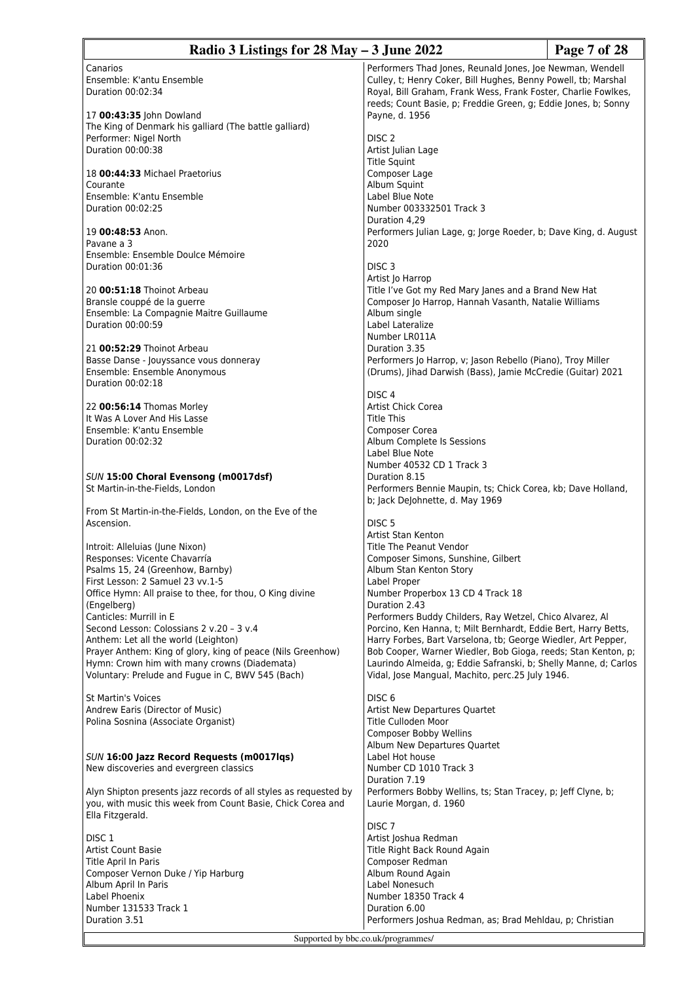| Radio 3 Listings for 28 May – 3 June 2022                                           |                                                                                                                             | Page 7 of 28 |
|-------------------------------------------------------------------------------------|-----------------------------------------------------------------------------------------------------------------------------|--------------|
| Canarios                                                                            | Performers Thad Jones, Reunald Jones, Joe Newman, Wendell                                                                   |              |
| Ensemble: K'antu Ensemble                                                           | Culley, t; Henry Coker, Bill Hughes, Benny Powell, tb; Marshal                                                              |              |
| Duration 00:02:34                                                                   | Royal, Bill Graham, Frank Wess, Frank Foster, Charlie Fowlkes,                                                              |              |
|                                                                                     | reeds; Count Basie, p; Freddie Green, g; Eddie Jones, b; Sonny                                                              |              |
| 17 00:43:35 John Dowland                                                            | Payne, d. 1956                                                                                                              |              |
| The King of Denmark his galliard (The battle galliard)                              |                                                                                                                             |              |
| Performer: Nigel North                                                              | DISC <sub>2</sub>                                                                                                           |              |
| Duration 00:00:38                                                                   | Artist Julian Lage                                                                                                          |              |
|                                                                                     | <b>Title Squint</b>                                                                                                         |              |
| 18 00:44:33 Michael Praetorius<br>Courante                                          | Composer Lage<br>Album Squint                                                                                               |              |
| Ensemble: K'antu Ensemble                                                           | Label Blue Note                                                                                                             |              |
| Duration 00:02:25                                                                   | Number 003332501 Track 3                                                                                                    |              |
|                                                                                     | Duration 4,29                                                                                                               |              |
| 19 00:48:53 Anon.                                                                   | Performers Julian Lage, g; Jorge Roeder, b; Dave King, d. August                                                            |              |
| Pavane a 3                                                                          | 2020                                                                                                                        |              |
| Ensemble: Ensemble Doulce Mémoire                                                   |                                                                                                                             |              |
| Duration 00:01:36                                                                   | DISC <sub>3</sub>                                                                                                           |              |
|                                                                                     | Artist Jo Harrop                                                                                                            |              |
| 20 00:51:18 Thoinot Arbeau                                                          | Title I've Got my Red Mary Janes and a Brand New Hat                                                                        |              |
| Bransle couppé de la guerre                                                         | Composer Jo Harrop, Hannah Vasanth, Natalie Williams                                                                        |              |
| Ensemble: La Compagnie Maitre Guillaume                                             | Album single                                                                                                                |              |
| Duration 00:00:59                                                                   | Label Lateralize                                                                                                            |              |
| 21 00:52:29 Thoinot Arbeau                                                          | Number LR011A<br>Duration 3.35                                                                                              |              |
| Basse Danse - Jouyssance vous donneray                                              | Performers Jo Harrop, v; Jason Rebello (Piano), Troy Miller                                                                 |              |
| Ensemble: Ensemble Anonymous                                                        | (Drums), Jihad Darwish (Bass), Jamie McCredie (Guitar) 2021                                                                 |              |
| Duration 00:02:18                                                                   |                                                                                                                             |              |
|                                                                                     | DISC <sub>4</sub>                                                                                                           |              |
| 22 00:56:14 Thomas Morley                                                           | <b>Artist Chick Corea</b>                                                                                                   |              |
| It Was A Lover And His Lasse                                                        | Title This                                                                                                                  |              |
| Ensemble: K'antu Ensemble                                                           | <b>Composer Corea</b>                                                                                                       |              |
| Duration 00:02:32                                                                   | Album Complete Is Sessions                                                                                                  |              |
|                                                                                     | Label Blue Note                                                                                                             |              |
|                                                                                     | Number 40532 CD 1 Track 3                                                                                                   |              |
| SUN 15:00 Choral Evensong (m0017dsf)                                                | Duration 8.15                                                                                                               |              |
| St Martin-in-the-Fields, London                                                     | Performers Bennie Maupin, ts; Chick Corea, kb; Dave Holland,<br>b; Jack DeJohnette, d. May 1969                             |              |
| From St Martin-in-the-Fields, London, on the Eve of the                             |                                                                                                                             |              |
| Ascension.                                                                          | DISC <sub>5</sub>                                                                                                           |              |
|                                                                                     | Artist Stan Kenton                                                                                                          |              |
| Introit: Alleluias (June Nixon)                                                     | Title The Peanut Vendor                                                                                                     |              |
| Responses: Vicente Chavarría                                                        | Composer Simons, Sunshine, Gilbert                                                                                          |              |
| Psalms 15, 24 (Greenhow, Barnby)                                                    | Album Stan Kenton Story                                                                                                     |              |
| First Lesson: 2 Samuel 23 vv.1-5                                                    | Label Proper                                                                                                                |              |
| Office Hymn: All praise to thee, for thou, O King divine                            | Number Properbox 13 CD 4 Track 18                                                                                           |              |
| (Engelberg)<br>Canticles: Murrill in E                                              | Duration 2.43                                                                                                               |              |
| Second Lesson: Colossians 2 v.20 - 3 v.4                                            | Performers Buddy Childers, Ray Wetzel, Chico Alvarez, Al<br>Porcino, Ken Hanna, t; Milt Bernhardt, Eddie Bert, Harry Betts, |              |
| Anthem: Let all the world (Leighton)                                                | Harry Forbes, Bart Varselona, tb; George Wiedler, Art Pepper,                                                               |              |
| Prayer Anthem: King of glory, king of peace (Nils Greenhow)                         | Bob Cooper, Warner Wiedler, Bob Gioga, reeds; Stan Kenton, p;                                                               |              |
| Hymn: Crown him with many crowns (Diademata)                                        | Laurindo Almeida, g; Eddie Safranski, b; Shelly Manne, d; Carlos                                                            |              |
| Voluntary: Prelude and Fugue in C, BWV 545 (Bach)                                   | Vidal, Jose Mangual, Machito, perc.25 July 1946.                                                                            |              |
|                                                                                     |                                                                                                                             |              |
| St Martin's Voices                                                                  | DISC <sub>6</sub>                                                                                                           |              |
| Andrew Earis (Director of Music)                                                    | Artist New Departures Quartet                                                                                               |              |
| Polina Sosnina (Associate Organist)                                                 | Title Culloden Moor                                                                                                         |              |
|                                                                                     | <b>Composer Bobby Wellins</b>                                                                                               |              |
|                                                                                     | Album New Departures Quartet<br>Label Hot house                                                                             |              |
| SUN 16:00 Jazz Record Requests (m0017lqs)<br>New discoveries and evergreen classics | Number CD 1010 Track 3                                                                                                      |              |
|                                                                                     | Duration 7.19                                                                                                               |              |
| Alyn Shipton presents jazz records of all styles as requested by                    | Performers Bobby Wellins, ts; Stan Tracey, p; Jeff Clyne, b;                                                                |              |
| you, with music this week from Count Basie, Chick Corea and                         | Laurie Morgan, d. 1960                                                                                                      |              |
| Ella Fitzgerald.                                                                    |                                                                                                                             |              |
|                                                                                     | DISC <sub>7</sub>                                                                                                           |              |
| DISC 1                                                                              | Artist Joshua Redman                                                                                                        |              |
| Artist Count Basie                                                                  | Title Right Back Round Again                                                                                                |              |
| Title April In Paris                                                                | Composer Redman                                                                                                             |              |
| Composer Vernon Duke / Yip Harburg                                                  | Album Round Again                                                                                                           |              |
| Album April In Paris                                                                | Label Nonesuch                                                                                                              |              |
| Label Phoenix                                                                       | Number 18350 Track 4                                                                                                        |              |
| Number 131533 Track 1                                                               | Duration 6.00                                                                                                               |              |

Performers Joshua Redman, as; Brad Mehldau, p; Christian

Duration 3.51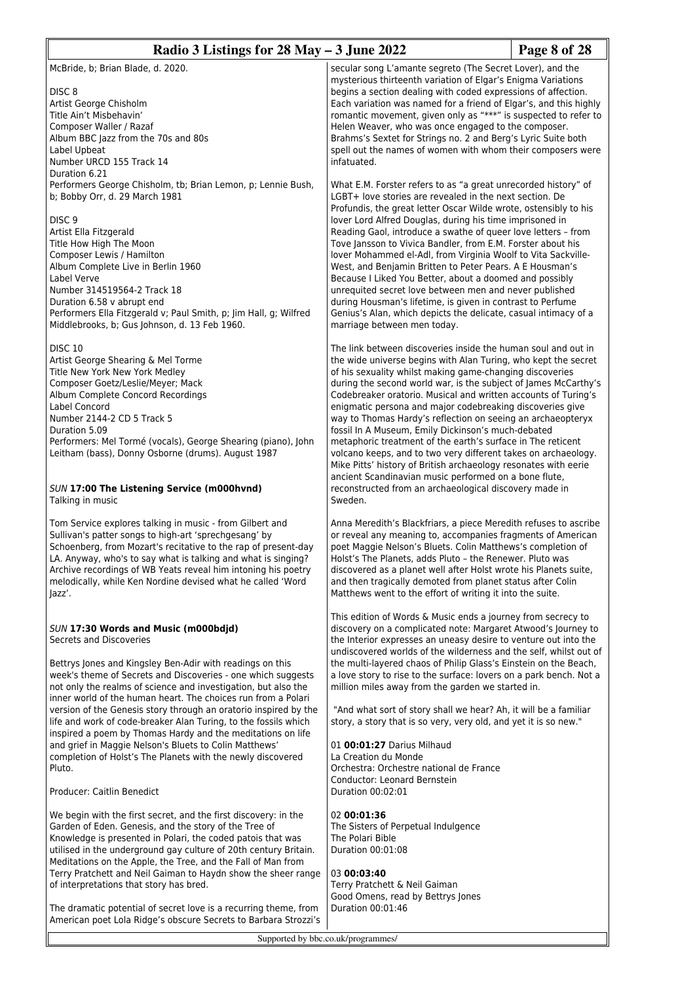| Page 8 of 28<br>Radio 3 Listings for 28 May – 3 June 2022                                                                                                                                                                                                                                                                                                                                                                                                                                                                                                                                             |                                                                                                                                                                                                                                                                                                                                                                                                                                                                                                                                                                                                                                                                                                                                                                                                                                                      |  |
|-------------------------------------------------------------------------------------------------------------------------------------------------------------------------------------------------------------------------------------------------------------------------------------------------------------------------------------------------------------------------------------------------------------------------------------------------------------------------------------------------------------------------------------------------------------------------------------------------------|------------------------------------------------------------------------------------------------------------------------------------------------------------------------------------------------------------------------------------------------------------------------------------------------------------------------------------------------------------------------------------------------------------------------------------------------------------------------------------------------------------------------------------------------------------------------------------------------------------------------------------------------------------------------------------------------------------------------------------------------------------------------------------------------------------------------------------------------------|--|
| McBride, b; Brian Blade, d. 2020.<br>DISC <sub>8</sub><br>Artist George Chisholm<br>Title Ain't Misbehavin'<br>Composer Waller / Razaf<br>Album BBC Jazz from the 70s and 80s<br>Label Upbeat<br>Number URCD 155 Track 14<br>Duration 6.21                                                                                                                                                                                                                                                                                                                                                            | secular song L'amante segreto (The Secret Lover), and the<br>mysterious thirteenth variation of Elgar's Enigma Variations<br>begins a section dealing with coded expressions of affection.<br>Each variation was named for a friend of Elgar's, and this highly<br>romantic movement, given only as "***" is suspected to refer to<br>Helen Weaver, who was once engaged to the composer.<br>Brahms's Sextet for Strings no. 2 and Berg's Lyric Suite both<br>spell out the names of women with whom their composers were<br>infatuated.                                                                                                                                                                                                                                                                                                             |  |
| Performers George Chisholm, tb; Brian Lemon, p; Lennie Bush,<br>b; Bobby Orr, d. 29 March 1981<br>DISC <sub>9</sub><br>Artist Ella Fitzgerald<br>Title How High The Moon<br>Composer Lewis / Hamilton<br>Album Complete Live in Berlin 1960<br>Label Verve<br>Number 314519564-2 Track 18<br>Duration 6.58 v abrupt end<br>Performers Ella Fitzgerald v; Paul Smith, p; Jim Hall, g; Wilfred<br>Middlebrooks, b; Gus Johnson, d. 13 Feb 1960.                                                                                                                                                         | What E.M. Forster refers to as "a great unrecorded history" of<br>LGBT+ love stories are revealed in the next section. De<br>Profundis, the great letter Oscar Wilde wrote, ostensibly to his<br>lover Lord Alfred Douglas, during his time imprisoned in<br>Reading Gaol, introduce a swathe of queer love letters - from<br>Tove Jansson to Vivica Bandler, from E.M. Forster about his<br>lover Mohammed el-Adl, from Virginia Woolf to Vita Sackville-<br>West, and Benjamin Britten to Peter Pears. A E Housman's<br>Because I Liked You Better, about a doomed and possibly<br>unrequited secret love between men and never published<br>during Housman's lifetime, is given in contrast to Perfume<br>Genius's Alan, which depicts the delicate, casual intimacy of a<br>marriage between men today.                                          |  |
| <b>DISC 10</b><br>Artist George Shearing & Mel Torme<br>Title New York New York Medley<br>Composer Goetz/Leslie/Meyer; Mack<br>Album Complete Concord Recordings<br>Label Concord<br>Number 2144-2 CD 5 Track 5<br>Duration 5.09<br>Performers: Mel Tormé (vocals), George Shearing (piano), John<br>Leitham (bass), Donny Osborne (drums). August 1987<br>SUN 17:00 The Listening Service (m000hvnd)<br>Talking in music                                                                                                                                                                             | The link between discoveries inside the human soul and out in<br>the wide universe begins with Alan Turing, who kept the secret<br>of his sexuality whilst making game-changing discoveries<br>during the second world war, is the subject of James McCarthy's<br>Codebreaker oratorio. Musical and written accounts of Turing's<br>enigmatic persona and major codebreaking discoveries give<br>way to Thomas Hardy's reflection on seeing an archaeopteryx<br>fossil In A Museum, Emily Dickinson's much-debated<br>metaphoric treatment of the earth's surface in The reticent<br>volcano keeps, and to two very different takes on archaeology.<br>Mike Pitts' history of British archaeology resonates with eerie<br>ancient Scandinavian music performed on a bone flute,<br>reconstructed from an archaeological discovery made in<br>Sweden. |  |
| Tom Service explores talking in music - from Gilbert and<br>Sullivan's patter songs to high-art 'sprechgesang' by<br>Schoenberg, from Mozart's recitative to the rap of present-day<br>LA. Anyway, who's to say what is talking and what is singing?<br>Archive recordings of WB Yeats reveal him intoning his poetry<br>melodically, while Ken Nordine devised what he called 'Word<br>lazz'.                                                                                                                                                                                                        | Anna Meredith's Blackfriars, a piece Meredith refuses to ascribe<br>or reveal any meaning to, accompanies fragments of American<br>poet Maggie Nelson's Bluets. Colin Matthews's completion of<br>Holst's The Planets, adds Pluto - the Renewer. Pluto was<br>discovered as a planet well after Holst wrote his Planets suite,<br>and then tragically demoted from planet status after Colin<br>Matthews went to the effort of writing it into the suite.                                                                                                                                                                                                                                                                                                                                                                                            |  |
| SUN 17:30 Words and Music (m000bdjd)<br>Secrets and Discoveries                                                                                                                                                                                                                                                                                                                                                                                                                                                                                                                                       | This edition of Words & Music ends a journey from secrecy to<br>discovery on a complicated note: Margaret Atwood's Journey to<br>the Interior expresses an uneasy desire to venture out into the                                                                                                                                                                                                                                                                                                                                                                                                                                                                                                                                                                                                                                                     |  |
| Bettrys Jones and Kingsley Ben-Adir with readings on this<br>week's theme of Secrets and Discoveries - one which suggests<br>not only the realms of science and investigation, but also the<br>inner world of the human heart. The choices run from a Polari<br>version of the Genesis story through an oratorio inspired by the<br>life and work of code-breaker Alan Turing, to the fossils which<br>inspired a poem by Thomas Hardy and the meditations on life<br>and grief in Maggie Nelson's Bluets to Colin Matthews'<br>completion of Holst's The Planets with the newly discovered<br>Pluto. | undiscovered worlds of the wilderness and the self, whilst out of<br>the multi-layered chaos of Philip Glass's Einstein on the Beach,<br>a love story to rise to the surface: lovers on a park bench. Not a<br>million miles away from the garden we started in.<br>"And what sort of story shall we hear? Ah, it will be a familiar<br>story, a story that is so very, very old, and yet it is so new."<br>01 <b>00:01:27</b> Darius Milhaud<br>La Creation du Monde<br>Orchestra: Orchestre national de France                                                                                                                                                                                                                                                                                                                                     |  |
| Producer: Caitlin Benedict                                                                                                                                                                                                                                                                                                                                                                                                                                                                                                                                                                            | Conductor: Leonard Bernstein<br>Duration 00:02:01                                                                                                                                                                                                                                                                                                                                                                                                                                                                                                                                                                                                                                                                                                                                                                                                    |  |
| We begin with the first secret, and the first discovery: in the<br>Garden of Eden. Genesis, and the story of the Tree of<br>Knowledge is presented in Polari, the coded patois that was<br>utilised in the underground gay culture of 20th century Britain.<br>Meditations on the Apple, the Tree, and the Fall of Man from<br>Terry Pratchett and Neil Gaiman to Haydn show the sheer range<br>of interpretations that story has bred.                                                                                                                                                               | 02 00:01:36<br>The Sisters of Perpetual Indulgence<br>The Polari Bible<br>Duration 00:01:08<br>03 00:03:40<br>Terry Pratchett & Neil Gaiman<br>Good Omens, read by Bettrys Jones                                                                                                                                                                                                                                                                                                                                                                                                                                                                                                                                                                                                                                                                     |  |

Duration 00:01:46

The dramatic potential of secret love is a recurring theme, from American poet Lola Ridge's obscure Secrets to Barbara Strozzi's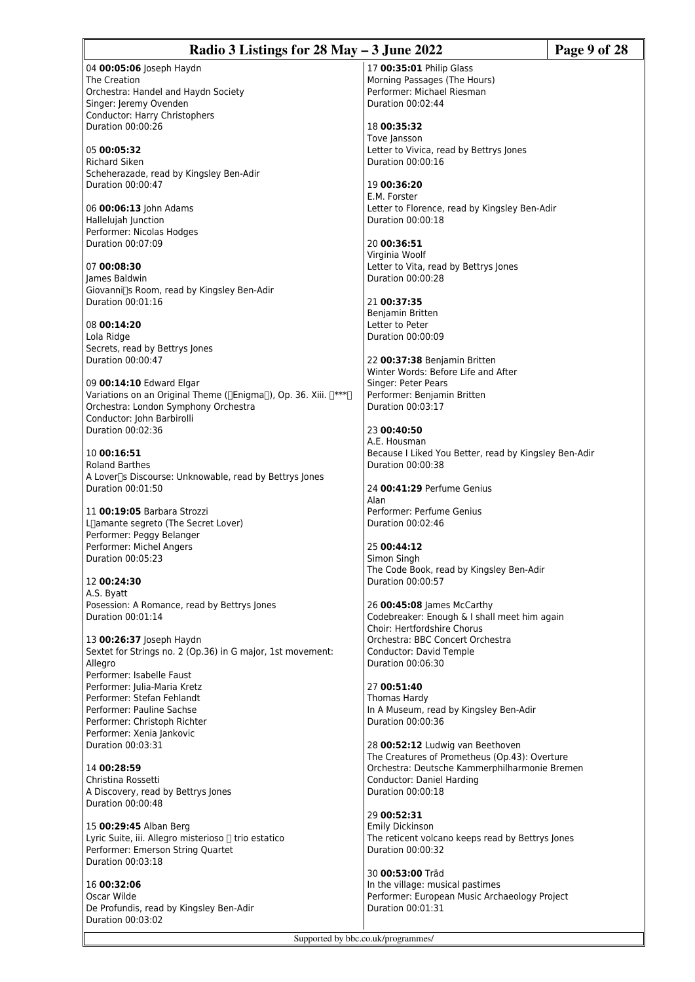| Radio 3 Listings for 28 May – 3 June 2022<br>Page 9 of 28                              |                                                                 |  |
|----------------------------------------------------------------------------------------|-----------------------------------------------------------------|--|
| 04 00:05:06 Joseph Haydn                                                               | 17 00:35:01 Philip Glass                                        |  |
| The Creation                                                                           | Morning Passages (The Hours)                                    |  |
| Orchestra: Handel and Haydn Society                                                    | Performer: Michael Riesman                                      |  |
| Singer: Jeremy Ovenden                                                                 | Duration 00:02:44                                               |  |
| Conductor: Harry Christophers<br>Duration 00:00:26                                     |                                                                 |  |
|                                                                                        | 18 00:35:32<br>Tove Jansson                                     |  |
| 05 00:05:32                                                                            | Letter to Vivica, read by Bettrys Jones                         |  |
| <b>Richard Siken</b>                                                                   | Duration 00:00:16                                               |  |
| Scheherazade, read by Kingsley Ben-Adir                                                |                                                                 |  |
| Duration 00:00:47                                                                      | 19 00:36:20                                                     |  |
|                                                                                        | E.M. Forster                                                    |  |
| 06 00:06:13 John Adams                                                                 | Letter to Florence, read by Kingsley Ben-Adir                   |  |
| Hallelujah Junction<br>Performer: Nicolas Hodges                                       | Duration 00:00:18                                               |  |
| Duration 00:07:09                                                                      | 20 00:36:51                                                     |  |
|                                                                                        | Virginia Woolf                                                  |  |
| 07 00:08:30                                                                            | Letter to Vita, read by Bettrys Jones                           |  |
| James Baldwin                                                                          | Duration 00:00:28                                               |  |
| Giovanni[]s Room, read by Kingsley Ben-Adir                                            |                                                                 |  |
| Duration 00:01:16                                                                      | 21 00:37:35                                                     |  |
| 08 00:14:20                                                                            | Benjamin Britten<br>Letter to Peter                             |  |
| Lola Ridge                                                                             | Duration 00:00:09                                               |  |
| Secrets, read by Bettrys Jones                                                         |                                                                 |  |
| Duration 00:00:47                                                                      | 22 00:37:38 Benjamin Britten                                    |  |
|                                                                                        | Winter Words: Before Life and After                             |  |
| 09 00:14:10 Edward Elgar                                                               | Singer: Peter Pears                                             |  |
| Variations on an Original Theme ([Enigma]), Op. 36. Xiii. [1***]                       | Performer: Benjamin Britten<br>Duration 00:03:17                |  |
| Orchestra: London Symphony Orchestra<br>Conductor: John Barbirolli                     |                                                                 |  |
| Duration 00:02:36                                                                      | 23 00:40:50                                                     |  |
|                                                                                        | A.E. Housman                                                    |  |
| 10 00:16:51                                                                            | Because I Liked You Better, read by Kingsley Ben-Adir           |  |
| <b>Roland Barthes</b>                                                                  | Duration 00:00:38                                               |  |
| A Lover[]s Discourse: Unknowable, read by Bettrys Jones<br>Duration 00:01:50           | 24 00:41:29 Perfume Genius                                      |  |
|                                                                                        | Alan                                                            |  |
| 11 00:19:05 Barbara Strozzi                                                            | Performer: Perfume Genius                                       |  |
| L[amante segreto (The Secret Lover)                                                    | Duration 00:02:46                                               |  |
| Performer: Peggy Belanger                                                              |                                                                 |  |
| Performer: Michel Angers                                                               | 25 00:44:12                                                     |  |
| Duration 00:05:23                                                                      | Simon Singh<br>The Code Book, read by Kingsley Ben-Adir         |  |
| 12 00:24:30                                                                            | Duration 00:00:57                                               |  |
| A.S. Byatt                                                                             |                                                                 |  |
| Posession: A Romance, read by Bettrys Jones                                            | 26 00:45:08 James McCarthy                                      |  |
| Duration 00:01:14                                                                      | Codebreaker: Enough & I shall meet him again                    |  |
|                                                                                        | Choir: Hertfordshire Chorus<br>Orchestra: BBC Concert Orchestra |  |
| 13 00:26:37 Joseph Haydn<br>Sextet for Strings no. 2 (Op.36) in G major, 1st movement: | <b>Conductor: David Temple</b>                                  |  |
| Allegro                                                                                | Duration 00:06:30                                               |  |
| Performer: Isabelle Faust                                                              |                                                                 |  |
| Performer: Julia-Maria Kretz                                                           | 27 00:51:40                                                     |  |
| Performer: Stefan Fehlandt                                                             | Thomas Hardy                                                    |  |
| Performer: Pauline Sachse<br>Performer: Christoph Richter                              | In A Museum, read by Kingsley Ben-Adir<br>Duration 00:00:36     |  |
| Performer: Xenia Jankovic                                                              |                                                                 |  |
| Duration 00:03:31                                                                      | 28 00:52:12 Ludwig van Beethoven                                |  |
|                                                                                        | The Creatures of Prometheus (Op.43): Overture                   |  |
| 14 00:28:59                                                                            | Orchestra: Deutsche Kammerphilharmonie Bremen                   |  |
| Christina Rossetti                                                                     | Conductor: Daniel Harding                                       |  |
| A Discovery, read by Bettrys Jones<br>Duration 00:00:48                                | Duration 00:00:18                                               |  |
|                                                                                        | 29 00:52:31                                                     |  |
| 15 00:29:45 Alban Berg                                                                 | <b>Emily Dickinson</b>                                          |  |
| Lyric Suite, iii. Allegro misterioso [] trio estatico                                  | The reticent volcano keeps read by Bettrys Jones                |  |
| Performer: Emerson String Quartet                                                      | Duration 00:00:32                                               |  |
| Duration 00:03:18                                                                      |                                                                 |  |
| 16 00:32:06                                                                            | 30 00:53:00 Träd<br>In the village: musical pastimes            |  |
| Oscar Wilde                                                                            | Performer: European Music Archaeology Project                   |  |
| De Profundis, read by Kingsley Ben-Adir                                                | Duration 00:01:31                                               |  |
| Duration 00:03:02                                                                      |                                                                 |  |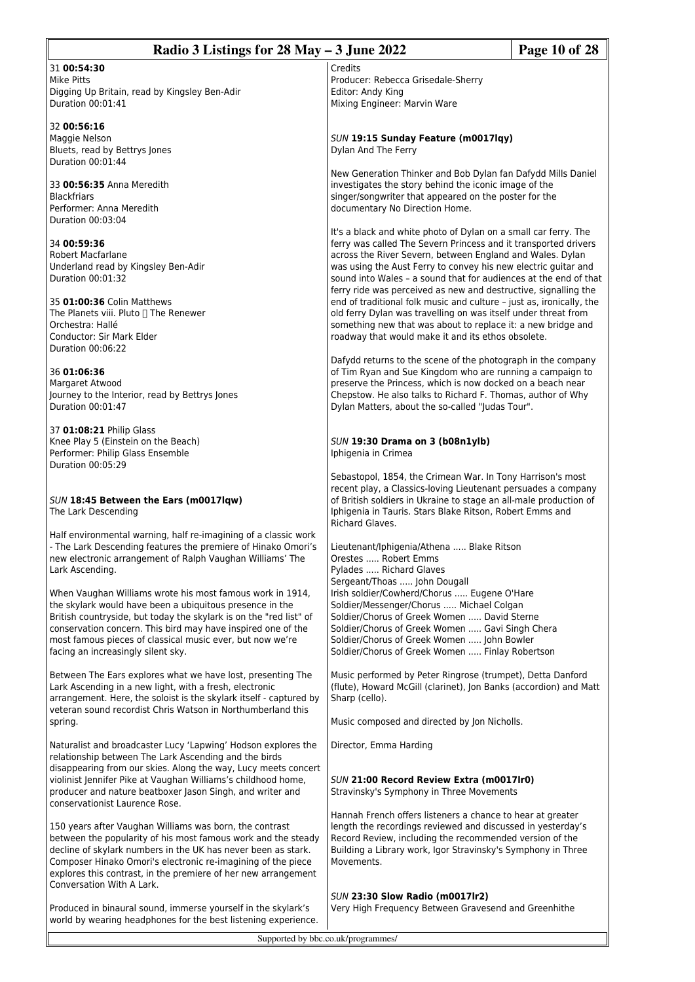| Radio 3 Listings for 28 May - 3 June 2022                                                                                                                                                                                                                                                                                                                      |                                                                                                                                                                                                                                                                                                                                                                                                                                                                                                                                                                                                                                                                          | Page 10 of 28 |  |
|----------------------------------------------------------------------------------------------------------------------------------------------------------------------------------------------------------------------------------------------------------------------------------------------------------------------------------------------------------------|--------------------------------------------------------------------------------------------------------------------------------------------------------------------------------------------------------------------------------------------------------------------------------------------------------------------------------------------------------------------------------------------------------------------------------------------------------------------------------------------------------------------------------------------------------------------------------------------------------------------------------------------------------------------------|---------------|--|
| 31 00:54:30<br><b>Mike Pitts</b><br>Digging Up Britain, read by Kingsley Ben-Adir<br>Duration 00:01:41                                                                                                                                                                                                                                                         | Credits<br>Producer: Rebecca Grisedale-Sherry<br>Editor: Andy King<br>Mixing Engineer: Marvin Ware                                                                                                                                                                                                                                                                                                                                                                                                                                                                                                                                                                       |               |  |
| 32 00:56:16<br>Maggie Nelson<br>Bluets, read by Bettrys Jones<br>Duration 00:01:44                                                                                                                                                                                                                                                                             | SUN 19:15 Sunday Feature (m0017lqy)<br>Dylan And The Ferry                                                                                                                                                                                                                                                                                                                                                                                                                                                                                                                                                                                                               |               |  |
| 33 00:56:35 Anna Meredith<br><b>Blackfriars</b><br>Performer: Anna Meredith                                                                                                                                                                                                                                                                                    | New Generation Thinker and Bob Dylan fan Dafydd Mills Daniel<br>investigates the story behind the iconic image of the<br>singer/songwriter that appeared on the poster for the<br>documentary No Direction Home.                                                                                                                                                                                                                                                                                                                                                                                                                                                         |               |  |
| Duration 00:03:04<br>34 00:59:36<br>Robert Macfarlane<br>Underland read by Kingsley Ben-Adir<br>Duration 00:01:32<br>35 01:00:36 Colin Matthews<br>The Planets viii. Pluto □ The Renewer<br>Orchestra: Hallé<br>Conductor: Sir Mark Elder<br>Duration 00:06:22                                                                                                 | It's a black and white photo of Dylan on a small car ferry. The<br>ferry was called The Severn Princess and it transported drivers<br>across the River Severn, between England and Wales. Dylan<br>was using the Aust Ferry to convey his new electric guitar and<br>sound into Wales - a sound that for audiences at the end of that<br>ferry ride was perceived as new and destructive, signalling the<br>end of traditional folk music and culture - just as, ironically, the<br>old ferry Dylan was travelling on was itself under threat from<br>something new that was about to replace it: a new bridge and<br>roadway that would make it and its ethos obsolete. |               |  |
| 36 01:06:36<br>Margaret Atwood<br>Journey to the Interior, read by Bettrys Jones<br>Duration 00:01:47                                                                                                                                                                                                                                                          | Dafydd returns to the scene of the photograph in the company<br>of Tim Ryan and Sue Kingdom who are running a campaign to<br>preserve the Princess, which is now docked on a beach near<br>Chepstow. He also talks to Richard F. Thomas, author of Why<br>Dylan Matters, about the so-called "Judas Tour".                                                                                                                                                                                                                                                                                                                                                               |               |  |
| 37 01:08:21 Philip Glass<br>Knee Play 5 (Einstein on the Beach)<br>Performer: Philip Glass Ensemble<br>Duration 00:05:29                                                                                                                                                                                                                                       | SUN 19:30 Drama on 3 (b08n1ylb)<br>Iphigenia in Crimea                                                                                                                                                                                                                                                                                                                                                                                                                                                                                                                                                                                                                   |               |  |
| SUN 18:45 Between the Ears (m0017lqw)<br>The Lark Descending                                                                                                                                                                                                                                                                                                   | Sebastopol, 1854, the Crimean War. In Tony Harrison's most<br>recent play, a Classics-loving Lieutenant persuades a company<br>of British soldiers in Ukraine to stage an all-male production of<br>Iphigenia in Tauris. Stars Blake Ritson, Robert Emms and<br>Richard Glaves.                                                                                                                                                                                                                                                                                                                                                                                          |               |  |
| Half environmental warning, half re-imagining of a classic work<br>- The Lark Descending features the premiere of Hinako Omori's<br>new electronic arrangement of Ralph Vaughan Williams' The<br>Lark Ascending.                                                                                                                                               | Lieutenant/Iphigenia/Athena  Blake Ritson<br>Orestes  Robert Emms<br>Pylades  Richard Glaves                                                                                                                                                                                                                                                                                                                                                                                                                                                                                                                                                                             |               |  |
| When Vaughan Williams wrote his most famous work in 1914,<br>the skylark would have been a ubiquitous presence in the<br>British countryside, but today the skylark is on the "red list" of<br>conservation concern. This bird may have inspired one of the<br>most famous pieces of classical music ever, but now we're<br>facing an increasingly silent sky. | Sergeant/Thoas  John Dougall<br>Irish soldier/Cowherd/Chorus  Eugene O'Hare<br>Soldier/Messenger/Chorus  Michael Colgan<br>Soldier/Chorus of Greek Women  David Sterne<br>Soldier/Chorus of Greek Women  Gavi Singh Chera<br>Soldier/Chorus of Greek Women  John Bowler<br>Soldier/Chorus of Greek Women  Finlay Robertson                                                                                                                                                                                                                                                                                                                                               |               |  |
| Between The Ears explores what we have lost, presenting The<br>Lark Ascending in a new light, with a fresh, electronic<br>arrangement. Here, the soloist is the skylark itself - captured by<br>veteran sound recordist Chris Watson in Northumberland this<br>spring.                                                                                         | Music performed by Peter Ringrose (trumpet), Detta Danford<br>(flute), Howard McGill (clarinet), Jon Banks (accordion) and Matt<br>Sharp (cello).<br>Music composed and directed by Jon Nicholls.                                                                                                                                                                                                                                                                                                                                                                                                                                                                        |               |  |
| Naturalist and broadcaster Lucy 'Lapwing' Hodson explores the<br>relationship between The Lark Ascending and the birds                                                                                                                                                                                                                                         | Director, Emma Harding                                                                                                                                                                                                                                                                                                                                                                                                                                                                                                                                                                                                                                                   |               |  |
| disappearing from our skies. Along the way, Lucy meets concert<br>violinist Jennifer Pike at Vaughan Williams's childhood home,<br>producer and nature beatboxer Jason Singh, and writer and<br>conservationist Laurence Rose.                                                                                                                                 | SUN 21:00 Record Review Extra (m0017lr0)<br>Stravinsky's Symphony in Three Movements                                                                                                                                                                                                                                                                                                                                                                                                                                                                                                                                                                                     |               |  |
| 150 years after Vaughan Williams was born, the contrast<br>between the popularity of his most famous work and the steady<br>decline of skylark numbers in the UK has never been as stark.<br>Composer Hinako Omori's electronic re-imagining of the piece<br>explores this contrast, in the premiere of her new arrangement<br>Conversation With A Lark.       | Hannah French offers listeners a chance to hear at greater<br>length the recordings reviewed and discussed in yesterday's<br>Record Review, including the recommended version of the<br>Building a Library work, Igor Stravinsky's Symphony in Three<br>Movements.                                                                                                                                                                                                                                                                                                                                                                                                       |               |  |
| Produced in binaural sound, immerse yourself in the skylark's<br>world by wearing headphones for the best listening experience.                                                                                                                                                                                                                                | <b>SUN 23:30 Slow Radio (m0017lr2)</b><br>Very High Frequency Between Gravesend and Greenhithe                                                                                                                                                                                                                                                                                                                                                                                                                                                                                                                                                                           |               |  |
| Supported by bbc.co.uk/programmes/                                                                                                                                                                                                                                                                                                                             |                                                                                                                                                                                                                                                                                                                                                                                                                                                                                                                                                                                                                                                                          |               |  |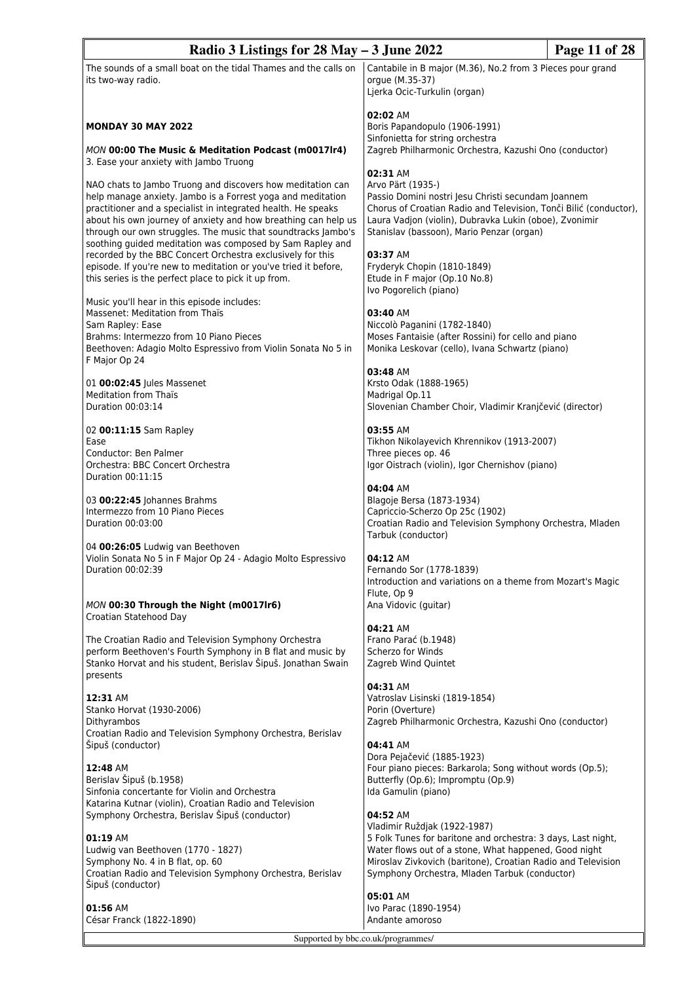| Radio 3 Listings for 28 May – 3 June 2022<br>Page 11 of 28                                                                                                                                                                                                                                                                                                                                                                                                                                                                                                                          |                                                                                                                                                                                                                                                                                                                                                                       |  |
|-------------------------------------------------------------------------------------------------------------------------------------------------------------------------------------------------------------------------------------------------------------------------------------------------------------------------------------------------------------------------------------------------------------------------------------------------------------------------------------------------------------------------------------------------------------------------------------|-----------------------------------------------------------------------------------------------------------------------------------------------------------------------------------------------------------------------------------------------------------------------------------------------------------------------------------------------------------------------|--|
| The sounds of a small boat on the tidal Thames and the calls on<br>its two-way radio.                                                                                                                                                                                                                                                                                                                                                                                                                                                                                               | Cantabile in B major (M.36), No.2 from 3 Pieces pour grand<br>orgue (M.35-37)<br>Ljerka Ocic-Turkulin (organ)                                                                                                                                                                                                                                                         |  |
| <b>MONDAY 30 MAY 2022</b>                                                                                                                                                                                                                                                                                                                                                                                                                                                                                                                                                           | 02:02 AM<br>Boris Papandopulo (1906-1991)<br>Sinfonietta for string orchestra                                                                                                                                                                                                                                                                                         |  |
| MON 00:00 The Music & Meditation Podcast (m0017lr4)<br>3. Ease your anxiety with Jambo Truong                                                                                                                                                                                                                                                                                                                                                                                                                                                                                       | Zagreb Philharmonic Orchestra, Kazushi Ono (conductor)                                                                                                                                                                                                                                                                                                                |  |
| NAO chats to Jambo Truong and discovers how meditation can<br>help manage anxiety. Jambo is a Forrest yoga and meditation<br>practitioner and a specialist in integrated health. He speaks<br>about his own journey of anxiety and how breathing can help us<br>through our own struggles. The music that soundtracks Jambo's<br>soothing guided meditation was composed by Sam Rapley and<br>recorded by the BBC Concert Orchestra exclusively for this<br>episode. If you're new to meditation or you've tried it before,<br>this series is the perfect place to pick it up from. | 02:31 AM<br>Arvo Pärt (1935-)<br>Passio Domini nostri Jesu Christi secundam Joannem<br>Chorus of Croatian Radio and Television, Tonči Bilić (conductor),<br>Laura Vadjon (violin), Dubravka Lukin (oboe), Zvonimir<br>Stanislav (bassoon), Mario Penzar (organ)<br>03:37 AM<br>Fryderyk Chopin (1810-1849)<br>Etude in F major (Op.10 No.8)<br>Ivo Pogorelich (piano) |  |
| Music you'll hear in this episode includes:<br>Massenet: Meditation from Thaïs                                                                                                                                                                                                                                                                                                                                                                                                                                                                                                      | 03:40 AM                                                                                                                                                                                                                                                                                                                                                              |  |
| Sam Rapley: Ease<br>Brahms: Intermezzo from 10 Piano Pieces<br>Beethoven: Adagio Molto Espressivo from Violin Sonata No 5 in<br>F Major Op 24                                                                                                                                                                                                                                                                                                                                                                                                                                       | Niccolò Paganini (1782-1840)<br>Moses Fantaisie (after Rossini) for cello and piano<br>Monika Leskovar (cello), Ivana Schwartz (piano)                                                                                                                                                                                                                                |  |
| 01 00:02:45 Jules Massenet                                                                                                                                                                                                                                                                                                                                                                                                                                                                                                                                                          | 03:48 AM<br>Krsto Odak (1888-1965)                                                                                                                                                                                                                                                                                                                                    |  |
| <b>Meditation from Thaïs</b><br>Duration 00:03:14                                                                                                                                                                                                                                                                                                                                                                                                                                                                                                                                   | Madrigal Op.11<br>Slovenian Chamber Choir, Vladimir Kranjčević (director)                                                                                                                                                                                                                                                                                             |  |
| 02 00:11:15 Sam Rapley<br>Ease                                                                                                                                                                                                                                                                                                                                                                                                                                                                                                                                                      | 03:55 AM<br>Tikhon Nikolayevich Khrennikov (1913-2007)                                                                                                                                                                                                                                                                                                                |  |
| Conductor: Ben Palmer                                                                                                                                                                                                                                                                                                                                                                                                                                                                                                                                                               | Three pieces op. 46                                                                                                                                                                                                                                                                                                                                                   |  |
| Orchestra: BBC Concert Orchestra<br>Duration 00:11:15                                                                                                                                                                                                                                                                                                                                                                                                                                                                                                                               | Igor Oistrach (violin), Igor Chernishov (piano)                                                                                                                                                                                                                                                                                                                       |  |
| 03 00:22:45 Johannes Brahms<br>Intermezzo from 10 Piano Pieces<br>Duration 00:03:00                                                                                                                                                                                                                                                                                                                                                                                                                                                                                                 | 04:04 AM<br>Blagoje Bersa (1873-1934)<br>Capriccio-Scherzo Op 25c (1902)<br>Croatian Radio and Television Symphony Orchestra, Mladen<br>Tarbuk (conductor)                                                                                                                                                                                                            |  |
| 04 00:26:05 Ludwig van Beethoven<br>Violin Sonata No 5 in F Major Op 24 - Adagio Molto Espressivo<br>Duration 00:02:39                                                                                                                                                                                                                                                                                                                                                                                                                                                              | 04:12 AM<br>Fernando Sor (1778-1839)<br>Introduction and variations on a theme from Mozart's Magic<br>Flute, Op 9                                                                                                                                                                                                                                                     |  |
| MON 00:30 Through the Night (m0017lr6)<br>Croatian Statehood Day                                                                                                                                                                                                                                                                                                                                                                                                                                                                                                                    | Ana Vidovic (guitar)                                                                                                                                                                                                                                                                                                                                                  |  |
| The Croatian Radio and Television Symphony Orchestra<br>perform Beethoven's Fourth Symphony in B flat and music by<br>Stanko Horvat and his student, Berislav Šipuš. Jonathan Swain<br>presents                                                                                                                                                                                                                                                                                                                                                                                     | 04:21 AM<br>Frano Parać (b.1948)<br>Scherzo for Winds<br>Zagreb Wind Quintet                                                                                                                                                                                                                                                                                          |  |
| 12:31 AM                                                                                                                                                                                                                                                                                                                                                                                                                                                                                                                                                                            | 04:31 AM<br>Vatroslav Lisinski (1819-1854)                                                                                                                                                                                                                                                                                                                            |  |
| Stanko Horvat (1930-2006)<br>Dithyrambos                                                                                                                                                                                                                                                                                                                                                                                                                                                                                                                                            | Porin (Overture)<br>Zagreb Philharmonic Orchestra, Kazushi Ono (conductor)                                                                                                                                                                                                                                                                                            |  |
| Croatian Radio and Television Symphony Orchestra, Berislav<br>Šipuš (conductor)                                                                                                                                                                                                                                                                                                                                                                                                                                                                                                     | 04:41 AM                                                                                                                                                                                                                                                                                                                                                              |  |
| 12:48 AM                                                                                                                                                                                                                                                                                                                                                                                                                                                                                                                                                                            | Dora Pejačević (1885-1923)<br>Four piano pieces: Barkarola; Song without words (Op.5);                                                                                                                                                                                                                                                                                |  |
| Berislav Šipuš (b.1958)<br>Sinfonia concertante for Violin and Orchestra                                                                                                                                                                                                                                                                                                                                                                                                                                                                                                            | Butterfly (Op.6); Impromptu (Op.9)                                                                                                                                                                                                                                                                                                                                    |  |
| Katarina Kutnar (violin), Croatian Radio and Television<br>Symphony Orchestra, Berislav Šipuš (conductor)                                                                                                                                                                                                                                                                                                                                                                                                                                                                           | Ida Gamulin (piano)<br>04:52 AM                                                                                                                                                                                                                                                                                                                                       |  |
| 01:19 AM                                                                                                                                                                                                                                                                                                                                                                                                                                                                                                                                                                            | Vladimir Ruždjak (1922-1987)<br>5 Folk Tunes for baritone and orchestra: 3 days, Last night,                                                                                                                                                                                                                                                                          |  |
| Ludwig van Beethoven (1770 - 1827)<br>Symphony No. 4 in B flat, op. 60<br>Croatian Radio and Television Symphony Orchestra, Berislav<br>Šipuš (conductor)                                                                                                                                                                                                                                                                                                                                                                                                                           | Water flows out of a stone, What happened, Good night<br>Miroslav Zivkovich (baritone), Croatian Radio and Television<br>Symphony Orchestra, Mladen Tarbuk (conductor)                                                                                                                                                                                                |  |
|                                                                                                                                                                                                                                                                                                                                                                                                                                                                                                                                                                                     | 05:01 AM                                                                                                                                                                                                                                                                                                                                                              |  |
| 01:56 AM<br>César Franck (1822-1890)                                                                                                                                                                                                                                                                                                                                                                                                                                                                                                                                                | Ivo Parac (1890-1954)<br>Andante amoroso                                                                                                                                                                                                                                                                                                                              |  |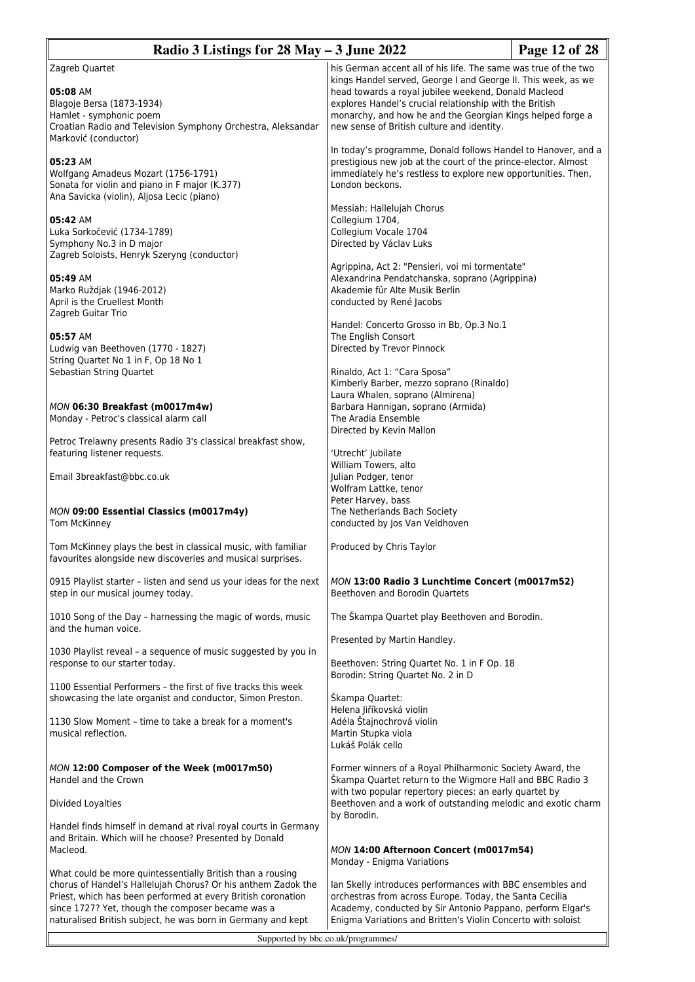| Radio 3 Listings for 28 May – 3 June 2022<br>Page 12 of 28                                                                                                                                                                                                                                                       |                                                                                                                                                                                                                                                                                                                                                                 |  |
|------------------------------------------------------------------------------------------------------------------------------------------------------------------------------------------------------------------------------------------------------------------------------------------------------------------|-----------------------------------------------------------------------------------------------------------------------------------------------------------------------------------------------------------------------------------------------------------------------------------------------------------------------------------------------------------------|--|
| Zagreb Quartet<br>05:08 AM<br>Blagoje Bersa (1873-1934)<br>Hamlet - symphonic poem<br>Croatian Radio and Television Symphony Orchestra, Aleksandar<br>Marković (conductor)                                                                                                                                       | his German accent all of his life. The same was true of the two<br>kings Handel served, George I and George II. This week, as we<br>head towards a royal jubilee weekend, Donald Macleod<br>explores Handel's crucial relationship with the British<br>monarchy, and how he and the Georgian Kings helped forge a<br>new sense of British culture and identity. |  |
| 05:23 AM<br>Wolfgang Amadeus Mozart (1756-1791)<br>Sonata for violin and piano in F major (K.377)<br>Ana Savicka (violin), Aljosa Lecic (piano)                                                                                                                                                                  | In today's programme, Donald follows Handel to Hanover, and a<br>prestigious new job at the court of the prince-elector. Almost<br>immediately he's restless to explore new opportunities. Then,<br>London beckons.                                                                                                                                             |  |
| 05:42 AM<br>Luka Sorkočević (1734-1789)<br>Symphony No.3 in D major<br>Zagreb Soloists, Henryk Szeryng (conductor)                                                                                                                                                                                               | Messiah: Hallelujah Chorus<br>Collegium 1704,<br>Collegium Vocale 1704<br>Directed by Václav Luks                                                                                                                                                                                                                                                               |  |
| 05:49 AM<br>Marko Ruždiak (1946-2012)<br>April is the Cruellest Month<br>Zagreb Guitar Trio                                                                                                                                                                                                                      | Agrippina, Act 2: "Pensieri, voi mi tormentate"<br>Alexandrina Pendatchanska, soprano (Agrippina)<br>Akademie für Alte Musik Berlin<br>conducted by René Jacobs                                                                                                                                                                                                 |  |
| 05:57 AM<br>Ludwig van Beethoven (1770 - 1827)<br>String Quartet No 1 in F, Op 18 No 1<br>Sebastian String Quartet                                                                                                                                                                                               | Handel: Concerto Grosso in Bb, Op.3 No.1<br>The English Consort<br>Directed by Trevor Pinnock<br>Rinaldo, Act 1: "Cara Sposa"                                                                                                                                                                                                                                   |  |
| MON 06:30 Breakfast (m0017m4w)<br>Monday - Petroc's classical alarm call                                                                                                                                                                                                                                         | Kimberly Barber, mezzo soprano (Rinaldo)<br>Laura Whalen, soprano (Almirena)<br>Barbara Hannigan, soprano (Armida)<br>The Aradia Ensemble<br>Directed by Kevin Mallon                                                                                                                                                                                           |  |
| Petroc Trelawny presents Radio 3's classical breakfast show,<br>featuring listener requests.                                                                                                                                                                                                                     | 'Utrecht' Jubilate<br>William Towers, alto                                                                                                                                                                                                                                                                                                                      |  |
| Email 3breakfast@bbc.co.uk                                                                                                                                                                                                                                                                                       | Julian Podger, tenor<br>Wolfram Lattke, tenor<br>Peter Harvey, bass                                                                                                                                                                                                                                                                                             |  |
| MON 09:00 Essential Classics (m0017m4y)<br>Tom McKinney                                                                                                                                                                                                                                                          | The Netherlands Bach Society<br>conducted by Jos Van Veldhoven                                                                                                                                                                                                                                                                                                  |  |
| Tom McKinney plays the best in classical music, with familiar<br>favourites alongside new discoveries and musical surprises.                                                                                                                                                                                     | Produced by Chris Taylor                                                                                                                                                                                                                                                                                                                                        |  |
| 0915 Playlist starter - listen and send us your ideas for the next<br>step in our musical journey today.                                                                                                                                                                                                         | MON 13:00 Radio 3 Lunchtime Concert (m0017m52)<br>Beethoven and Borodin Quartets                                                                                                                                                                                                                                                                                |  |
| 1010 Song of the Day - harnessing the magic of words, music<br>and the human voice.                                                                                                                                                                                                                              | The Škampa Quartet play Beethoven and Borodin.                                                                                                                                                                                                                                                                                                                  |  |
| 1030 Playlist reveal - a sequence of music suggested by you in<br>response to our starter today.                                                                                                                                                                                                                 | Presented by Martin Handley.<br>Beethoven: String Quartet No. 1 in F Op. 18<br>Borodin: String Quartet No. 2 in D                                                                                                                                                                                                                                               |  |
| 1100 Essential Performers - the first of five tracks this week<br>showcasing the late organist and conductor, Simon Preston.                                                                                                                                                                                     | Škampa Quartet:<br>Helena Jiříkovská violin                                                                                                                                                                                                                                                                                                                     |  |
| 1130 Slow Moment - time to take a break for a moment's<br>musical reflection.                                                                                                                                                                                                                                    | Adéla Štajnochrová violin<br>Martin Stupka viola<br>Lukáš Polák cello                                                                                                                                                                                                                                                                                           |  |
| MON 12:00 Composer of the Week (m0017m50)<br>Handel and the Crown                                                                                                                                                                                                                                                | Former winners of a Royal Philharmonic Society Award, the<br>Škampa Quartet return to the Wigmore Hall and BBC Radio 3<br>with two popular repertory pieces: an early quartet by                                                                                                                                                                                |  |
| Divided Loyalties                                                                                                                                                                                                                                                                                                | Beethoven and a work of outstanding melodic and exotic charm<br>by Borodin.                                                                                                                                                                                                                                                                                     |  |
| Handel finds himself in demand at rival royal courts in Germany<br>and Britain. Which will he choose? Presented by Donald<br>Macleod.                                                                                                                                                                            | MON 14:00 Afternoon Concert (m0017m54)<br>Monday - Enigma Variations                                                                                                                                                                                                                                                                                            |  |
| What could be more quintessentially British than a rousing<br>chorus of Handel's Hallelujah Chorus? Or his anthem Zadok the<br>Priest, which has been performed at every British coronation<br>since 1727? Yet, though the composer became was a<br>naturalised British subject, he was born in Germany and kept | Ian Skelly introduces performances with BBC ensembles and<br>orchestras from across Europe. Today, the Santa Cecilia<br>Academy, conducted by Sir Antonio Pappano, perform Elgar's<br>Enigma Variations and Britten's Violin Concerto with soloist<br>Supported by bbc.co.uk/programmes/                                                                        |  |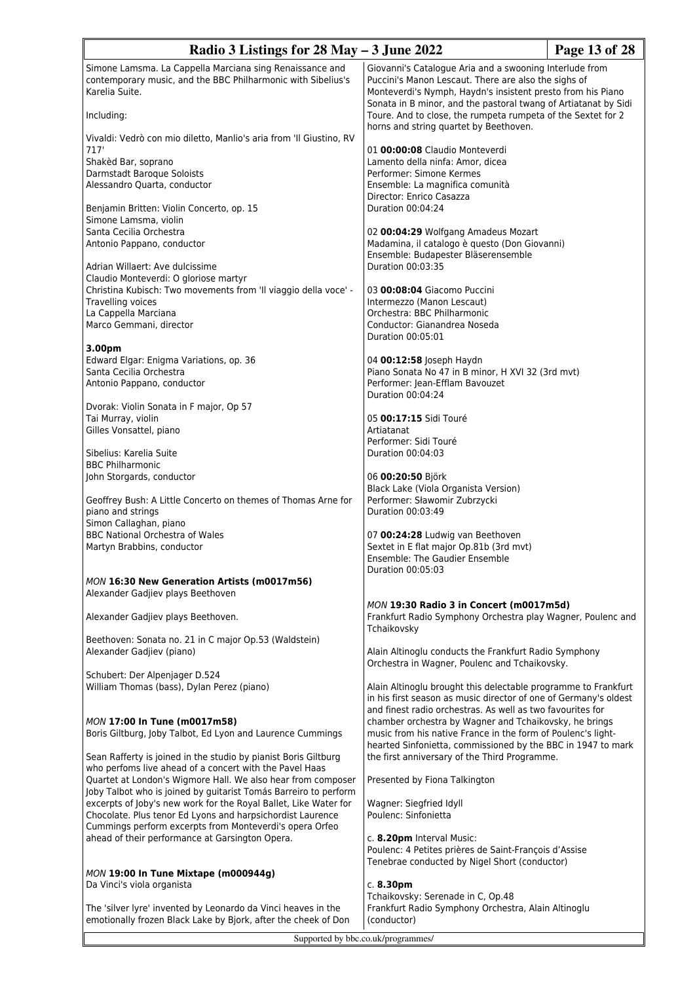| Radio 3 Listings for 28 May – 3 June 2022                                                                                                                                                          |                                                                                                                                                                                                                                                                                                                                                             | Page 13 of 28 |  |
|----------------------------------------------------------------------------------------------------------------------------------------------------------------------------------------------------|-------------------------------------------------------------------------------------------------------------------------------------------------------------------------------------------------------------------------------------------------------------------------------------------------------------------------------------------------------------|---------------|--|
| Simone Lamsma. La Cappella Marciana sing Renaissance and<br>contemporary music, and the BBC Philharmonic with Sibelius's<br>Karelia Suite.<br>Including:                                           | Giovanni's Catalogue Aria and a swooning Interlude from<br>Puccini's Manon Lescaut. There are also the sighs of<br>Monteverdi's Nymph, Haydn's insistent presto from his Piano<br>Sonata in B minor, and the pastoral twang of Artiatanat by Sidi<br>Toure. And to close, the rumpeta rumpeta of the Sextet for 2<br>horns and string quartet by Beethoven. |               |  |
| Vivaldi: Vedrò con mio diletto, Manlio's aria from 'Il Giustino, RV                                                                                                                                |                                                                                                                                                                                                                                                                                                                                                             |               |  |
| 717'<br>Shakèd Bar, soprano<br>Darmstadt Baroque Soloists<br>Alessandro Quarta, conductor                                                                                                          | 01 00:00:08 Claudio Monteverdi<br>Lamento della ninfa: Amor, dicea<br>Performer: Simone Kermes<br>Ensemble: La magnifica comunità<br>Director: Enrico Casazza                                                                                                                                                                                               |               |  |
| Benjamin Britten: Violin Concerto, op. 15<br>Simone Lamsma, violin<br>Santa Cecilia Orchestra                                                                                                      | Duration 00:04:24<br>02 00:04:29 Wolfgang Amadeus Mozart<br>Madamina, il catalogo è questo (Don Giovanni)                                                                                                                                                                                                                                                   |               |  |
| Antonio Pappano, conductor<br>Adrian Willaert: Ave dulcissime<br>Claudio Monteverdi: O gloriose martyr                                                                                             | Ensemble: Budapester Bläserensemble<br>Duration 00:03:35                                                                                                                                                                                                                                                                                                    |               |  |
| Christina Kubisch: Two movements from 'Il viaggio della voce' -<br>Travelling voices<br>La Cappella Marciana                                                                                       | 03 00:08:04 Giacomo Puccini<br>Intermezzo (Manon Lescaut)<br>Orchestra: BBC Philharmonic                                                                                                                                                                                                                                                                    |               |  |
| Marco Gemmani, director                                                                                                                                                                            | Conductor: Gianandrea Noseda<br>Duration 00:05:01                                                                                                                                                                                                                                                                                                           |               |  |
| 3.00pm<br>Edward Elgar: Enigma Variations, op. 36<br>Santa Cecilia Orchestra<br>Antonio Pappano, conductor                                                                                         | 04 00:12:58 Joseph Haydn<br>Piano Sonata No 47 in B minor, H XVI 32 (3rd mvt)<br>Performer: Jean-Efflam Bavouzet<br>Duration 00:04:24                                                                                                                                                                                                                       |               |  |
| Dvorak: Violin Sonata in F major, Op 57<br>Tai Murray, violin<br>Gilles Vonsattel, piano                                                                                                           | 05 00:17:15 Sidi Touré<br>Artiatanat                                                                                                                                                                                                                                                                                                                        |               |  |
| Sibelius: Karelia Suite<br><b>BBC Philharmonic</b>                                                                                                                                                 | Performer: Sidi Touré<br>Duration 00:04:03                                                                                                                                                                                                                                                                                                                  |               |  |
| John Storgards, conductor                                                                                                                                                                          | 06 00:20:50 Björk<br>Black Lake (Viola Organista Version)                                                                                                                                                                                                                                                                                                   |               |  |
| Geoffrey Bush: A Little Concerto on themes of Thomas Arne for<br>piano and strings<br>Simon Callaghan, piano                                                                                       | Performer: Sławomir Zubrzycki<br>Duration 00:03:49                                                                                                                                                                                                                                                                                                          |               |  |
| <b>BBC National Orchestra of Wales</b><br>Martyn Brabbins, conductor                                                                                                                               | 07 00:24:28 Ludwig van Beethoven<br>Sextet in E flat major Op.81b (3rd mvt)<br>Ensemble: The Gaudier Ensemble<br>Duration 00:05:03                                                                                                                                                                                                                          |               |  |
| MON 16:30 New Generation Artists (m0017m56)<br>Alexander Gadjiev plays Beethoven                                                                                                                   |                                                                                                                                                                                                                                                                                                                                                             |               |  |
| Alexander Gadjiev plays Beethoven.                                                                                                                                                                 | MON 19:30 Radio 3 in Concert (m0017m5d)<br>Frankfurt Radio Symphony Orchestra play Wagner, Poulenc and<br>Tchaikovsky                                                                                                                                                                                                                                       |               |  |
| Beethoven: Sonata no. 21 in C major Op.53 (Waldstein)<br>Alexander Gadjiev (piano)                                                                                                                 | Alain Altinoglu conducts the Frankfurt Radio Symphony<br>Orchestra in Wagner, Poulenc and Tchaikovsky.                                                                                                                                                                                                                                                      |               |  |
| Schubert: Der Alpenjager D.524<br>William Thomas (bass), Dylan Perez (piano)                                                                                                                       | Alain Altinoglu brought this delectable programme to Frankfurt<br>in his first season as music director of one of Germany's oldest<br>and finest radio orchestras. As well as two favourites for                                                                                                                                                            |               |  |
| MON 17:00 In Tune (m0017m58)<br>Boris Giltburg, Joby Talbot, Ed Lyon and Laurence Cummings                                                                                                         | chamber orchestra by Wagner and Tchaikovsky, he brings<br>music from his native France in the form of Poulenc's light-<br>hearted Sinfonietta, commissioned by the BBC in 1947 to mark                                                                                                                                                                      |               |  |
| Sean Rafferty is joined in the studio by pianist Boris Giltburg<br>who perfoms live ahead of a concert with the Pavel Haas<br>Quartet at London's Wigmore Hall. We also hear from composer         | the first anniversary of the Third Programme.<br>Presented by Fiona Talkington                                                                                                                                                                                                                                                                              |               |  |
| Joby Talbot who is joined by guitarist Tomás Barreiro to perform<br>excerpts of Joby's new work for the Royal Ballet, Like Water for<br>Chocolate. Plus tenor Ed Lyons and harpsichordist Laurence | Wagner: Siegfried Idyll<br>Poulenc: Sinfonietta                                                                                                                                                                                                                                                                                                             |               |  |
| Cummings perform excerpts from Monteverdi's opera Orfeo<br>ahead of their performance at Garsington Opera.                                                                                         | c. 8.20pm Interval Music:<br>Poulenc: 4 Petites prières de Saint-François d'Assise                                                                                                                                                                                                                                                                          |               |  |
| MON 19:00 In Tune Mixtape (m000944g)                                                                                                                                                               | Tenebrae conducted by Nigel Short (conductor)                                                                                                                                                                                                                                                                                                               |               |  |
| Da Vinci's viola organista                                                                                                                                                                         | c. 8.30pm<br>Tchaikovsky: Serenade in C, Op.48                                                                                                                                                                                                                                                                                                              |               |  |
| The 'silver lyre' invented by Leonardo da Vinci heaves in the<br>emotionally frozen Black Lake by Bjork, after the cheek of Don                                                                    | Frankfurt Radio Symphony Orchestra, Alain Altinoglu<br>(conductor)                                                                                                                                                                                                                                                                                          |               |  |
| Supported by bbc.co.uk/programmes/                                                                                                                                                                 |                                                                                                                                                                                                                                                                                                                                                             |               |  |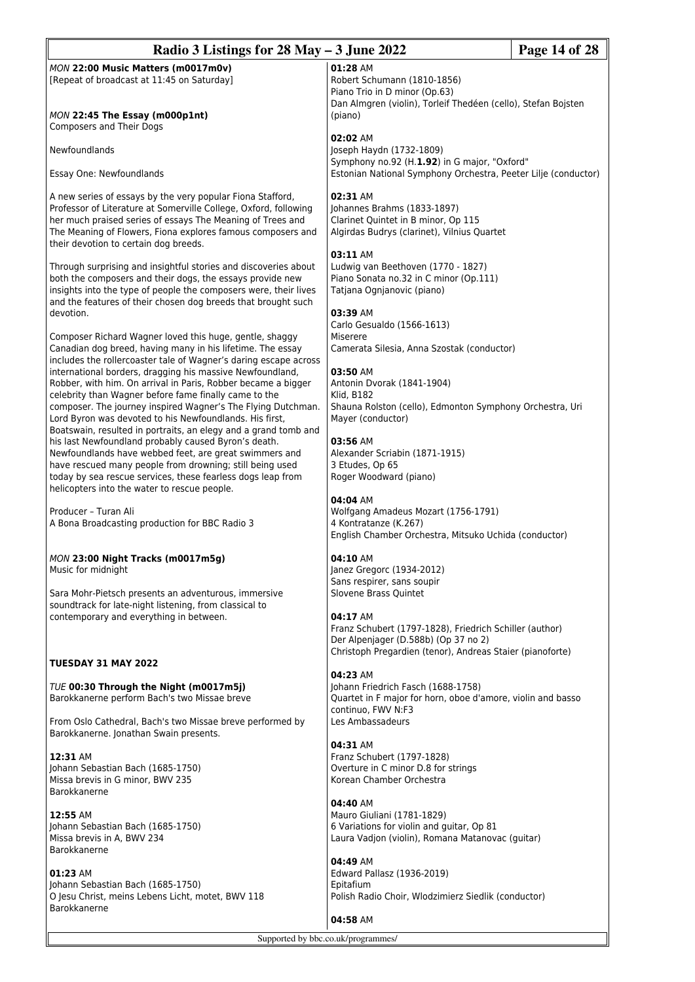| Page 14 of 28<br>Radio 3 Listings for 28 May – 3 June 2022                                                                                                                                                                                                                                                                                                                                                                                                                                                                                                                                                                                                                                                                                                                                                                                                                  |                                                                                                                                                                                                                                                                                            |  |
|-----------------------------------------------------------------------------------------------------------------------------------------------------------------------------------------------------------------------------------------------------------------------------------------------------------------------------------------------------------------------------------------------------------------------------------------------------------------------------------------------------------------------------------------------------------------------------------------------------------------------------------------------------------------------------------------------------------------------------------------------------------------------------------------------------------------------------------------------------------------------------|--------------------------------------------------------------------------------------------------------------------------------------------------------------------------------------------------------------------------------------------------------------------------------------------|--|
| MON 22:00 Music Matters (m0017m0v)<br>[Repeat of broadcast at 11:45 on Saturday]<br>MON 22:45 The Essay (m000p1nt)                                                                                                                                                                                                                                                                                                                                                                                                                                                                                                                                                                                                                                                                                                                                                          | 01:28 AM<br>Robert Schumann (1810-1856)<br>Piano Trio in D minor (Op.63)<br>Dan Almgren (violin), Torleif Thedéen (cello), Stefan Bojsten<br>(piano)                                                                                                                                       |  |
| Composers and Their Dogs<br>Newfoundlands                                                                                                                                                                                                                                                                                                                                                                                                                                                                                                                                                                                                                                                                                                                                                                                                                                   | 02:02 AM<br>Joseph Haydn (1732-1809)                                                                                                                                                                                                                                                       |  |
| Essay One: Newfoundlands                                                                                                                                                                                                                                                                                                                                                                                                                                                                                                                                                                                                                                                                                                                                                                                                                                                    | Symphony no.92 (H.1.92) in G major, "Oxford"<br>Estonian National Symphony Orchestra, Peeter Lilje (conductor)                                                                                                                                                                             |  |
| A new series of essays by the very popular Fiona Stafford,<br>Professor of Literature at Somerville College, Oxford, following<br>her much praised series of essays The Meaning of Trees and<br>The Meaning of Flowers, Fiona explores famous composers and<br>their devotion to certain dog breeds.                                                                                                                                                                                                                                                                                                                                                                                                                                                                                                                                                                        | 02:31 AM<br>Johannes Brahms (1833-1897)<br>Clarinet Quintet in B minor, Op 115<br>Algirdas Budrys (clarinet), Vilnius Quartet<br>03:11 AM                                                                                                                                                  |  |
| Through surprising and insightful stories and discoveries about<br>both the composers and their dogs, the essays provide new<br>insights into the type of people the composers were, their lives<br>and the features of their chosen dog breeds that brought such<br>devotion.                                                                                                                                                                                                                                                                                                                                                                                                                                                                                                                                                                                              | Ludwig van Beethoven (1770 - 1827)<br>Piano Sonata no.32 in C minor (Op.111)<br>Tatjana Ognjanovic (piano)<br>03:39 AM<br>Carlo Gesualdo (1566-1613)                                                                                                                                       |  |
| Composer Richard Wagner loved this huge, gentle, shaggy<br>Canadian dog breed, having many in his lifetime. The essay<br>includes the rollercoaster tale of Wagner's daring escape across<br>international borders, dragging his massive Newfoundland,<br>Robber, with him. On arrival in Paris, Robber became a bigger<br>celebrity than Wagner before fame finally came to the<br>composer. The journey inspired Wagner's The Flying Dutchman.<br>Lord Byron was devoted to his Newfoundlands. His first,<br>Boatswain, resulted in portraits, an elegy and a grand tomb and<br>his last Newfoundland probably caused Byron's death.<br>Newfoundlands have webbed feet, are great swimmers and<br>have rescued many people from drowning; still being used<br>today by sea rescue services, these fearless dogs leap from<br>helicopters into the water to rescue people. | Miserere<br>Camerata Silesia, Anna Szostak (conductor)<br>03:50 AM<br>Antonin Dvorak (1841-1904)<br>Klid, B182<br>Shauna Rolston (cello), Edmonton Symphony Orchestra, Uri<br>Mayer (conductor)<br>03:56 AM<br>Alexander Scriabin (1871-1915)<br>3 Etudes, Op 65<br>Roger Woodward (piano) |  |
| Producer - Turan Ali<br>A Bona Broadcasting production for BBC Radio 3                                                                                                                                                                                                                                                                                                                                                                                                                                                                                                                                                                                                                                                                                                                                                                                                      | 04:04 AM<br>Wolfgang Amadeus Mozart (1756-1791)<br>4 Kontratanze (K.267)<br>English Chamber Orchestra, Mitsuko Uchida (conductor)                                                                                                                                                          |  |
| MON 23:00 Night Tracks (m0017m5g)<br>Music for midnight                                                                                                                                                                                                                                                                                                                                                                                                                                                                                                                                                                                                                                                                                                                                                                                                                     | 04:10 AM<br>Janez Gregorc (1934-2012)<br>Sans respirer, sans soupir                                                                                                                                                                                                                        |  |
| Sara Mohr-Pietsch presents an adventurous, immersive<br>soundtrack for late-night listening, from classical to<br>contemporary and everything in between.                                                                                                                                                                                                                                                                                                                                                                                                                                                                                                                                                                                                                                                                                                                   | Slovene Brass Quintet<br>04:17 AM<br>Franz Schubert (1797-1828), Friedrich Schiller (author)<br>Der Alpenjager (D.588b) (Op 37 no 2)                                                                                                                                                       |  |
| <b>TUESDAY 31 MAY 2022</b>                                                                                                                                                                                                                                                                                                                                                                                                                                                                                                                                                                                                                                                                                                                                                                                                                                                  | Christoph Pregardien (tenor), Andreas Staier (pianoforte)<br>04:23 AM                                                                                                                                                                                                                      |  |
| TUE 00:30 Through the Night (m0017m5j)<br>Barokkanerne perform Bach's two Missae breve                                                                                                                                                                                                                                                                                                                                                                                                                                                                                                                                                                                                                                                                                                                                                                                      | Johann Friedrich Fasch (1688-1758)<br>Quartet in F major for horn, oboe d'amore, violin and basso<br>continuo, FWV N:F3                                                                                                                                                                    |  |
| From Oslo Cathedral, Bach's two Missae breve performed by<br>Barokkanerne. Jonathan Swain presents.                                                                                                                                                                                                                                                                                                                                                                                                                                                                                                                                                                                                                                                                                                                                                                         | Les Ambassadeurs                                                                                                                                                                                                                                                                           |  |
| 12:31 AM<br>Johann Sebastian Bach (1685-1750)<br>Missa brevis in G minor, BWV 235<br>Barokkanerne                                                                                                                                                                                                                                                                                                                                                                                                                                                                                                                                                                                                                                                                                                                                                                           | 04:31 AM<br>Franz Schubert (1797-1828)<br>Overture in C minor D.8 for strings<br>Korean Chamber Orchestra                                                                                                                                                                                  |  |
| 12:55 AM<br>Johann Sebastian Bach (1685-1750)<br>Missa brevis in A, BWV 234<br><b>Barokkanerne</b>                                                                                                                                                                                                                                                                                                                                                                                                                                                                                                                                                                                                                                                                                                                                                                          | 04:40 AM<br>Mauro Giuliani (1781-1829)<br>6 Variations for violin and guitar, Op 81<br>Laura Vadjon (violin), Romana Matanovac (guitar)                                                                                                                                                    |  |
| 01:23 AM<br>Johann Sebastian Bach (1685-1750)<br>O Jesu Christ, meins Lebens Licht, motet, BWV 118<br><b>Barokkanerne</b>                                                                                                                                                                                                                                                                                                                                                                                                                                                                                                                                                                                                                                                                                                                                                   | 04:49 AM<br>Edward Pallasz (1936-2019)<br>Epitafium<br>Polish Radio Choir, Wlodzimierz Siedlik (conductor)<br>04:58 AM                                                                                                                                                                     |  |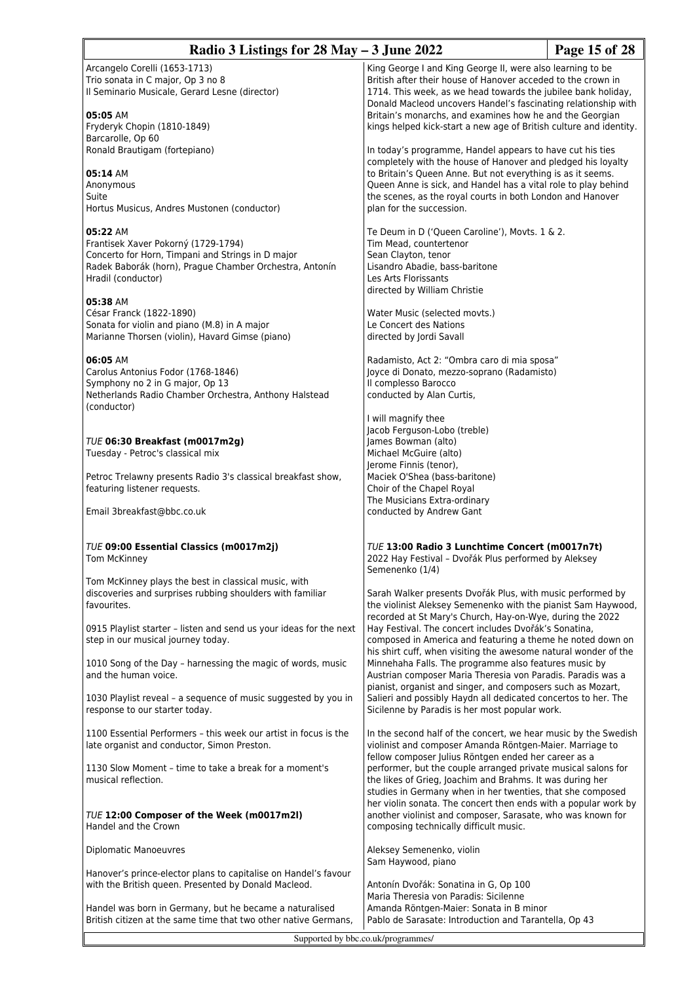| Radio 3 Listings for 28 May - 3 June 2022                                                                                                                                                                             |                                                                                                                                                                                                                                                                                                                                                                                                                                                              | Page 15 of 28 |
|-----------------------------------------------------------------------------------------------------------------------------------------------------------------------------------------------------------------------|--------------------------------------------------------------------------------------------------------------------------------------------------------------------------------------------------------------------------------------------------------------------------------------------------------------------------------------------------------------------------------------------------------------------------------------------------------------|---------------|
| Arcangelo Corelli (1653-1713)<br>Trio sonata in C major, Op 3 no 8<br>Il Seminario Musicale, Gerard Lesne (director)<br>05:05 AM<br>Fryderyk Chopin (1810-1849)<br>Barcarolle, Op 60<br>Ronald Brautigam (fortepiano) | King George I and King George II, were also learning to be<br>British after their house of Hanover acceded to the crown in<br>1714. This week, as we head towards the jubilee bank holiday,<br>Donald Macleod uncovers Handel's fascinating relationship with<br>Britain's monarchs, and examines how he and the Georgian<br>kings helped kick-start a new age of British culture and identity.<br>In today's programme, Handel appears to have cut his ties |               |
| 05:14 AM<br>Anonymous<br>Suite<br>Hortus Musicus, Andres Mustonen (conductor)                                                                                                                                         | completely with the house of Hanover and pledged his loyalty<br>to Britain's Queen Anne. But not everything is as it seems.<br>Queen Anne is sick, and Handel has a vital role to play behind<br>the scenes, as the royal courts in both London and Hanover<br>plan for the succession.                                                                                                                                                                      |               |
| 05:22 AM<br>Frantisek Xaver Pokorný (1729-1794)<br>Concerto for Horn, Timpani and Strings in D major<br>Radek Baborák (horn), Prague Chamber Orchestra, Antonín<br>Hradil (conductor)                                 | Te Deum in D ('Queen Caroline'), Movts. 1 & 2.<br>Tim Mead, countertenor<br>Sean Clayton, tenor<br>Lisandro Abadie, bass-baritone<br>Les Arts Florissants<br>directed by William Christie                                                                                                                                                                                                                                                                    |               |
| 05:38 AM<br>César Franck (1822-1890)<br>Sonata for violin and piano (M.8) in A major<br>Marianne Thorsen (violin), Havard Gimse (piano)                                                                               | Water Music (selected movts.)<br>Le Concert des Nations<br>directed by Jordi Savall                                                                                                                                                                                                                                                                                                                                                                          |               |
| 06:05 AM<br>Carolus Antonius Fodor (1768-1846)<br>Symphony no 2 in G major, Op 13<br>Netherlands Radio Chamber Orchestra, Anthony Halstead<br>(conductor)                                                             | Radamisto, Act 2: "Ombra caro di mia sposa"<br>Joyce di Donato, mezzo-soprano (Radamisto)<br>Il complesso Barocco<br>conducted by Alan Curtis,                                                                                                                                                                                                                                                                                                               |               |
| TUE 06:30 Breakfast (m0017m2g)<br>Tuesday - Petroc's classical mix                                                                                                                                                    | I will magnify thee<br>Jacob Ferguson-Lobo (treble)<br>James Bowman (alto)<br>Michael McGuire (alto)<br>Jerome Finnis (tenor),                                                                                                                                                                                                                                                                                                                               |               |
| Petroc Trelawny presents Radio 3's classical breakfast show,<br>featuring listener requests.<br>Email 3breakfast@bbc.co.uk                                                                                            | Maciek O'Shea (bass-baritone)<br>Choir of the Chapel Royal<br>The Musicians Extra-ordinary<br>conducted by Andrew Gant                                                                                                                                                                                                                                                                                                                                       |               |
| <b>TUE 09:00 Essential Classics (m0017m2j)</b><br>Tom McKinney                                                                                                                                                        | TUE 13:00 Radio 3 Lunchtime Concert (m0017n7t)<br>2022 Hay Festival - Dvořák Plus performed by Aleksey<br>Semenenko (1/4)                                                                                                                                                                                                                                                                                                                                    |               |
| Tom McKinney plays the best in classical music, with<br>discoveries and surprises rubbing shoulders with familiar<br>favourites.                                                                                      | Sarah Walker presents Dvořák Plus, with music performed by<br>the violinist Aleksey Semenenko with the pianist Sam Haywood,<br>recorded at St Mary's Church, Hay-on-Wye, during the 2022                                                                                                                                                                                                                                                                     |               |
| 0915 Playlist starter - listen and send us your ideas for the next<br>step in our musical journey today.                                                                                                              | Hay Festival. The concert includes Dvořák's Sonatina,<br>composed in America and featuring a theme he noted down on<br>his shirt cuff, when visiting the awesome natural wonder of the                                                                                                                                                                                                                                                                       |               |
| 1010 Song of the Day - harnessing the magic of words, music<br>and the human voice.                                                                                                                                   | Minnehaha Falls. The programme also features music by<br>Austrian composer Maria Theresia von Paradis. Paradis was a<br>pianist, organist and singer, and composers such as Mozart,                                                                                                                                                                                                                                                                          |               |
| 1030 Playlist reveal - a sequence of music suggested by you in<br>response to our starter today.                                                                                                                      | Salieri and possibly Haydn all dedicated concertos to her. The<br>Sicilenne by Paradis is her most popular work.                                                                                                                                                                                                                                                                                                                                             |               |
| 1100 Essential Performers - this week our artist in focus is the<br>late organist and conductor, Simon Preston.                                                                                                       | In the second half of the concert, we hear music by the Swedish<br>violinist and composer Amanda Röntgen-Maier. Marriage to<br>fellow composer Julius Röntgen ended her career as a                                                                                                                                                                                                                                                                          |               |
| 1130 Slow Moment - time to take a break for a moment's<br>musical reflection.                                                                                                                                         | performer, but the couple arranged private musical salons for<br>the likes of Grieg, Joachim and Brahms. It was during her<br>studies in Germany when in her twenties, that she composed<br>her violin sonata. The concert then ends with a popular work by                                                                                                                                                                                                  |               |
| TUE 12:00 Composer of the Week (m0017m2l)<br>Handel and the Crown                                                                                                                                                     | another violinist and composer, Sarasate, who was known for<br>composing technically difficult music.                                                                                                                                                                                                                                                                                                                                                        |               |
| <b>Diplomatic Manoeuvres</b>                                                                                                                                                                                          | Aleksey Semenenko, violin<br>Sam Haywood, piano                                                                                                                                                                                                                                                                                                                                                                                                              |               |
| Hanover's prince-elector plans to capitalise on Handel's favour<br>with the British queen. Presented by Donald Macleod.                                                                                               | Antonín Dvořák: Sonatina in G, Op 100<br>Maria Theresia von Paradis: Sicilenne                                                                                                                                                                                                                                                                                                                                                                               |               |
| Handel was born in Germany, but he became a naturalised<br>British citizen at the same time that two other native Germans,                                                                                            | Amanda Röntgen-Maier: Sonata in B minor<br>Pablo de Sarasate: Introduction and Tarantella, Op 43                                                                                                                                                                                                                                                                                                                                                             |               |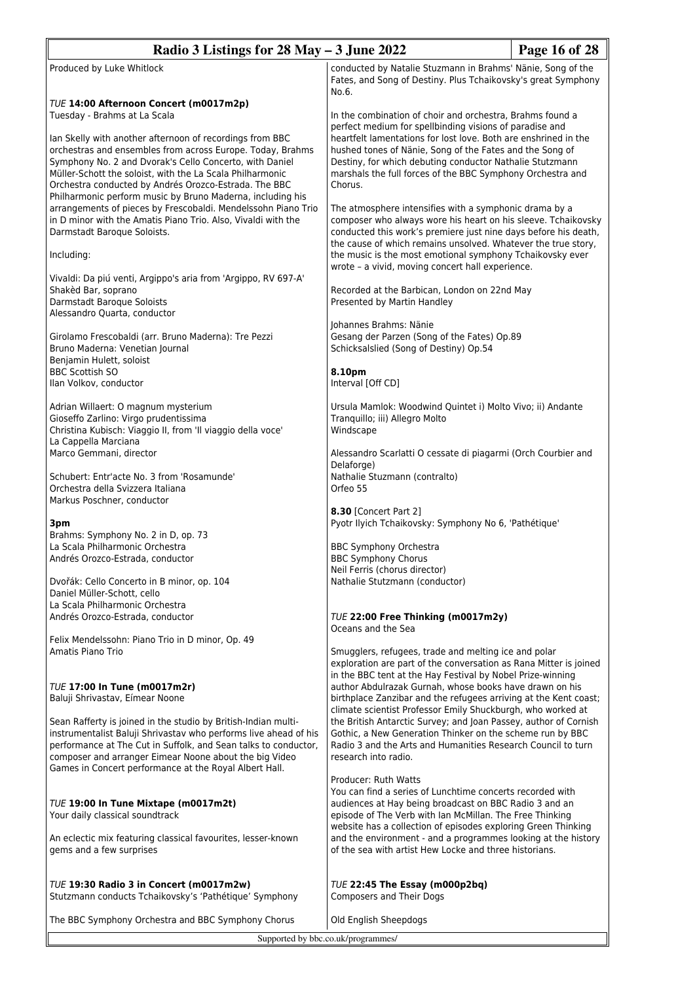| Radio 3 Listings for 28 May – 3 June 2022<br>Page 16 of 28                                                                                                                                                                                                                                                                                                            |                                                                                                                                                                                                                                                                                                                             |  |
|-----------------------------------------------------------------------------------------------------------------------------------------------------------------------------------------------------------------------------------------------------------------------------------------------------------------------------------------------------------------------|-----------------------------------------------------------------------------------------------------------------------------------------------------------------------------------------------------------------------------------------------------------------------------------------------------------------------------|--|
| Produced by Luke Whitlock                                                                                                                                                                                                                                                                                                                                             | conducted by Natalie Stuzmann in Brahms' Nänie, Song of the<br>Fates, and Song of Destiny. Plus Tchaikovsky's great Symphony<br>No.6.                                                                                                                                                                                       |  |
| TUE 14:00 Afternoon Concert (m0017m2p)<br>Tuesday - Brahms at La Scala                                                                                                                                                                                                                                                                                                | In the combination of choir and orchestra, Brahms found a                                                                                                                                                                                                                                                                   |  |
| Ian Skelly with another afternoon of recordings from BBC<br>orchestras and ensembles from across Europe. Today, Brahms<br>Symphony No. 2 and Dvorak's Cello Concerto, with Daniel<br>Müller-Schott the soloist, with the La Scala Philharmonic<br>Orchestra conducted by Andrés Orozco-Estrada. The BBC<br>Philharmonic perform music by Bruno Maderna, including his | perfect medium for spellbinding visions of paradise and<br>heartfelt lamentations for lost love. Both are enshrined in the<br>hushed tones of Nänie, Song of the Fates and the Song of<br>Destiny, for which debuting conductor Nathalie Stutzmann<br>marshals the full forces of the BBC Symphony Orchestra and<br>Chorus. |  |
| arrangements of pieces by Frescobaldi. Mendelssohn Piano Trio<br>in D minor with the Amatis Piano Trio. Also, Vivaldi with the<br>Darmstadt Baroque Soloists.<br>Including:                                                                                                                                                                                           | The atmosphere intensifies with a symphonic drama by a<br>composer who always wore his heart on his sleeve. Tchaikovsky<br>conducted this work's premiere just nine days before his death,<br>the cause of which remains unsolved. Whatever the true story,<br>the music is the most emotional symphony Tchaikovsky ever    |  |
| Vivaldi: Da piú venti, Argippo's aria from 'Argippo, RV 697-A'<br>Shakèd Bar, soprano<br>Darmstadt Baroque Soloists                                                                                                                                                                                                                                                   | wrote - a vivid, moving concert hall experience.<br>Recorded at the Barbican, London on 22nd May<br>Presented by Martin Handley                                                                                                                                                                                             |  |
| Alessandro Quarta, conductor<br>Girolamo Frescobaldi (arr. Bruno Maderna): Tre Pezzi                                                                                                                                                                                                                                                                                  | Johannes Brahms: Nänie<br>Gesang der Parzen (Song of the Fates) Op.89                                                                                                                                                                                                                                                       |  |
| Bruno Maderna: Venetian Journal<br>Benjamin Hulett, soloist<br><b>BBC Scottish SO</b>                                                                                                                                                                                                                                                                                 | Schicksalslied (Song of Destiny) Op.54<br>8.10pm                                                                                                                                                                                                                                                                            |  |
| Ilan Volkov, conductor                                                                                                                                                                                                                                                                                                                                                | Interval [Off CD]                                                                                                                                                                                                                                                                                                           |  |
| Adrian Willaert: O magnum mysterium<br>Gioseffo Zarlino: Virgo prudentissima<br>Christina Kubisch: Viaggio II, from 'Il viaggio della voce'<br>La Cappella Marciana                                                                                                                                                                                                   | Ursula Mamlok: Woodwind Quintet i) Molto Vivo; ii) Andante<br>Tranquillo; iii) Allegro Molto<br>Windscape                                                                                                                                                                                                                   |  |
| Marco Gemmani, director                                                                                                                                                                                                                                                                                                                                               | Alessandro Scarlatti O cessate di piagarmi (Orch Courbier and<br>Delaforge)                                                                                                                                                                                                                                                 |  |
| Schubert: Entr'acte No. 3 from 'Rosamunde'<br>Orchestra della Svizzera Italiana<br>Markus Poschner, conductor                                                                                                                                                                                                                                                         | Nathalie Stuzmann (contralto)<br>Orfeo 55                                                                                                                                                                                                                                                                                   |  |
| 3pm                                                                                                                                                                                                                                                                                                                                                                   | <b>8.30 [Concert Part 2]</b><br>Pyotr Ilyich Tchaikovsky: Symphony No 6, 'Pathétique'                                                                                                                                                                                                                                       |  |
| Brahms: Symphony No. 2 in D, op. 73<br>La Scala Philharmonic Orchestra<br>Andrés Orozco-Estrada, conductor                                                                                                                                                                                                                                                            | <b>BBC Symphony Orchestra</b><br><b>BBC Symphony Chorus</b><br>Neil Ferris (chorus director)                                                                                                                                                                                                                                |  |
| Dvořák: Cello Concerto in B minor, op. 104<br>Daniel Müller-Schott, cello<br>La Scala Philharmonic Orchestra                                                                                                                                                                                                                                                          | Nathalie Stutzmann (conductor)                                                                                                                                                                                                                                                                                              |  |
| Andrés Orozco-Estrada, conductor                                                                                                                                                                                                                                                                                                                                      | TUE 22:00 Free Thinking (m0017m2y)<br>Oceans and the Sea                                                                                                                                                                                                                                                                    |  |
| Felix Mendelssohn: Piano Trio in D minor, Op. 49<br>Amatis Piano Trio                                                                                                                                                                                                                                                                                                 | Smugglers, refugees, trade and melting ice and polar<br>exploration are part of the conversation as Rana Mitter is joined<br>in the BBC tent at the Hay Festival by Nobel Prize-winning                                                                                                                                     |  |
| TUE 17:00 In Tune (m0017m2r)<br>Baluji Shrivastav, Eímear Noone                                                                                                                                                                                                                                                                                                       | author Abdulrazak Gurnah, whose books have drawn on his<br>birthplace Zanzibar and the refugees arriving at the Kent coast;                                                                                                                                                                                                 |  |
| Sean Rafferty is joined in the studio by British-Indian multi-<br>instrumentalist Baluji Shrivastav who performs live ahead of his<br>performance at The Cut in Suffolk, and Sean talks to conductor,<br>composer and arranger Eimear Noone about the big Video<br>Games in Concert performance at the Royal Albert Hall.                                             | climate scientist Professor Emily Shuckburgh, who worked at<br>the British Antarctic Survey; and Joan Passey, author of Cornish<br>Gothic, a New Generation Thinker on the scheme run by BBC<br>Radio 3 and the Arts and Humanities Research Council to turn<br>research into radio.                                        |  |
| TUE 19:00 In Tune Mixtape (m0017m2t)<br>Your daily classical soundtrack                                                                                                                                                                                                                                                                                               | Producer: Ruth Watts<br>You can find a series of Lunchtime concerts recorded with<br>audiences at Hay being broadcast on BBC Radio 3 and an<br>episode of The Verb with Ian McMillan. The Free Thinking<br>website has a collection of episodes exploring Green Thinking                                                    |  |
| An eclectic mix featuring classical favourites, lesser-known<br>gems and a few surprises                                                                                                                                                                                                                                                                              | and the environment - and a programmes looking at the history<br>of the sea with artist Hew Locke and three historians.                                                                                                                                                                                                     |  |
| TUE 19:30 Radio 3 in Concert (m0017m2w)<br>Stutzmann conducts Tchaikovsky's 'Pathétique' Symphony                                                                                                                                                                                                                                                                     | TUE 22:45 The Essay (m000p2bq)<br>Composers and Their Dogs                                                                                                                                                                                                                                                                  |  |
| The BBC Symphony Orchestra and BBC Symphony Chorus                                                                                                                                                                                                                                                                                                                    | Old English Sheepdogs                                                                                                                                                                                                                                                                                                       |  |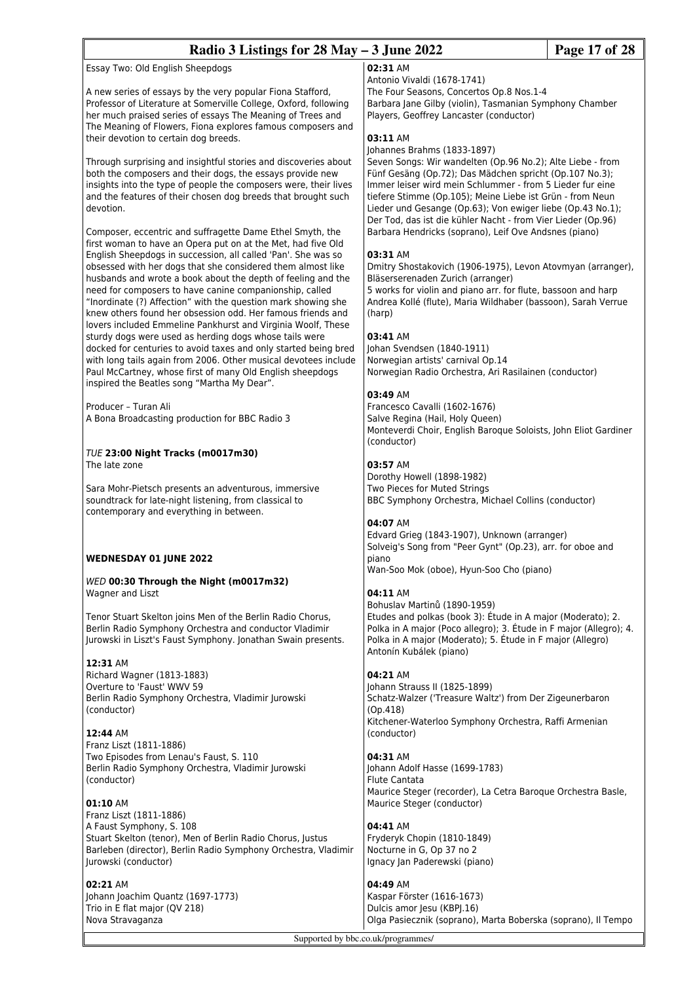# **Radio 3 Listings for 28 May – 3 June 2022 Page 17 of 28**

Essay Two: Old English Sheepdogs

A new series of essays by the very popular Fiona Stafford, Professor of Literature at Somerville College, Oxford, following her much praised series of essays The Meaning of Trees and The Meaning of Flowers, Fiona explores famous composers and their devotion to certain dog breeds.

Through surprising and insightful stories and discoveries about both the composers and their dogs, the essays provide new insights into the type of people the composers were, their lives and the features of their chosen dog breeds that brought such devotion.

Composer, eccentric and suffragette Dame Ethel Smyth, the first woman to have an Opera put on at the Met, had five Old English Sheepdogs in succession, all called 'Pan'. She was so obsessed with her dogs that she considered them almost like husbands and wrote a book about the depth of feeling and the need for composers to have canine companionship, called "Inordinate (?) Affection" with the question mark showing she knew others found her obsession odd. Her famous friends and lovers included Emmeline Pankhurst and Virginia Woolf, These sturdy dogs were used as herding dogs whose tails were docked for centuries to avoid taxes and only started being bred with long tails again from 2006. Other musical devotees include Paul McCartney, whose first of many Old English sheepdogs inspired the Beatles song "Martha My Dear".

Producer – Turan Ali A Bona Broadcasting production for BBC Radio 3

# *TUE* **23:00 Night Tracks (m0017m30)**

The late zone

Sara Mohr-Pietsch presents an adventurous, immersive soundtrack for late-night listening, from classical to contemporary and everything in between.

# **WEDNESDAY 01 JUNE 2022**

#### *WED* **00:30 Through the Night (m0017m32)** Wagner and Liszt

Tenor Stuart Skelton joins Men of the Berlin Radio Chorus, Berlin Radio Symphony Orchestra and conductor Vladimir Jurowski in Liszt's Faust Symphony. Jonathan Swain presents.

## **12:31** AM

Richard Wagner (1813-1883) Overture to 'Faust' WWV 59 Berlin Radio Symphony Orchestra, Vladimir Jurowski (conductor)

#### **12:44** AM

Franz Liszt (1811-1886) Two Episodes from Lenau's Faust, S. 110 Berlin Radio Symphony Orchestra, Vladimir Jurowski (conductor)

#### **01:10** AM

Franz Liszt (1811-1886) A Faust Symphony, S. 108 Stuart Skelton (tenor), Men of Berlin Radio Chorus, Justus Barleben (director), Berlin Radio Symphony Orchestra, Vladimir Jurowski (conductor)

#### **02:21** AM

Johann Joachim Quantz (1697-1773) Trio in E flat major (QV 218) Nova Stravaganza

# **02:31** AM

Antonio Vivaldi (1678-1741) The Four Seasons, Concertos Op.8 Nos.1-4 Barbara Jane Gilby (violin), Tasmanian Symphony Chamber Players, Geoffrey Lancaster (conductor)

## **03:11** AM

Johannes Brahms (1833-1897)

Seven Songs: Wir wandelten (Op.96 No.2); Alte Liebe - from Fünf Gesäng (Op.72); Das Mädchen spricht (Op.107 No.3); Immer leiser wird mein Schlummer - from 5 Lieder fur eine tiefere Stimme (Op.105); Meine Liebe ist Grün - from Neun Lieder und Gesange (Op.63); Von ewiger liebe (Op.43 No.1); Der Tod, das ist die kühler Nacht - from Vier Lieder (Op.96) Barbara Hendricks (soprano), Leif Ove Andsnes (piano)

## **03:31** AM

Dmitry Shostakovich (1906-1975), Levon Atovmyan (arranger), Bläserserenaden Zurich (arranger) 5 works for violin and piano arr. for flute, bassoon and harp Andrea Kollé (flute), Maria Wildhaber (bassoon), Sarah Verrue

# **03:41** AM

(harp)

Johan Svendsen (1840-1911) Norwegian artists' carnival Op.14 Norwegian Radio Orchestra, Ari Rasilainen (conductor)

## **03:49** AM

Francesco Cavalli (1602-1676) Salve Regina (Hail, Holy Queen) Monteverdi Choir, English Baroque Soloists, John Eliot Gardiner (conductor)

## **03:57** AM

Dorothy Howell (1898-1982) Two Pieces for Muted Strings BBC Symphony Orchestra, Michael Collins (conductor)

#### **04:07** AM

Edvard Grieg (1843-1907), Unknown (arranger) Solveig's Song from "Peer Gynt" (Op.23), arr. for oboe and piano Wan-Soo Mok (oboe), Hyun-Soo Cho (piano)

# **04:11** AM

Bohuslav Martinů (1890-1959) Etudes and polkas (book 3): Étude in A major (Moderato); 2. Polka in A major (Poco allegro); 3. Étude in F major (Allegro); 4. Polka in A major (Moderato); 5. Étude in F major (Allegro) Antonín Kubálek (piano)

## **04:21** AM

Johann Strauss II (1825-1899) Schatz-Walzer ('Treasure Waltz') from Der Zigeunerbaron (Op.418) Kitchener-Waterloo Symphony Orchestra, Raffi Armenian (conductor)

# **04:31** AM

Johann Adolf Hasse (1699-1783) Flute Cantata Maurice Steger (recorder), La Cetra Baroque Orchestra Basle, Maurice Steger (conductor)

# **04:41** AM

Fryderyk Chopin (1810-1849) Nocturne in G, Op 37 no 2 Ignacy Jan Paderewski (piano)

# **04:49** AM

Kaspar Förster (1616-1673) Dulcis amor Jesu (KBPJ.16) Olga Pasiecznik (soprano), Marta Boberska (soprano), Il Tempo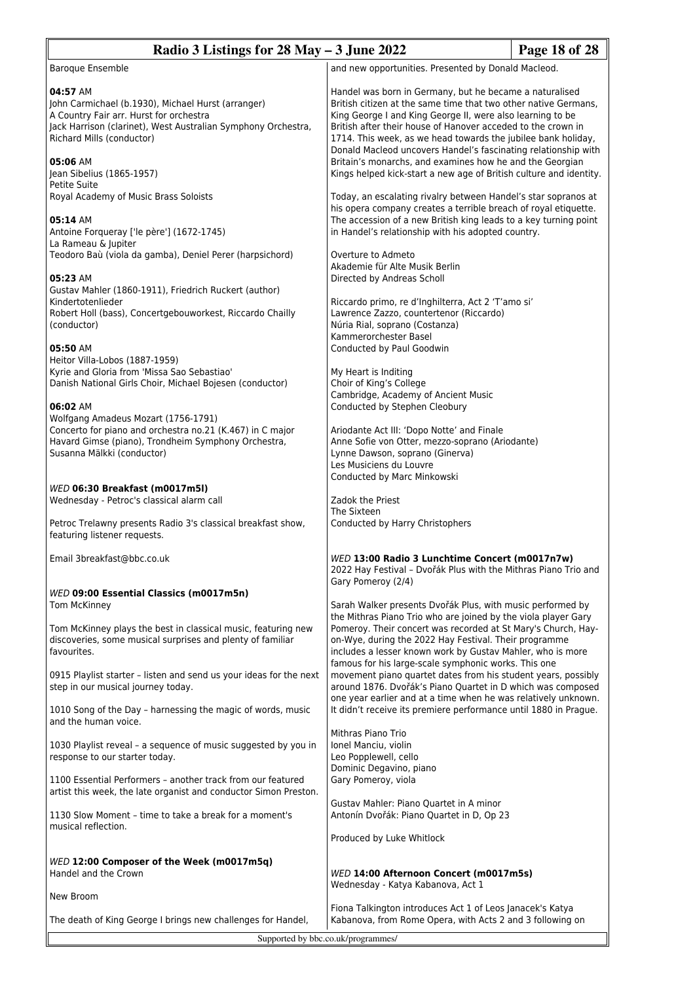| Radio 3 Listings for 28 May – 3 June 2022                                                                                                                                                                                                        |                                                                                                                                                                                                                                                                                                                                                                                                                                                                                                                               | Page 18 of 28 |  |
|--------------------------------------------------------------------------------------------------------------------------------------------------------------------------------------------------------------------------------------------------|-------------------------------------------------------------------------------------------------------------------------------------------------------------------------------------------------------------------------------------------------------------------------------------------------------------------------------------------------------------------------------------------------------------------------------------------------------------------------------------------------------------------------------|---------------|--|
| <b>Baroque Ensemble</b>                                                                                                                                                                                                                          | and new opportunities. Presented by Donald Macleod.                                                                                                                                                                                                                                                                                                                                                                                                                                                                           |               |  |
| 04:57 AM<br>John Carmichael (b.1930), Michael Hurst (arranger)<br>A Country Fair arr. Hurst for orchestra<br>Jack Harrison (clarinet), West Australian Symphony Orchestra,<br>Richard Mills (conductor)<br>05:06 AM<br>Jean Sibelius (1865-1957) | Handel was born in Germany, but he became a naturalised<br>British citizen at the same time that two other native Germans,<br>King George I and King George II, were also learning to be<br>British after their house of Hanover acceded to the crown in<br>1714. This week, as we head towards the jubilee bank holiday,<br>Donald Macleod uncovers Handel's fascinating relationship with<br>Britain's monarchs, and examines how he and the Georgian<br>Kings helped kick-start a new age of British culture and identity. |               |  |
| Petite Suite<br>Royal Academy of Music Brass Soloists                                                                                                                                                                                            | Today, an escalating rivalry between Handel's star sopranos at                                                                                                                                                                                                                                                                                                                                                                                                                                                                |               |  |
| 05:14 AM<br>Antoine Forqueray ['le père'] (1672-1745)<br>La Rameau & Jupiter<br>Teodoro Baù (viola da gamba), Deniel Perer (harpsichord)                                                                                                         | his opera company creates a terrible breach of royal etiquette.<br>The accession of a new British king leads to a key turning point<br>in Handel's relationship with his adopted country.<br>Overture to Admeto                                                                                                                                                                                                                                                                                                               |               |  |
| 05:23 AM<br>Gustav Mahler (1860-1911), Friedrich Ruckert (author)                                                                                                                                                                                | Akademie für Alte Musik Berlin<br>Directed by Andreas Scholl                                                                                                                                                                                                                                                                                                                                                                                                                                                                  |               |  |
| Kindertotenlieder<br>Robert Holl (bass), Concertgebouworkest, Riccardo Chailly<br>(conductor)                                                                                                                                                    | Riccardo primo, re d'Inghilterra, Act 2 'T'amo si'<br>Lawrence Zazzo, countertenor (Riccardo)<br>Núria Rial, soprano (Costanza)<br>Kammerorchester Basel                                                                                                                                                                                                                                                                                                                                                                      |               |  |
| 05:50 AM<br>Heitor Villa-Lobos (1887-1959)<br>Kyrie and Gloria from 'Missa Sao Sebastiao'                                                                                                                                                        | Conducted by Paul Goodwin<br>My Heart is Inditing                                                                                                                                                                                                                                                                                                                                                                                                                                                                             |               |  |
| Danish National Girls Choir, Michael Bojesen (conductor)<br>06:02 AM                                                                                                                                                                             | Choir of King's College<br>Cambridge, Academy of Ancient Music<br>Conducted by Stephen Cleobury                                                                                                                                                                                                                                                                                                                                                                                                                               |               |  |
| Wolfgang Amadeus Mozart (1756-1791)<br>Concerto for piano and orchestra no.21 (K.467) in C major<br>Havard Gimse (piano), Trondheim Symphony Orchestra,<br>Susanna Mälkki (conductor)                                                            | Ariodante Act III: 'Dopo Notte' and Finale<br>Anne Sofie von Otter, mezzo-soprano (Ariodante)<br>Lynne Dawson, soprano (Ginerva)<br>Les Musiciens du Louvre<br>Conducted by Marc Minkowski                                                                                                                                                                                                                                                                                                                                    |               |  |
| WED 06:30 Breakfast (m0017m5l)<br>Wednesday - Petroc's classical alarm call                                                                                                                                                                      | Zadok the Priest<br>The Sixteen                                                                                                                                                                                                                                                                                                                                                                                                                                                                                               |               |  |
| Petroc Trelawny presents Radio 3's classical breakfast show,<br>featuring listener requests.                                                                                                                                                     | Conducted by Harry Christophers                                                                                                                                                                                                                                                                                                                                                                                                                                                                                               |               |  |
| Email 3breakfast@bbc.co.uk                                                                                                                                                                                                                       | WED 13:00 Radio 3 Lunchtime Concert (m0017n7w)<br>2022 Hay Festival - Dvořák Plus with the Mithras Piano Trio and                                                                                                                                                                                                                                                                                                                                                                                                             |               |  |
| WED 09:00 Essential Classics (m0017m5n)                                                                                                                                                                                                          | Gary Pomeroy (2/4)                                                                                                                                                                                                                                                                                                                                                                                                                                                                                                            |               |  |
| Tom McKinney<br>Tom McKinney plays the best in classical music, featuring new<br>discoveries, some musical surprises and plenty of familiar<br>favourites.                                                                                       | Sarah Walker presents Dvořák Plus, with music performed by<br>the Mithras Piano Trio who are joined by the viola player Gary<br>Pomeroy. Their concert was recorded at St Mary's Church, Hay-<br>on-Wye, during the 2022 Hay Festival. Their programme<br>includes a lesser known work by Gustav Mahler, who is more<br>famous for his large-scale symphonic works. This one                                                                                                                                                  |               |  |
| 0915 Playlist starter - listen and send us your ideas for the next<br>step in our musical journey today.                                                                                                                                         | movement piano quartet dates from his student years, possibly<br>around 1876. Dvořák's Piano Quartet in D which was composed<br>one year earlier and at a time when he was relatively unknown.                                                                                                                                                                                                                                                                                                                                |               |  |
| 1010 Song of the Day - harnessing the magic of words, music<br>and the human voice.                                                                                                                                                              | It didn't receive its premiere performance until 1880 in Prague.<br>Mithras Piano Trio                                                                                                                                                                                                                                                                                                                                                                                                                                        |               |  |
| 1030 Playlist reveal - a sequence of music suggested by you in<br>response to our starter today.                                                                                                                                                 | Ionel Manciu, violin<br>Leo Popplewell, cello<br>Dominic Degavino, piano                                                                                                                                                                                                                                                                                                                                                                                                                                                      |               |  |
| 1100 Essential Performers - another track from our featured<br>artist this week, the late organist and conductor Simon Preston.                                                                                                                  | Gary Pomeroy, viola                                                                                                                                                                                                                                                                                                                                                                                                                                                                                                           |               |  |
| 1130 Slow Moment - time to take a break for a moment's<br>musical reflection.                                                                                                                                                                    | Gustav Mahler: Piano Quartet in A minor<br>Antonín Dvořák: Piano Quartet in D, Op 23                                                                                                                                                                                                                                                                                                                                                                                                                                          |               |  |
|                                                                                                                                                                                                                                                  | Produced by Luke Whitlock                                                                                                                                                                                                                                                                                                                                                                                                                                                                                                     |               |  |
| WED 12:00 Composer of the Week (m0017m5q)<br>Handel and the Crown                                                                                                                                                                                | WED 14:00 Afternoon Concert (m0017m5s)<br>Wednesday - Katya Kabanova, Act 1                                                                                                                                                                                                                                                                                                                                                                                                                                                   |               |  |
| New Broom                                                                                                                                                                                                                                        | Fiona Talkington introduces Act 1 of Leos Janacek's Katya                                                                                                                                                                                                                                                                                                                                                                                                                                                                     |               |  |
| The death of King George I brings new challenges for Handel,                                                                                                                                                                                     | Kabanova, from Rome Opera, with Acts 2 and 3 following on                                                                                                                                                                                                                                                                                                                                                                                                                                                                     |               |  |
| Supported by bbc.co.uk/programmes/                                                                                                                                                                                                               |                                                                                                                                                                                                                                                                                                                                                                                                                                                                                                                               |               |  |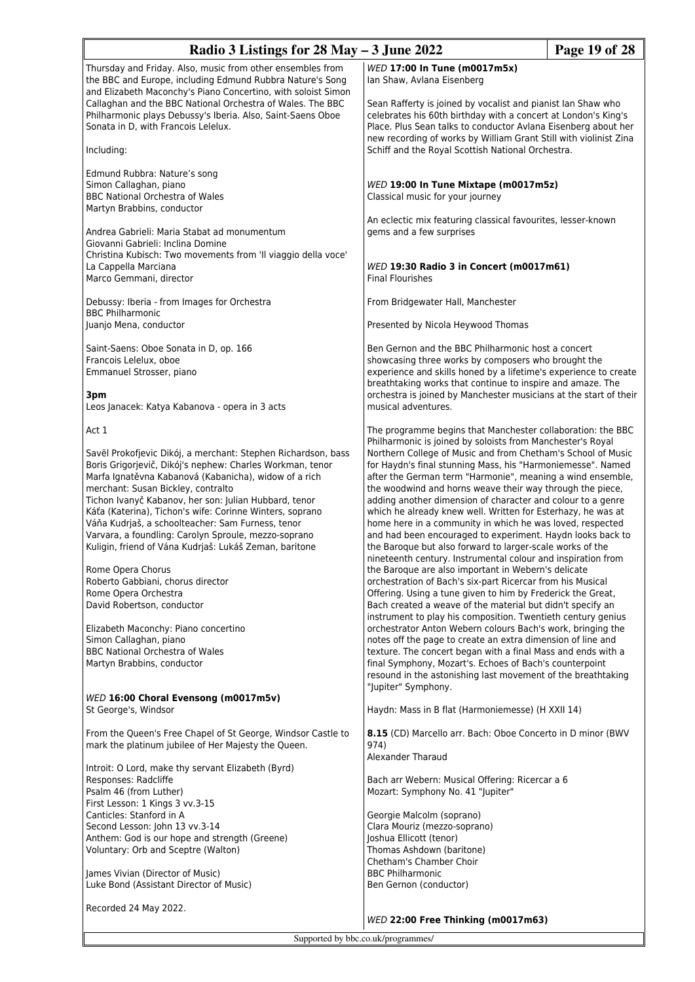| Radio 3 Listings for 28 May – 3 June 2022                                                                                                                                                                                                                                                                                                                                                                                                                                                                             | Page 19 of 28                                                                                                                                                                                                                                                                                                                                                                                                                                                                                                                                                                 |  |
|-----------------------------------------------------------------------------------------------------------------------------------------------------------------------------------------------------------------------------------------------------------------------------------------------------------------------------------------------------------------------------------------------------------------------------------------------------------------------------------------------------------------------|-------------------------------------------------------------------------------------------------------------------------------------------------------------------------------------------------------------------------------------------------------------------------------------------------------------------------------------------------------------------------------------------------------------------------------------------------------------------------------------------------------------------------------------------------------------------------------|--|
| Thursday and Friday. Also, music from other ensembles from<br>the BBC and Europe, including Edmund Rubbra Nature's Song<br>and Elizabeth Maconchy's Piano Concertino, with soloist Simon                                                                                                                                                                                                                                                                                                                              | WED 17:00 In Tune (m0017m5x)<br>Ian Shaw, Avlana Eisenberg                                                                                                                                                                                                                                                                                                                                                                                                                                                                                                                    |  |
| Callaghan and the BBC National Orchestra of Wales. The BBC<br>Philharmonic plays Debussy's Iberia. Also, Saint-Saens Oboe<br>Sonata in D, with Francois Lelelux.                                                                                                                                                                                                                                                                                                                                                      | Sean Rafferty is joined by vocalist and pianist Ian Shaw who<br>celebrates his 60th birthday with a concert at London's King's<br>Place. Plus Sean talks to conductor Avlana Eisenberg about her<br>new recording of works by William Grant Still with violinist Zina                                                                                                                                                                                                                                                                                                         |  |
| Including:                                                                                                                                                                                                                                                                                                                                                                                                                                                                                                            | Schiff and the Royal Scottish National Orchestra.                                                                                                                                                                                                                                                                                                                                                                                                                                                                                                                             |  |
| Edmund Rubbra: Nature's song<br>Simon Callaghan, piano<br><b>BBC National Orchestra of Wales</b><br>Martyn Brabbins, conductor                                                                                                                                                                                                                                                                                                                                                                                        | WED 19:00 In Tune Mixtape (m0017m5z)<br>Classical music for your journey                                                                                                                                                                                                                                                                                                                                                                                                                                                                                                      |  |
| Andrea Gabrieli: Maria Stabat ad monumentum<br>Giovanni Gabrieli: Inclina Domine<br>Christina Kubisch: Two movements from 'Il viaggio della voce'                                                                                                                                                                                                                                                                                                                                                                     | An eclectic mix featuring classical favourites, lesser-known<br>gems and a few surprises                                                                                                                                                                                                                                                                                                                                                                                                                                                                                      |  |
| La Cappella Marciana<br>Marco Gemmani, director                                                                                                                                                                                                                                                                                                                                                                                                                                                                       | WED 19:30 Radio 3 in Concert (m0017m61)<br><b>Final Flourishes</b>                                                                                                                                                                                                                                                                                                                                                                                                                                                                                                            |  |
| Debussy: Iberia - from Images for Orchestra<br><b>BBC Philharmonic</b>                                                                                                                                                                                                                                                                                                                                                                                                                                                | From Bridgewater Hall, Manchester                                                                                                                                                                                                                                                                                                                                                                                                                                                                                                                                             |  |
| Juanjo Mena, conductor                                                                                                                                                                                                                                                                                                                                                                                                                                                                                                | Presented by Nicola Heywood Thomas                                                                                                                                                                                                                                                                                                                                                                                                                                                                                                                                            |  |
| Saint-Saens: Oboe Sonata in D, op. 166<br>Francois Lelelux, oboe<br>Emmanuel Strosser, piano                                                                                                                                                                                                                                                                                                                                                                                                                          | Ben Gernon and the BBC Philharmonic host a concert<br>showcasing three works by composers who brought the<br>experience and skills honed by a lifetime's experience to create<br>breathtaking works that continue to inspire and amaze. The                                                                                                                                                                                                                                                                                                                                   |  |
| 3pm<br>Leos Janacek: Katya Kabanova - opera in 3 acts                                                                                                                                                                                                                                                                                                                                                                                                                                                                 | orchestra is joined by Manchester musicians at the start of their<br>musical adventures.                                                                                                                                                                                                                                                                                                                                                                                                                                                                                      |  |
| Act 1                                                                                                                                                                                                                                                                                                                                                                                                                                                                                                                 | The programme begins that Manchester collaboration: the BBC<br>Philharmonic is joined by soloists from Manchester's Royal                                                                                                                                                                                                                                                                                                                                                                                                                                                     |  |
| Savël Prokofjevic Dikój, a merchant: Stephen Richardson, bass<br>Boris Grigorjevič, Dikój's nephew: Charles Workman, tenor<br>Marfa Ignatěvna Kabanová (Kabanicha), widow of a rich<br>merchant: Susan Bickley, contralto<br>Tichon Ivanyč Kabanov, her son: Julian Hubbard, tenor<br>Káťa (Katerina), Tichon's wife: Corinne Winters, soprano<br>Váňa Kudrjaš, a schoolteacher: Sam Furness, tenor<br>Varvara, a foundling: Carolyn Sproule, mezzo-soprano<br>Kuligin, friend of Vána Kudrjaš: Lukáš Zeman, baritone | Northern College of Music and from Chetham's School of Music<br>for Haydn's final stunning Mass, his "Harmoniemesse". Named<br>after the German term "Harmonie", meaning a wind ensemble,<br>the woodwind and horns weave their way through the piece,<br>adding another dimension of character and colour to a genre<br>which he already knew well. Written for Esterhazy, he was at<br>home here in a community in which he was loved, respected<br>and had been encouraged to experiment. Haydn looks back to<br>the Baroque but also forward to larger-scale works of the |  |
| Rome Opera Chorus<br>Roberto Gabbiani, chorus director<br>Rome Opera Orchestra<br>David Robertson, conductor<br>Elizabeth Maconchy: Piano concertino                                                                                                                                                                                                                                                                                                                                                                  | nineteenth century. Instrumental colour and inspiration from<br>the Baroque are also important in Webern's delicate<br>orchestration of Bach's six-part Ricercar from his Musical<br>Offering. Using a tune given to him by Frederick the Great,<br>Bach created a weave of the material but didn't specify an<br>instrument to play his composition. Twentieth century genius<br>orchestrator Anton Webern colours Bach's work, bringing the                                                                                                                                 |  |
| Simon Callaghan, piano<br><b>BBC National Orchestra of Wales</b><br>Martyn Brabbins, conductor                                                                                                                                                                                                                                                                                                                                                                                                                        | notes off the page to create an extra dimension of line and<br>texture. The concert began with a final Mass and ends with a<br>final Symphony, Mozart's. Echoes of Bach's counterpoint<br>resound in the astonishing last movement of the breathtaking<br>"Jupiter" Symphony.                                                                                                                                                                                                                                                                                                 |  |
| WED 16:00 Choral Evensong (m0017m5v)<br>St George's, Windsor                                                                                                                                                                                                                                                                                                                                                                                                                                                          | Haydn: Mass in B flat (Harmoniemesse) (H XXII 14)                                                                                                                                                                                                                                                                                                                                                                                                                                                                                                                             |  |
| From the Queen's Free Chapel of St George, Windsor Castle to<br>mark the platinum jubilee of Her Majesty the Queen.                                                                                                                                                                                                                                                                                                                                                                                                   | <b>8.15</b> (CD) Marcello arr. Bach: Oboe Concerto in D minor (BWV<br>974)<br>Alexander Tharaud                                                                                                                                                                                                                                                                                                                                                                                                                                                                               |  |
| Introit: O Lord, make thy servant Elizabeth (Byrd)<br>Responses: Radcliffe<br>Psalm 46 (from Luther)<br>First Lesson: 1 Kings 3 vv.3-15                                                                                                                                                                                                                                                                                                                                                                               | Bach arr Webern: Musical Offering: Ricercar a 6<br>Mozart: Symphony No. 41 "Jupiter"                                                                                                                                                                                                                                                                                                                                                                                                                                                                                          |  |
| Canticles: Stanford in A<br>Second Lesson: John 13 vv.3-14<br>Anthem: God is our hope and strength (Greene)<br>Voluntary: Orb and Sceptre (Walton)                                                                                                                                                                                                                                                                                                                                                                    | Georgie Malcolm (soprano)<br>Clara Mouriz (mezzo-soprano)<br>Joshua Ellicott (tenor)<br>Thomas Ashdown (baritone)                                                                                                                                                                                                                                                                                                                                                                                                                                                             |  |
| James Vivian (Director of Music)<br>Luke Bond (Assistant Director of Music)                                                                                                                                                                                                                                                                                                                                                                                                                                           | Chetham's Chamber Choir<br><b>BBC Philharmonic</b><br>Ben Gernon (conductor)                                                                                                                                                                                                                                                                                                                                                                                                                                                                                                  |  |
| Recorded 24 May 2022.                                                                                                                                                                                                                                                                                                                                                                                                                                                                                                 | WED 22:00 Free Thinking (m0017m63)                                                                                                                                                                                                                                                                                                                                                                                                                                                                                                                                            |  |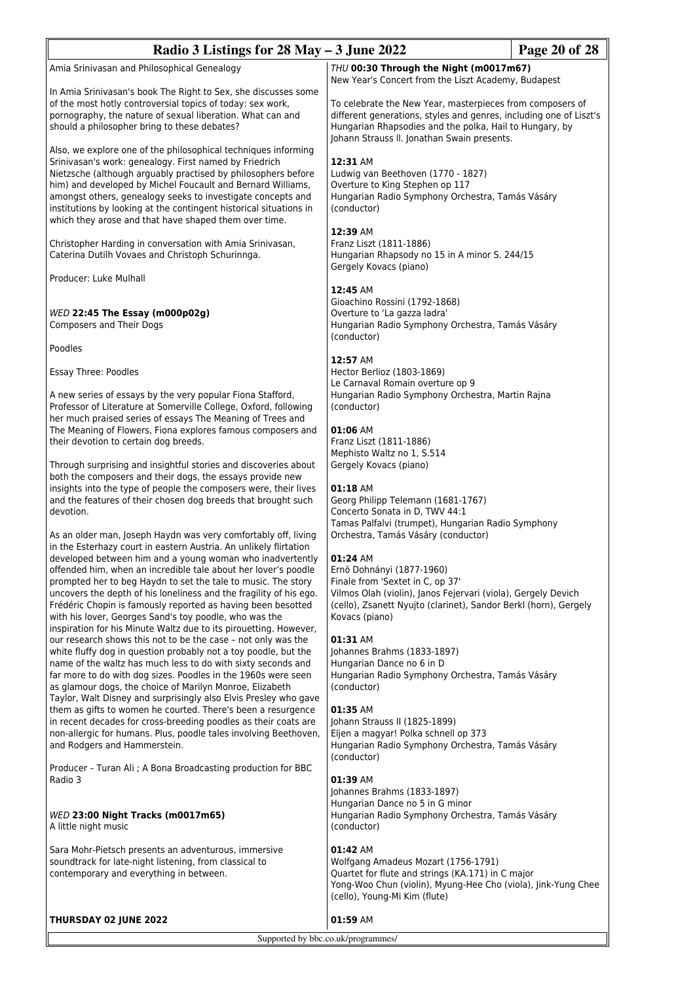| Radio 3 Listings for 28 May – 3 June 2022                                                                                                                                                                                                                                                                                                                                                                                                                         |                                                                                                                                                                                                                                                   | Page 20 of 28 |
|-------------------------------------------------------------------------------------------------------------------------------------------------------------------------------------------------------------------------------------------------------------------------------------------------------------------------------------------------------------------------------------------------------------------------------------------------------------------|---------------------------------------------------------------------------------------------------------------------------------------------------------------------------------------------------------------------------------------------------|---------------|
| Amia Srinivasan and Philosophical Genealogy                                                                                                                                                                                                                                                                                                                                                                                                                       | THU 00:30 Through the Night (m0017m67)                                                                                                                                                                                                            |               |
| In Amia Srinivasan's book The Right to Sex, she discusses some<br>of the most hotly controversial topics of today: sex work,<br>pornography, the nature of sexual liberation. What can and<br>should a philosopher bring to these debates?                                                                                                                                                                                                                        | New Year's Concert from the Liszt Academy, Budapest<br>To celebrate the New Year, masterpieces from composers of<br>different generations, styles and genres, including one of Liszt's<br>Hungarian Rhapsodies and the polka, Hail to Hungary, by |               |
| Also, we explore one of the philosophical techniques informing<br>Srinivasan's work: genealogy. First named by Friedrich<br>Nietzsche (although arguably practised by philosophers before<br>him) and developed by Michel Foucault and Bernard Williams,<br>amongst others, genealogy seeks to investigate concepts and<br>institutions by looking at the contingent historical situations in<br>which they arose and that have shaped them over time.            | Johann Strauss II. Jonathan Swain presents.<br>12:31 AM<br>Ludwig van Beethoven (1770 - 1827)<br>Overture to King Stephen op 117<br>Hungarian Radio Symphony Orchestra, Tamás Vásáry<br>(conductor)<br>12:39 AM                                   |               |
| Christopher Harding in conversation with Amia Srinivasan,<br>Caterina Dutilh Vovaes and Christoph Schurinnga.                                                                                                                                                                                                                                                                                                                                                     | Franz Liszt (1811-1886)<br>Hungarian Rhapsody no 15 in A minor S. 244/15<br>Gergely Kovacs (piano)                                                                                                                                                |               |
| Producer: Luke Mulhall                                                                                                                                                                                                                                                                                                                                                                                                                                            |                                                                                                                                                                                                                                                   |               |
| WED 22:45 The Essay (m000p02g)<br><b>Composers and Their Dogs</b><br>Poodles                                                                                                                                                                                                                                                                                                                                                                                      | 12:45 AM<br>Gioachino Rossini (1792-1868)<br>Overture to 'La gazza ladra'<br>Hungarian Radio Symphony Orchestra, Tamás Vásáry<br>(conductor)                                                                                                      |               |
|                                                                                                                                                                                                                                                                                                                                                                                                                                                                   | 12:57 AM                                                                                                                                                                                                                                          |               |
| Essay Three: Poodles<br>A new series of essays by the very popular Fiona Stafford,<br>Professor of Literature at Somerville College, Oxford, following<br>her much praised series of essays The Meaning of Trees and<br>The Meaning of Flowers, Fiona explores famous composers and<br>their devotion to certain dog breeds.                                                                                                                                      | Hector Berlioz (1803-1869)<br>Le Carnaval Romain overture op 9<br>Hungarian Radio Symphony Orchestra, Martin Rajna<br>(conductor)<br>01:06 AM<br>Franz Liszt (1811-1886)                                                                          |               |
|                                                                                                                                                                                                                                                                                                                                                                                                                                                                   | Mephisto Waltz no 1, S.514                                                                                                                                                                                                                        |               |
| Through surprising and insightful stories and discoveries about<br>both the composers and their dogs, the essays provide new<br>insights into the type of people the composers were, their lives<br>and the features of their chosen dog breeds that brought such<br>devotion.<br>As an older man, Joseph Haydn was very comfortably off, living<br>in the Esterhazy court in eastern Austria. An unlikely flirtation                                             | Gergely Kovacs (piano)<br>01:18 AM<br>Georg Philipp Telemann (1681-1767)<br>Concerto Sonata in D, TWV 44:1<br>Tamas Palfalvi (trumpet), Hungarian Radio Symphony<br>Orchestra, Tamás Vásáry (conductor)                                           |               |
| developed between him and a young woman who inadvertently<br>offended him, when an incredible tale about her lover's poodle<br>prompted her to beg Haydn to set the tale to music. The story<br>uncovers the depth of his loneliness and the fragility of his ego.<br>Frédéric Chopin is famously reported as having been besotted<br>with his lover, Georges Sand's toy poodle, who was the<br>inspiration for his Minute Waltz due to its pirouetting. However, | 01:24 AM<br>Ernö Dohnányi (1877-1960)<br>Finale from 'Sextet in C, op 37'<br>Vilmos Olah (violin), Janos Fejervari (viola), Gergely Devich<br>(cello), Zsanett Nyujto (clarinet), Sandor Berkl (horn), Gergely<br>Kovacs (piano)                  |               |
| our research shows this not to be the case - not only was the                                                                                                                                                                                                                                                                                                                                                                                                     | 01:31 AM                                                                                                                                                                                                                                          |               |
| white fluffy dog in question probably not a toy poodle, but the<br>name of the waltz has much less to do with sixty seconds and<br>far more to do with dog sizes. Poodles in the 1960s were seen<br>as glamour dogs, the choice of Marilyn Monroe, Elizabeth                                                                                                                                                                                                      | Johannes Brahms (1833-1897)<br>Hungarian Dance no 6 in D<br>Hungarian Radio Symphony Orchestra, Tamás Vásáry<br>(conductor)                                                                                                                       |               |
| Taylor, Walt Disney and surprisingly also Elvis Presley who gave<br>them as gifts to women he courted. There's been a resurgence<br>in recent decades for cross-breeding poodles as their coats are<br>non-allergic for humans. Plus, poodle tales involving Beethoven,<br>and Rodgers and Hammerstein.                                                                                                                                                           | 01:35 AM<br>Johann Strauss II (1825-1899)<br>Eljen a magyar! Polka schnell op 373<br>Hungarian Radio Symphony Orchestra, Tamás Vásáry<br>(conductor)                                                                                              |               |
| Producer - Turan Ali ; A Bona Broadcasting production for BBC<br>Radio 3                                                                                                                                                                                                                                                                                                                                                                                          | 01:39 AM<br>Johannes Brahms (1833-1897)                                                                                                                                                                                                           |               |
| <b>WED 23:00 Night Tracks (m0017m65)</b><br>A little night music                                                                                                                                                                                                                                                                                                                                                                                                  | Hungarian Dance no 5 in G minor<br>Hungarian Radio Symphony Orchestra, Tamás Vásáry<br>(conductor)                                                                                                                                                |               |
| Sara Mohr-Pietsch presents an adventurous, immersive<br>soundtrack for late-night listening, from classical to<br>contemporary and everything in between.                                                                                                                                                                                                                                                                                                         | 01:42 AM<br>Wolfgang Amadeus Mozart (1756-1791)<br>Quartet for flute and strings (KA.171) in C major<br>Yong-Woo Chun (violin), Myung-Hee Cho (viola), Jink-Yung Chee<br>(cello), Young-Mi Kim (flute)                                            |               |
| THURSDAY 02 JUNE 2022                                                                                                                                                                                                                                                                                                                                                                                                                                             | 01:59 AM                                                                                                                                                                                                                                          |               |
| Supported by bbc.co.uk/programmes/                                                                                                                                                                                                                                                                                                                                                                                                                                |                                                                                                                                                                                                                                                   |               |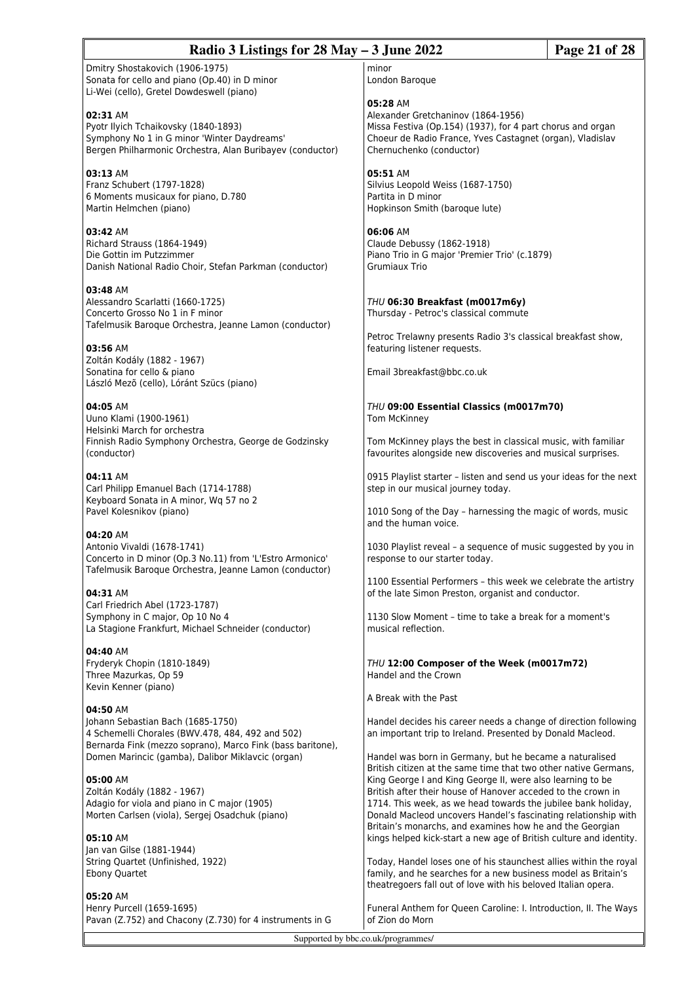| Radio 3 Listings for 28 May – 3 June 2022                                                                                                                                                                                                                                                                         |                                                                                                                                                                                                                                                                                                                                                                                                                                                                                                                       | Page 21 of 28 |
|-------------------------------------------------------------------------------------------------------------------------------------------------------------------------------------------------------------------------------------------------------------------------------------------------------------------|-----------------------------------------------------------------------------------------------------------------------------------------------------------------------------------------------------------------------------------------------------------------------------------------------------------------------------------------------------------------------------------------------------------------------------------------------------------------------------------------------------------------------|---------------|
| Dmitry Shostakovich (1906-1975)<br>Sonata for cello and piano (Op.40) in D minor<br>Li-Wei (cello), Gretel Dowdeswell (piano)                                                                                                                                                                                     | minor<br>London Baroque                                                                                                                                                                                                                                                                                                                                                                                                                                                                                               |               |
| 02:31 AM<br>Pyotr Ilyich Tchaikovsky (1840-1893)<br>Symphony No 1 in G minor 'Winter Daydreams'<br>Bergen Philharmonic Orchestra, Alan Buribayev (conductor)                                                                                                                                                      | 05:28 AM<br>Alexander Gretchaninov (1864-1956)<br>Missa Festiva (Op.154) (1937), for 4 part chorus and organ<br>Choeur de Radio France, Yves Castagnet (organ), Vladislav<br>Chernuchenko (conductor)                                                                                                                                                                                                                                                                                                                 |               |
| 03:13 AM<br>Franz Schubert (1797-1828)<br>6 Moments musicaux for piano, D.780<br>Martin Helmchen (piano)                                                                                                                                                                                                          | 05:51 AM<br>Silvius Leopold Weiss (1687-1750)<br>Partita in D minor<br>Hopkinson Smith (baroque lute)                                                                                                                                                                                                                                                                                                                                                                                                                 |               |
| 03:42 AM<br>Richard Strauss (1864-1949)<br>Die Gottin im Putzzimmer<br>Danish National Radio Choir, Stefan Parkman (conductor)                                                                                                                                                                                    | 06:06 AM<br>Claude Debussy (1862-1918)<br>Piano Trio in G major 'Premier Trio' (c.1879)<br><b>Grumiaux Trio</b>                                                                                                                                                                                                                                                                                                                                                                                                       |               |
| 03:48 AM<br>Alessandro Scarlatti (1660-1725)<br>Concerto Grosso No 1 in F minor<br>Tafelmusik Baroque Orchestra, Jeanne Lamon (conductor)                                                                                                                                                                         | THU 06:30 Breakfast (m0017m6y)<br>Thursday - Petroc's classical commute<br>Petroc Trelawny presents Radio 3's classical breakfast show,                                                                                                                                                                                                                                                                                                                                                                               |               |
| 03:56 AM<br>Zoltán Kodály (1882 - 1967)<br>Sonatina for cello & piano<br>László Mező (cello), Lóránt Szücs (piano)                                                                                                                                                                                                | featuring listener requests.<br>Email 3breakfast@bbc.co.uk                                                                                                                                                                                                                                                                                                                                                                                                                                                            |               |
| 04:05 AM<br>Uuno Klami (1900-1961)<br>Helsinki March for orchestra<br>Finnish Radio Symphony Orchestra, George de Godzinsky                                                                                                                                                                                       | THU 09:00 Essential Classics (m0017m70)<br>Tom McKinney<br>Tom McKinney plays the best in classical music, with familiar                                                                                                                                                                                                                                                                                                                                                                                              |               |
| (conductor)<br>04:11 AM<br>Carl Philipp Emanuel Bach (1714-1788)<br>Keyboard Sonata in A minor, Wq 57 no 2                                                                                                                                                                                                        | favourites alongside new discoveries and musical surprises.<br>0915 Playlist starter - listen and send us your ideas for the next<br>step in our musical journey today.                                                                                                                                                                                                                                                                                                                                               |               |
| Pavel Kolesnikov (piano)<br>04:20 AM<br>Antonio Vivaldi (1678-1741)                                                                                                                                                                                                                                               | 1010 Song of the Day - harnessing the magic of words, music<br>and the human voice.<br>1030 Playlist reveal - a sequence of music suggested by you in                                                                                                                                                                                                                                                                                                                                                                 |               |
| Concerto in D minor (Op.3 No.11) from 'L'Estro Armonico'<br>Tafelmusik Baroque Orchestra, Jeanne Lamon (conductor)<br>04:31 AM                                                                                                                                                                                    | response to our starter today.<br>1100 Essential Performers - this week we celebrate the artistry<br>of the late Simon Preston, organist and conductor.                                                                                                                                                                                                                                                                                                                                                               |               |
| Carl Friedrich Abel (1723-1787)<br>Symphony in C major, Op 10 No 4<br>La Stagione Frankfurt, Michael Schneider (conductor)                                                                                                                                                                                        | 1130 Slow Moment - time to take a break for a moment's<br>musical reflection.                                                                                                                                                                                                                                                                                                                                                                                                                                         |               |
| 04:40 AM<br>Fryderyk Chopin (1810-1849)<br>Three Mazurkas, Op 59<br>Kevin Kenner (piano)                                                                                                                                                                                                                          | THU 12:00 Composer of the Week (m0017m72)<br>Handel and the Crown                                                                                                                                                                                                                                                                                                                                                                                                                                                     |               |
| 04:50 AM<br>Johann Sebastian Bach (1685-1750)                                                                                                                                                                                                                                                                     | A Break with the Past<br>Handel decides his career needs a change of direction following                                                                                                                                                                                                                                                                                                                                                                                                                              |               |
| 4 Schemelli Chorales (BWV.478, 484, 492 and 502)<br>Bernarda Fink (mezzo soprano), Marco Fink (bass baritone),<br>Domen Marincic (gamba), Dalibor Miklavcic (organ)<br>05:00 AM<br>Zoltán Kodály (1882 - 1967)<br>Adagio for viola and piano in C major (1905)<br>Morten Carlsen (viola), Sergej Osadchuk (piano) | an important trip to Ireland. Presented by Donald Macleod.<br>Handel was born in Germany, but he became a naturalised<br>British citizen at the same time that two other native Germans,<br>King George I and King George II, were also learning to be<br>British after their house of Hanover acceded to the crown in<br>1714. This week, as we head towards the jubilee bank holiday,<br>Donald Macleod uncovers Handel's fascinating relationship with<br>Britain's monarchs, and examines how he and the Georgian |               |
| 05:10 AM<br>Jan van Gilse (1881-1944)<br>String Quartet (Unfinished, 1922)<br>Ebony Quartet                                                                                                                                                                                                                       | kings helped kick-start a new age of British culture and identity.<br>Today, Handel loses one of his staunchest allies within the roya<br>family, and he searches for a new business model as Britain's<br>theatregoers fall out of love with his beloved Italian opera.                                                                                                                                                                                                                                              |               |
| 05:20 AM<br>Henry Purcell (1659-1695)<br>Pavan (Z.752) and Chacony (Z.730) for 4 instruments in G                                                                                                                                                                                                                 | Funeral Anthem for Queen Caroline: I. Introduction, II. The Ways<br>of Zion do Morn                                                                                                                                                                                                                                                                                                                                                                                                                                   |               |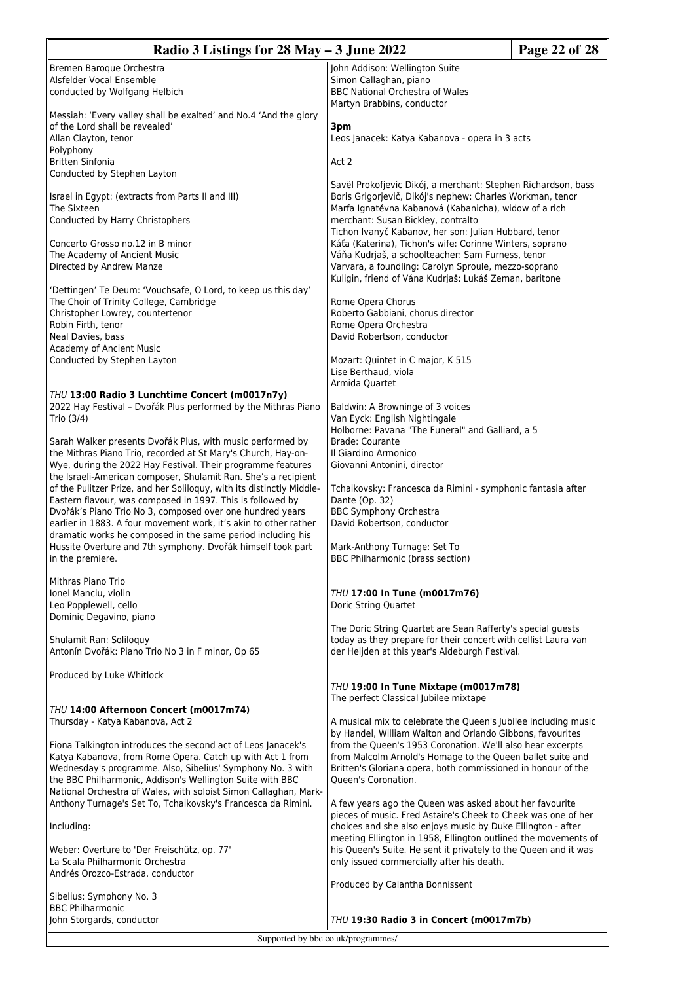| Radio 3 Listings for 28 May – 3 June 2022<br>Page 22 of 28                                                                                                                                                                                                                                                                                                                                                                                                                                                                                                                                                                                                                             |                                                                                                                                                                                                                                                                                                                                                |  |  |
|----------------------------------------------------------------------------------------------------------------------------------------------------------------------------------------------------------------------------------------------------------------------------------------------------------------------------------------------------------------------------------------------------------------------------------------------------------------------------------------------------------------------------------------------------------------------------------------------------------------------------------------------------------------------------------------|------------------------------------------------------------------------------------------------------------------------------------------------------------------------------------------------------------------------------------------------------------------------------------------------------------------------------------------------|--|--|
| Bremen Baroque Orchestra<br>Alsfelder Vocal Ensemble<br>conducted by Wolfgang Helbich                                                                                                                                                                                                                                                                                                                                                                                                                                                                                                                                                                                                  | John Addison: Wellington Suite<br>Simon Callaghan, piano<br><b>BBC National Orchestra of Wales</b><br>Martyn Brabbins, conductor                                                                                                                                                                                                               |  |  |
| Messiah: 'Every valley shall be exalted' and No.4 'And the glory<br>of the Lord shall be revealed'                                                                                                                                                                                                                                                                                                                                                                                                                                                                                                                                                                                     | 3pm                                                                                                                                                                                                                                                                                                                                            |  |  |
| Allan Clayton, tenor<br>Polyphony                                                                                                                                                                                                                                                                                                                                                                                                                                                                                                                                                                                                                                                      | Leos Janacek: Katya Kabanova - opera in 3 acts                                                                                                                                                                                                                                                                                                 |  |  |
| <b>Britten Sinfonia</b><br>Conducted by Stephen Layton                                                                                                                                                                                                                                                                                                                                                                                                                                                                                                                                                                                                                                 | Act 2                                                                                                                                                                                                                                                                                                                                          |  |  |
| Israel in Egypt: (extracts from Parts II and III)<br>The Sixteen<br>Conducted by Harry Christophers                                                                                                                                                                                                                                                                                                                                                                                                                                                                                                                                                                                    | Savël Prokofjevic Dikój, a merchant: Stephen Richardson, bass<br>Boris Grigorjevič, Dikój's nephew: Charles Workman, tenor<br>Marfa Ignatěvna Kabanová (Kabanicha), widow of a rich<br>merchant: Susan Bickley, contralto                                                                                                                      |  |  |
| Concerto Grosso no.12 in B minor<br>The Academy of Ancient Music<br>Directed by Andrew Manze                                                                                                                                                                                                                                                                                                                                                                                                                                                                                                                                                                                           | Tichon Ivanyč Kabanov, her son: Julian Hubbard, tenor<br>Káťa (Katerina), Tichon's wife: Corinne Winters, soprano<br>Váňa Kudrjaš, a schoolteacher: Sam Furness, tenor<br>Varvara, a foundling: Carolyn Sproule, mezzo-soprano                                                                                                                 |  |  |
| 'Dettingen' Te Deum: 'Vouchsafe, O Lord, to keep us this day'<br>The Choir of Trinity College, Cambridge<br>Christopher Lowrey, countertenor<br>Robin Firth, tenor                                                                                                                                                                                                                                                                                                                                                                                                                                                                                                                     | Kuligin, friend of Vána Kudrjaš: Lukáš Zeman, baritone<br>Rome Opera Chorus<br>Roberto Gabbiani, chorus director<br>Rome Opera Orchestra                                                                                                                                                                                                       |  |  |
| Neal Davies, bass<br>Academy of Ancient Music<br>Conducted by Stephen Layton                                                                                                                                                                                                                                                                                                                                                                                                                                                                                                                                                                                                           | David Robertson, conductor<br>Mozart: Quintet in C major, K 515<br>Lise Berthaud, viola                                                                                                                                                                                                                                                        |  |  |
| THU 13:00 Radio 3 Lunchtime Concert (m0017n7y)<br>2022 Hay Festival - Dvořák Plus performed by the Mithras Piano<br>Trio (3/4)                                                                                                                                                                                                                                                                                                                                                                                                                                                                                                                                                         | Armida Quartet<br>Baldwin: A Browninge of 3 voices<br>Van Eyck: English Nightingale                                                                                                                                                                                                                                                            |  |  |
| Sarah Walker presents Dvořák Plus, with music performed by<br>the Mithras Piano Trio, recorded at St Mary's Church, Hay-on-<br>Wye, during the 2022 Hay Festival. Their programme features<br>the Israeli-American composer, Shulamit Ran. She's a recipient<br>of the Pulitzer Prize, and her Soliloquy, with its distinctly Middle-<br>Eastern flavour, was composed in 1997. This is followed by<br>Dvořák's Piano Trio No 3, composed over one hundred years<br>earlier in 1883. A four movement work, it's akin to other rather<br>dramatic works he composed in the same period including his<br>Hussite Overture and 7th symphony. Dvořák himself took part<br>in the premiere. | Holborne: Pavana "The Funeral" and Galliard, a 5<br>Brade: Courante<br>Il Giardino Armonico<br>Giovanni Antonini, director<br>Tchaikovsky: Francesca da Rimini - symphonic fantasia after<br>Dante (Op. 32)<br><b>BBC Symphony Orchestra</b><br>David Robertson, conductor<br>Mark-Anthony Turnage: Set To<br>BBC Philharmonic (brass section) |  |  |
| Mithras Piano Trio<br>Ionel Manciu, violin<br>Leo Popplewell, cello<br>Dominic Degavino, piano                                                                                                                                                                                                                                                                                                                                                                                                                                                                                                                                                                                         | THU 17:00 In Tune (m0017m76)<br>Doric String Quartet                                                                                                                                                                                                                                                                                           |  |  |
| Shulamit Ran: Soliloquy<br>Antonín Dvořák: Piano Trio No 3 in F minor, Op 65                                                                                                                                                                                                                                                                                                                                                                                                                                                                                                                                                                                                           | The Doric String Quartet are Sean Rafferty's special guests<br>today as they prepare for their concert with cellist Laura van<br>der Heijden at this year's Aldeburgh Festival.                                                                                                                                                                |  |  |
| Produced by Luke Whitlock                                                                                                                                                                                                                                                                                                                                                                                                                                                                                                                                                                                                                                                              | THU 19:00 In Tune Mixtape (m0017m78)<br>The perfect Classical Jubilee mixtape                                                                                                                                                                                                                                                                  |  |  |
| THU 14:00 Afternoon Concert (m0017m74)<br>Thursday - Katya Kabanova, Act 2                                                                                                                                                                                                                                                                                                                                                                                                                                                                                                                                                                                                             | A musical mix to celebrate the Queen's Jubilee including music<br>by Handel, William Walton and Orlando Gibbons, favourites                                                                                                                                                                                                                    |  |  |
| Fiona Talkington introduces the second act of Leos Janacek's<br>Katya Kabanova, from Rome Opera. Catch up with Act 1 from<br>Wednesday's programme. Also, Sibelius' Symphony No. 3 with<br>the BBC Philharmonic, Addison's Wellington Suite with BBC<br>National Orchestra of Wales, with soloist Simon Callaghan, Mark-                                                                                                                                                                                                                                                                                                                                                               | from the Queen's 1953 Coronation. We'll also hear excerpts<br>from Malcolm Arnold's Homage to the Queen ballet suite and<br>Britten's Gloriana opera, both commissioned in honour of the<br>Queen's Coronation.                                                                                                                                |  |  |
| Anthony Turnage's Set To, Tchaikovsky's Francesca da Rimini.<br>Including:                                                                                                                                                                                                                                                                                                                                                                                                                                                                                                                                                                                                             | A few years ago the Queen was asked about her favourite<br>pieces of music. Fred Astaire's Cheek to Cheek was one of her<br>choices and she also enjoys music by Duke Ellington - after<br>meeting Ellington in 1958, Ellington outlined the movements of<br>his Queen's Suite. He sent it privately to the Queen and it was                   |  |  |
| Weber: Overture to 'Der Freischütz, op. 77'<br>La Scala Philharmonic Orchestra<br>Andrés Orozco-Estrada, conductor                                                                                                                                                                                                                                                                                                                                                                                                                                                                                                                                                                     | only issued commercially after his death.                                                                                                                                                                                                                                                                                                      |  |  |
| Sibelius: Symphony No. 3<br><b>BBC Philharmonic</b>                                                                                                                                                                                                                                                                                                                                                                                                                                                                                                                                                                                                                                    | Produced by Calantha Bonnissent                                                                                                                                                                                                                                                                                                                |  |  |
| John Storgards, conductor                                                                                                                                                                                                                                                                                                                                                                                                                                                                                                                                                                                                                                                              | THU 19:30 Radio 3 in Concert (m0017m7b)                                                                                                                                                                                                                                                                                                        |  |  |
| Supported by bbc.co.uk/programmes/                                                                                                                                                                                                                                                                                                                                                                                                                                                                                                                                                                                                                                                     |                                                                                                                                                                                                                                                                                                                                                |  |  |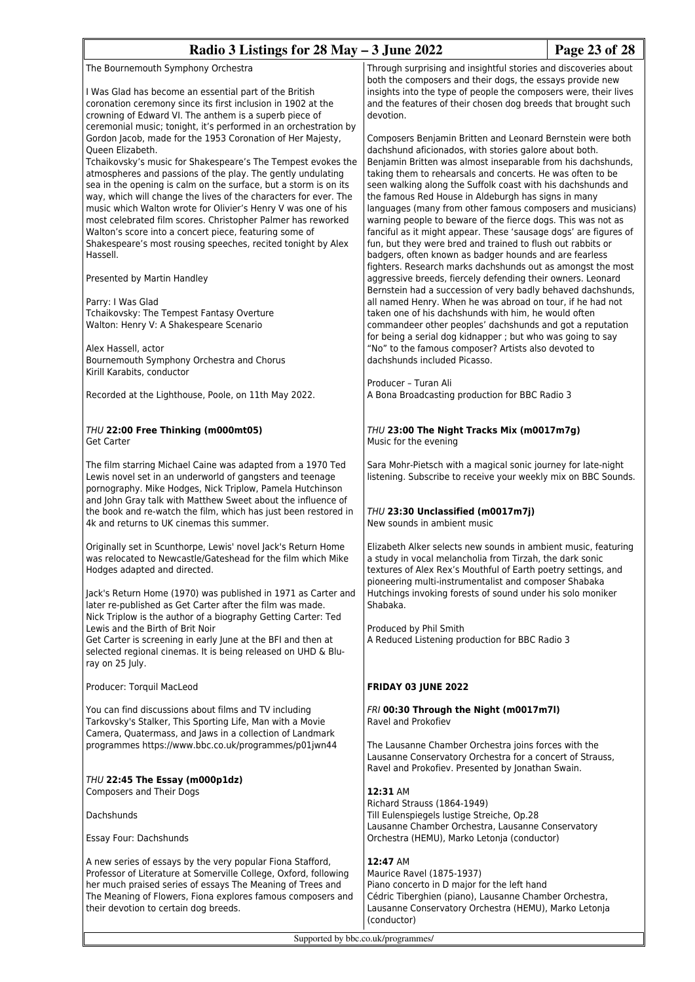| Radio 3 Listings for 28 May – 3 June 2022                                                                                                                                                                                                                                                                                                                                                                                                                                                                                                                                                                                    |                                                                                                                                                                                                                                                                                                                                                                                                                                                                                                                                                                                                                                                                                                                                                                                                                                                                                                                                                                                                                                                                                                                                                                                                                                                                                                            | Page 23 of 28 |
|------------------------------------------------------------------------------------------------------------------------------------------------------------------------------------------------------------------------------------------------------------------------------------------------------------------------------------------------------------------------------------------------------------------------------------------------------------------------------------------------------------------------------------------------------------------------------------------------------------------------------|------------------------------------------------------------------------------------------------------------------------------------------------------------------------------------------------------------------------------------------------------------------------------------------------------------------------------------------------------------------------------------------------------------------------------------------------------------------------------------------------------------------------------------------------------------------------------------------------------------------------------------------------------------------------------------------------------------------------------------------------------------------------------------------------------------------------------------------------------------------------------------------------------------------------------------------------------------------------------------------------------------------------------------------------------------------------------------------------------------------------------------------------------------------------------------------------------------------------------------------------------------------------------------------------------------|---------------|
| The Bournemouth Symphony Orchestra<br>I Was Glad has become an essential part of the British<br>coronation ceremony since its first inclusion in 1902 at the<br>crowning of Edward VI. The anthem is a superb piece of<br>ceremonial music; tonight, it's performed in an orchestration by                                                                                                                                                                                                                                                                                                                                   | Through surprising and insightful stories and discoveries about<br>both the composers and their dogs, the essays provide new<br>insights into the type of people the composers were, their lives<br>and the features of their chosen dog breeds that brought such<br>devotion.<br>Composers Benjamin Britten and Leonard Bernstein were both<br>dachshund aficionados, with stories galore about both.<br>Benjamin Britten was almost inseparable from his dachshunds,<br>taking them to rehearsals and concerts. He was often to be<br>seen walking along the Suffolk coast with his dachshunds and<br>the famous Red House in Aldeburgh has signs in many<br>languages (many from other famous composers and musicians)<br>warning people to beware of the fierce dogs. This was not as<br>fanciful as it might appear. These 'sausage dogs' are figures of<br>fun, but they were bred and trained to flush out rabbits or<br>badgers, often known as badger hounds and are fearless<br>fighters. Research marks dachshunds out as amongst the most<br>aggressive breeds, fiercely defending their owners. Leonard<br>Bernstein had a succession of very badly behaved dachshunds,<br>all named Henry. When he was abroad on tour, if he had not<br>taken one of his dachshunds with him, he would often |               |
| Gordon Jacob, made for the 1953 Coronation of Her Majesty,<br>Queen Elizabeth.<br>Tchaikovsky's music for Shakespeare's The Tempest evokes the<br>atmospheres and passions of the play. The gently undulating<br>sea in the opening is calm on the surface, but a storm is on its<br>way, which will change the lives of the characters for ever. The<br>music which Walton wrote for Olivier's Henry V was one of his<br>most celebrated film scores. Christopher Palmer has reworked<br>Walton's score into a concert piece, featuring some of<br>Shakespeare's most rousing speeches, recited tonight by Alex<br>Hassell. |                                                                                                                                                                                                                                                                                                                                                                                                                                                                                                                                                                                                                                                                                                                                                                                                                                                                                                                                                                                                                                                                                                                                                                                                                                                                                                            |               |
| Presented by Martin Handley<br>Parry: I Was Glad<br>Tchaikovsky: The Tempest Fantasy Overture                                                                                                                                                                                                                                                                                                                                                                                                                                                                                                                                |                                                                                                                                                                                                                                                                                                                                                                                                                                                                                                                                                                                                                                                                                                                                                                                                                                                                                                                                                                                                                                                                                                                                                                                                                                                                                                            |               |
| Walton: Henry V: A Shakespeare Scenario<br>Alex Hassell, actor<br>Bournemouth Symphony Orchestra and Chorus<br>Kirill Karabits, conductor                                                                                                                                                                                                                                                                                                                                                                                                                                                                                    | commandeer other peoples' dachshunds and got a reputation<br>for being a serial dog kidnapper; but who was going to say<br>"No" to the famous composer? Artists also devoted to<br>dachshunds included Picasso.                                                                                                                                                                                                                                                                                                                                                                                                                                                                                                                                                                                                                                                                                                                                                                                                                                                                                                                                                                                                                                                                                            |               |
| Recorded at the Lighthouse, Poole, on 11th May 2022.                                                                                                                                                                                                                                                                                                                                                                                                                                                                                                                                                                         | Producer - Turan Ali<br>A Bona Broadcasting production for BBC Radio 3                                                                                                                                                                                                                                                                                                                                                                                                                                                                                                                                                                                                                                                                                                                                                                                                                                                                                                                                                                                                                                                                                                                                                                                                                                     |               |
| THU 22:00 Free Thinking (m000mt05)<br><b>Get Carter</b>                                                                                                                                                                                                                                                                                                                                                                                                                                                                                                                                                                      | THU 23:00 The Night Tracks Mix (m0017m7g)<br>Music for the evening                                                                                                                                                                                                                                                                                                                                                                                                                                                                                                                                                                                                                                                                                                                                                                                                                                                                                                                                                                                                                                                                                                                                                                                                                                         |               |
| The film starring Michael Caine was adapted from a 1970 Ted<br>Lewis novel set in an underworld of gangsters and teenage<br>pornography. Mike Hodges, Nick Triplow, Pamela Hutchinson<br>and John Gray talk with Matthew Sweet about the influence of<br>the book and re-watch the film, which has just been restored in<br>4k and returns to UK cinemas this summer.                                                                                                                                                                                                                                                        | Sara Mohr-Pietsch with a magical sonic journey for late-night<br>listening. Subscribe to receive your weekly mix on BBC Sounds.<br>THU 23:30 Unclassified (m0017m7j)<br>New sounds in ambient music                                                                                                                                                                                                                                                                                                                                                                                                                                                                                                                                                                                                                                                                                                                                                                                                                                                                                                                                                                                                                                                                                                        |               |
| Originally set in Scunthorpe, Lewis' novel Jack's Return Home<br>was relocated to Newcastle/Gateshead for the film which Mike<br>Hodges adapted and directed.                                                                                                                                                                                                                                                                                                                                                                                                                                                                | Elizabeth Alker selects new sounds in ambient music, featuring<br>a study in vocal melancholia from Tirzah, the dark sonic<br>textures of Alex Rex's Mouthful of Earth poetry settings, and<br>pioneering multi-instrumentalist and composer Shabaka                                                                                                                                                                                                                                                                                                                                                                                                                                                                                                                                                                                                                                                                                                                                                                                                                                                                                                                                                                                                                                                       |               |
| Jack's Return Home (1970) was published in 1971 as Carter and<br>later re-published as Get Carter after the film was made.<br>Nick Triplow is the author of a biography Getting Carter: Ted<br>Lewis and the Birth of Brit Noir<br>Get Carter is screening in early June at the BFI and then at                                                                                                                                                                                                                                                                                                                              | Hutchings invoking forests of sound under his solo moniker<br>Shabaka.<br>Produced by Phil Smith<br>A Reduced Listening production for BBC Radio 3                                                                                                                                                                                                                                                                                                                                                                                                                                                                                                                                                                                                                                                                                                                                                                                                                                                                                                                                                                                                                                                                                                                                                         |               |
| selected regional cinemas. It is being released on UHD & Blu-<br>ray on 25 July.                                                                                                                                                                                                                                                                                                                                                                                                                                                                                                                                             |                                                                                                                                                                                                                                                                                                                                                                                                                                                                                                                                                                                                                                                                                                                                                                                                                                                                                                                                                                                                                                                                                                                                                                                                                                                                                                            |               |
| Producer: Torquil MacLeod                                                                                                                                                                                                                                                                                                                                                                                                                                                                                                                                                                                                    | <b>FRIDAY 03 JUNE 2022</b>                                                                                                                                                                                                                                                                                                                                                                                                                                                                                                                                                                                                                                                                                                                                                                                                                                                                                                                                                                                                                                                                                                                                                                                                                                                                                 |               |
| You can find discussions about films and TV including<br>Tarkovsky's Stalker, This Sporting Life, Man with a Movie<br>Camera, Quatermass, and Jaws in a collection of Landmark                                                                                                                                                                                                                                                                                                                                                                                                                                               | FRI 00:30 Through the Night (m0017m7l)<br>Ravel and Prokofiev                                                                                                                                                                                                                                                                                                                                                                                                                                                                                                                                                                                                                                                                                                                                                                                                                                                                                                                                                                                                                                                                                                                                                                                                                                              |               |
| programmes https://www.bbc.co.uk/programmes/p01jwn44                                                                                                                                                                                                                                                                                                                                                                                                                                                                                                                                                                         | The Lausanne Chamber Orchestra joins forces with the<br>Lausanne Conservatory Orchestra for a concert of Strauss,<br>Ravel and Prokofiev. Presented by Jonathan Swain.                                                                                                                                                                                                                                                                                                                                                                                                                                                                                                                                                                                                                                                                                                                                                                                                                                                                                                                                                                                                                                                                                                                                     |               |
| THU 22:45 The Essay (m000p1dz)<br><b>Composers and Their Dogs</b>                                                                                                                                                                                                                                                                                                                                                                                                                                                                                                                                                            | 12:31 AM                                                                                                                                                                                                                                                                                                                                                                                                                                                                                                                                                                                                                                                                                                                                                                                                                                                                                                                                                                                                                                                                                                                                                                                                                                                                                                   |               |
| Dachshunds                                                                                                                                                                                                                                                                                                                                                                                                                                                                                                                                                                                                                   | Richard Strauss (1864-1949)<br>Till Eulenspiegels lustige Streiche, Op.28<br>Lausanne Chamber Orchestra, Lausanne Conservatory                                                                                                                                                                                                                                                                                                                                                                                                                                                                                                                                                                                                                                                                                                                                                                                                                                                                                                                                                                                                                                                                                                                                                                             |               |
| Essay Four: Dachshunds                                                                                                                                                                                                                                                                                                                                                                                                                                                                                                                                                                                                       | Orchestra (HEMU), Marko Letonja (conductor)                                                                                                                                                                                                                                                                                                                                                                                                                                                                                                                                                                                                                                                                                                                                                                                                                                                                                                                                                                                                                                                                                                                                                                                                                                                                |               |
| A new series of essays by the very popular Fiona Stafford,<br>Professor of Literature at Somerville College, Oxford, following<br>her much praised series of essays The Meaning of Trees and<br>The Meaning of Flowers, Fiona explores famous composers and<br>their devotion to certain dog breeds.                                                                                                                                                                                                                                                                                                                         | 12:47 AM<br>Maurice Ravel (1875-1937)<br>Piano concerto in D major for the left hand<br>Cédric Tiberghien (piano), Lausanne Chamber Orchestra,<br>Lausanne Conservatory Orchestra (HEMU), Marko Letonja<br>(conductor)                                                                                                                                                                                                                                                                                                                                                                                                                                                                                                                                                                                                                                                                                                                                                                                                                                                                                                                                                                                                                                                                                     |               |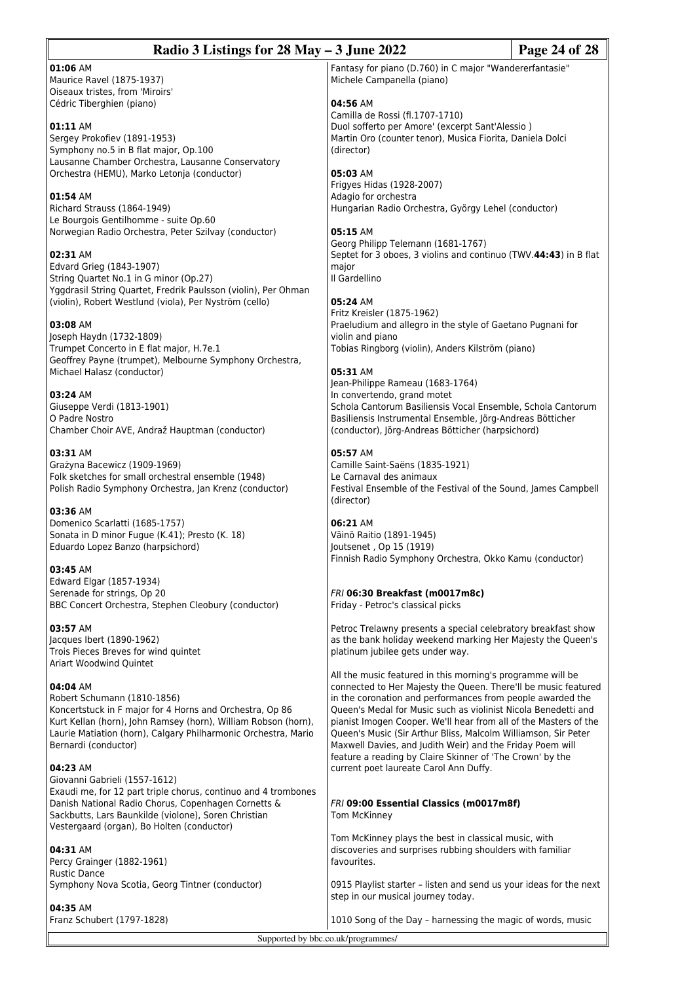| Radio 3 Listings for 28 May – 3 June 2022                                                                                        |                                                                                                                                    | Page 24 of 28 |
|----------------------------------------------------------------------------------------------------------------------------------|------------------------------------------------------------------------------------------------------------------------------------|---------------|
| 01:06 AM                                                                                                                         | Fantasy for piano (D.760) in C major "Wandererfantasie"                                                                            |               |
| Maurice Ravel (1875-1937)                                                                                                        | Michele Campanella (piano)                                                                                                         |               |
| Oiseaux tristes, from 'Miroirs'                                                                                                  | 04:56 AM                                                                                                                           |               |
| Cédric Tiberghien (piano)                                                                                                        | Camilla de Rossi (fl.1707-1710)                                                                                                    |               |
| 01:11 AM                                                                                                                         | Duol sofferto per Amore' (excerpt Sant'Alessio)                                                                                    |               |
| Sergey Prokofiev (1891-1953)                                                                                                     | Martin Oro (counter tenor), Musica Fiorita, Daniela Dolci                                                                          |               |
| Symphony no.5 in B flat major, Op.100                                                                                            | (director)                                                                                                                         |               |
| Lausanne Chamber Orchestra, Lausanne Conservatory<br>Orchestra (HEMU), Marko Letonja (conductor)                                 | 05:03 AM                                                                                                                           |               |
|                                                                                                                                  | Frigyes Hidas (1928-2007)                                                                                                          |               |
| 01:54 AM                                                                                                                         | Adagio for orchestra                                                                                                               |               |
| Richard Strauss (1864-1949)                                                                                                      | Hungarian Radio Orchestra, György Lehel (conductor)                                                                                |               |
| Le Bourgois Gentilhomme - suite Op.60<br>Norwegian Radio Orchestra, Peter Szilvay (conductor)                                    | 05:15 AM                                                                                                                           |               |
|                                                                                                                                  | Georg Philipp Telemann (1681-1767)                                                                                                 |               |
| 02:31 AM                                                                                                                         | Septet for 3 oboes, 3 violins and continuo (TWV.44:43) in B flat                                                                   |               |
| Edvard Grieg (1843-1907)<br>String Quartet No.1 in G minor (Op.27)                                                               | major<br>Il Gardellino                                                                                                             |               |
| Yggdrasil String Quartet, Fredrik Paulsson (violin), Per Ohman                                                                   |                                                                                                                                    |               |
| (violin), Robert Westlund (viola), Per Nyström (cello)                                                                           | 05:24 AM                                                                                                                           |               |
|                                                                                                                                  | Fritz Kreisler (1875-1962)                                                                                                         |               |
| 03:08 AM                                                                                                                         | Praeludium and allegro in the style of Gaetano Pugnani for                                                                         |               |
| Joseph Haydn (1732-1809)<br>Trumpet Concerto in E flat major, H.7e.1                                                             | violin and piano<br>Tobias Ringborg (violin), Anders Kilström (piano)                                                              |               |
| Geoffrey Payne (trumpet), Melbourne Symphony Orchestra,                                                                          |                                                                                                                                    |               |
| Michael Halasz (conductor)                                                                                                       | 05:31 AM                                                                                                                           |               |
|                                                                                                                                  | Jean-Philippe Rameau (1683-1764)                                                                                                   |               |
| 03:24 AM<br>Giuseppe Verdi (1813-1901)                                                                                           | In convertendo, grand motet<br>Schola Cantorum Basiliensis Vocal Ensemble, Schola Cantorum                                         |               |
| O Padre Nostro                                                                                                                   | Basiliensis Instrumental Ensemble, Jörg-Andreas Bötticher                                                                          |               |
| Chamber Choir AVE, Andraž Hauptman (conductor)                                                                                   | (conductor), Jörg-Andreas Bötticher (harpsichord)                                                                                  |               |
| 03:31 AM                                                                                                                         | 05:57 AM                                                                                                                           |               |
| Grażyna Bacewicz (1909-1969)                                                                                                     | Camille Saint-Saëns (1835-1921)                                                                                                    |               |
| Folk sketches for small orchestral ensemble (1948)                                                                               | Le Carnaval des animaux                                                                                                            |               |
| Polish Radio Symphony Orchestra, Jan Krenz (conductor)                                                                           | Festival Ensemble of the Festival of the Sound, James Campbell                                                                     |               |
| 03:36 AM                                                                                                                         | (director)                                                                                                                         |               |
| Domenico Scarlatti (1685-1757)                                                                                                   | 06:21 AM                                                                                                                           |               |
| Sonata in D minor Fugue (K.41); Presto (K. 18)                                                                                   | Väinö Raitio (1891-1945)                                                                                                           |               |
| Eduardo Lopez Banzo (harpsichord)                                                                                                | Joutsenet, Op 15 (1919)                                                                                                            |               |
| 03:45 AM                                                                                                                         | Finnish Radio Symphony Orchestra, Okko Kamu (conductor)                                                                            |               |
| Edward Elgar (1857-1934)                                                                                                         |                                                                                                                                    |               |
| Serenade for strings, Op 20                                                                                                      | FRI 06:30 Breakfast (m0017m8c)                                                                                                     |               |
| BBC Concert Orchestra, Stephen Cleobury (conductor)                                                                              | Friday - Petroc's classical picks                                                                                                  |               |
| 03:57 AM                                                                                                                         | Petroc Trelawny presents a special celebratory breakfast show                                                                      |               |
| Jacques Ibert (1890-1962)                                                                                                        | as the bank holiday weekend marking Her Majesty the Queen's                                                                        |               |
| Trois Pieces Breves for wind quintet                                                                                             | platinum jubilee gets under way.                                                                                                   |               |
| Ariart Woodwind Quintet                                                                                                          | All the music featured in this morning's programme will be                                                                         |               |
| 04:04 AM                                                                                                                         | connected to Her Majesty the Queen. There'll be music featured                                                                     |               |
| Robert Schumann (1810-1856)                                                                                                      | in the coronation and performances from people awarded the                                                                         |               |
| Koncertstuck in F major for 4 Horns and Orchestra, Op 86                                                                         | Oueen's Medal for Music such as violinist Nicola Benedetti and                                                                     |               |
| Kurt Kellan (horn), John Ramsey (horn), William Robson (horn),<br>Laurie Matiation (horn), Calgary Philharmonic Orchestra, Mario | pianist Imogen Cooper. We'll hear from all of the Masters of the<br>Queen's Music (Sir Arthur Bliss, Malcolm Williamson, Sir Peter |               |
| Bernardi (conductor)                                                                                                             | Maxwell Davies, and Judith Weir) and the Friday Poem will                                                                          |               |
|                                                                                                                                  | feature a reading by Claire Skinner of 'The Crown' by the                                                                          |               |
| 04:23 AM                                                                                                                         | current poet laureate Carol Ann Duffy.                                                                                             |               |
| Giovanni Gabrieli (1557-1612)<br>Exaudi me, for 12 part triple chorus, continuo and 4 trombones                                  |                                                                                                                                    |               |
| Danish National Radio Chorus, Copenhagen Cornetts &                                                                              | FRI 09:00 Essential Classics (m0017m8f)                                                                                            |               |
| Sackbutts, Lars Baunkilde (violone), Soren Christian                                                                             | <b>Tom McKinney</b>                                                                                                                |               |
| Vestergaard (organ), Bo Holten (conductor)                                                                                       | Tom McKinney plays the best in classical music, with                                                                               |               |
| 04:31 AM                                                                                                                         | discoveries and surprises rubbing shoulders with familiar                                                                          |               |
| Percy Grainger (1882-1961)                                                                                                       | favourites.                                                                                                                        |               |
| <b>Rustic Dance</b>                                                                                                              |                                                                                                                                    |               |
| Symphony Nova Scotia, Georg Tintner (conductor)                                                                                  | 0915 Playlist starter - listen and send us your ideas for the next<br>step in our musical journey today.                           |               |
| 04:35 AM                                                                                                                         |                                                                                                                                    |               |
| Franz Schubert (1797-1828)                                                                                                       | 1010 Song of the Day - harnessing the magic of words, music                                                                        |               |
|                                                                                                                                  |                                                                                                                                    |               |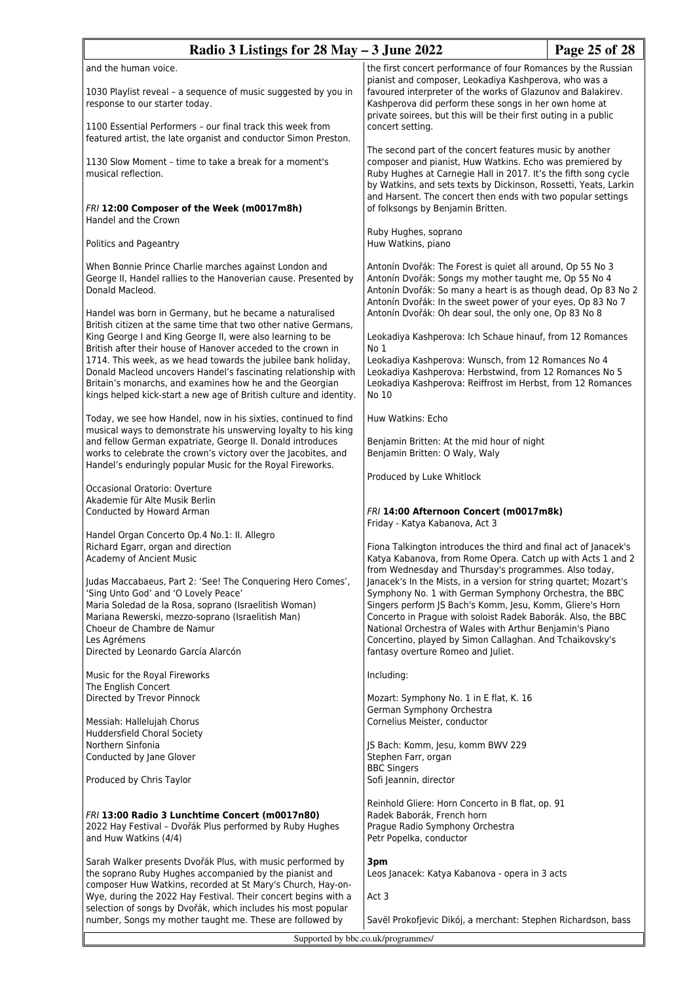| Radio 3 Listings for 28 May – 3 June 2022                                                                                                                                                                                                                       |                                                                                                                                                                                                                                                                                                                                                                                                                                           | Page 25 of 28 |
|-----------------------------------------------------------------------------------------------------------------------------------------------------------------------------------------------------------------------------------------------------------------|-------------------------------------------------------------------------------------------------------------------------------------------------------------------------------------------------------------------------------------------------------------------------------------------------------------------------------------------------------------------------------------------------------------------------------------------|---------------|
| and the human voice.                                                                                                                                                                                                                                            | the first concert performance of four Romances by the Russian                                                                                                                                                                                                                                                                                                                                                                             |               |
| 1030 Playlist reveal - a sequence of music suggested by you in<br>response to our starter today.                                                                                                                                                                | pianist and composer, Leokadiya Kashperova, who was a<br>favoured interpreter of the works of Glazunov and Balakirev.<br>Kashperova did perform these songs in her own home at<br>private soirees, but this will be their first outing in a public                                                                                                                                                                                        |               |
| 1100 Essential Performers - our final track this week from<br>featured artist, the late organist and conductor Simon Preston.                                                                                                                                   | concert setting.                                                                                                                                                                                                                                                                                                                                                                                                                          |               |
| 1130 Slow Moment - time to take a break for a moment's<br>musical reflection.                                                                                                                                                                                   | The second part of the concert features music by another<br>composer and pianist, Huw Watkins. Echo was premiered by<br>Ruby Hughes at Carnegie Hall in 2017. It's the fifth song cycle<br>by Watkins, and sets texts by Dickinson, Rossetti, Yeats, Larkin<br>and Harsent. The concert then ends with two popular settings                                                                                                               |               |
| FRI 12:00 Composer of the Week (m0017m8h)<br>Handel and the Crown                                                                                                                                                                                               | of folksongs by Benjamin Britten.                                                                                                                                                                                                                                                                                                                                                                                                         |               |
| Politics and Pageantry                                                                                                                                                                                                                                          | Ruby Hughes, soprano<br>Huw Watkins, piano                                                                                                                                                                                                                                                                                                                                                                                                |               |
| When Bonnie Prince Charlie marches against London and<br>George II, Handel rallies to the Hanoverian cause. Presented by<br>Donald Macleod.                                                                                                                     | Antonín Dvořák: The Forest is quiet all around, Op 55 No 3<br>Antonín Dvořák: Songs my mother taught me, Op 55 No 4<br>Antonín Dvořák: So many a heart is as though dead, Op 83 No 2<br>Antonín Dvořák: In the sweet power of your eyes, Op 83 No 7                                                                                                                                                                                       |               |
| Handel was born in Germany, but he became a naturalised<br>British citizen at the same time that two other native Germans,<br>King George I and King George II, were also learning to be                                                                        | Antonín Dvořák: Oh dear soul, the only one, Op 83 No 8<br>Leokadiya Kashperova: Ich Schaue hinauf, from 12 Romances                                                                                                                                                                                                                                                                                                                       |               |
| British after their house of Hanover acceded to the crown in<br>1714. This week, as we head towards the jubilee bank holiday,                                                                                                                                   | No 1<br>Leokadiya Kashperova: Wunsch, from 12 Romances No 4                                                                                                                                                                                                                                                                                                                                                                               |               |
| Donald Macleod uncovers Handel's fascinating relationship with<br>Britain's monarchs, and examines how he and the Georgian<br>kings helped kick-start a new age of British culture and identity.                                                                | Leokadiya Kashperova: Herbstwind, from 12 Romances No 5<br>Leokadiya Kashperova: Reiffrost im Herbst, from 12 Romances<br>No 10                                                                                                                                                                                                                                                                                                           |               |
| Today, we see how Handel, now in his sixties, continued to find<br>musical ways to demonstrate his unswerving loyalty to his king                                                                                                                               | Huw Watkins: Echo                                                                                                                                                                                                                                                                                                                                                                                                                         |               |
| and fellow German expatriate, George II. Donald introduces<br>works to celebrate the crown's victory over the Jacobites, and<br>Handel's enduringly popular Music for the Royal Fireworks.                                                                      | Benjamin Britten: At the mid hour of night<br>Benjamin Britten: O Waly, Waly                                                                                                                                                                                                                                                                                                                                                              |               |
| Occasional Oratorio: Overture                                                                                                                                                                                                                                   | Produced by Luke Whitlock                                                                                                                                                                                                                                                                                                                                                                                                                 |               |
| Akademie für Alte Musik Berlin<br>Conducted by Howard Arman                                                                                                                                                                                                     | FRI 14:00 Afternoon Concert (m0017m8k)<br>Friday - Katya Kabanova, Act 3                                                                                                                                                                                                                                                                                                                                                                  |               |
| Handel Organ Concerto Op.4 No.1: II. Allegro<br>Richard Egarr, organ and direction<br>Academy of Ancient Music                                                                                                                                                  | Fiona Talkington introduces the third and final act of Janacek's<br>Katya Kabanova, from Rome Opera. Catch up with Acts 1 and 2                                                                                                                                                                                                                                                                                                           |               |
| Judas Maccabaeus, Part 2: 'See! The Conquering Hero Comes',<br>'Sing Unto God' and 'O Lovely Peace'<br>Maria Soledad de la Rosa, soprano (Israelitish Woman)<br>Mariana Rewerski, mezzo-soprano (Israelitish Man)<br>Choeur de Chambre de Namur<br>Les Agrémens | from Wednesday and Thursday's programmes. Also today,<br>Janacek's In the Mists, in a version for string quartet; Mozart's<br>Symphony No. 1 with German Symphony Orchestra, the BBC<br>Singers perform JS Bach's Komm, Jesu, Komm, Gliere's Horn<br>Concerto in Prague with soloist Radek Baborák. Also, the BBC<br>National Orchestra of Wales with Arthur Benjamin's Piano<br>Concertino, played by Simon Callaghan. And Tchaikovsky's |               |
| Directed by Leonardo García Alarcón                                                                                                                                                                                                                             | fantasy overture Romeo and Juliet.                                                                                                                                                                                                                                                                                                                                                                                                        |               |
| Music for the Royal Fireworks<br>The English Concert                                                                                                                                                                                                            | Including:                                                                                                                                                                                                                                                                                                                                                                                                                                |               |
| Directed by Trevor Pinnock<br>Messiah: Hallelujah Chorus                                                                                                                                                                                                        | Mozart: Symphony No. 1 in E flat, K. 16<br>German Symphony Orchestra<br>Cornelius Meister, conductor                                                                                                                                                                                                                                                                                                                                      |               |
| Huddersfield Choral Society<br>Northern Sinfonia                                                                                                                                                                                                                | JS Bach: Komm, Jesu, komm BWV 229                                                                                                                                                                                                                                                                                                                                                                                                         |               |
| Conducted by Jane Glover<br>Produced by Chris Taylor                                                                                                                                                                                                            | Stephen Farr, organ<br><b>BBC Singers</b><br>Sofi Jeannin, director                                                                                                                                                                                                                                                                                                                                                                       |               |
|                                                                                                                                                                                                                                                                 | Reinhold Gliere: Horn Concerto in B flat, op. 91                                                                                                                                                                                                                                                                                                                                                                                          |               |
| FRI 13:00 Radio 3 Lunchtime Concert (m0017n80)<br>2022 Hay Festival - Dvořák Plus performed by Ruby Hughes<br>and Huw Watkins (4/4)                                                                                                                             | Radek Baborák, French horn<br>Prague Radio Symphony Orchestra<br>Petr Popelka, conductor                                                                                                                                                                                                                                                                                                                                                  |               |
| Sarah Walker presents Dvořák Plus, with music performed by<br>the soprano Ruby Hughes accompanied by the pianist and                                                                                                                                            | 3pm<br>Leos Janacek: Katya Kabanova - opera in 3 acts                                                                                                                                                                                                                                                                                                                                                                                     |               |
| composer Huw Watkins, recorded at St Mary's Church, Hay-on-<br>Wye, during the 2022 Hay Festival. Their concert begins with a<br>selection of songs by Dvořák, which includes his most popular                                                                  | Act 3                                                                                                                                                                                                                                                                                                                                                                                                                                     |               |
| number, Songs my mother taught me. These are followed by                                                                                                                                                                                                        | Savël Prokofjevic Dikój, a merchant: Stephen Richardson, bass                                                                                                                                                                                                                                                                                                                                                                             |               |
| Supported by bbc.co.uk/programmes/                                                                                                                                                                                                                              |                                                                                                                                                                                                                                                                                                                                                                                                                                           |               |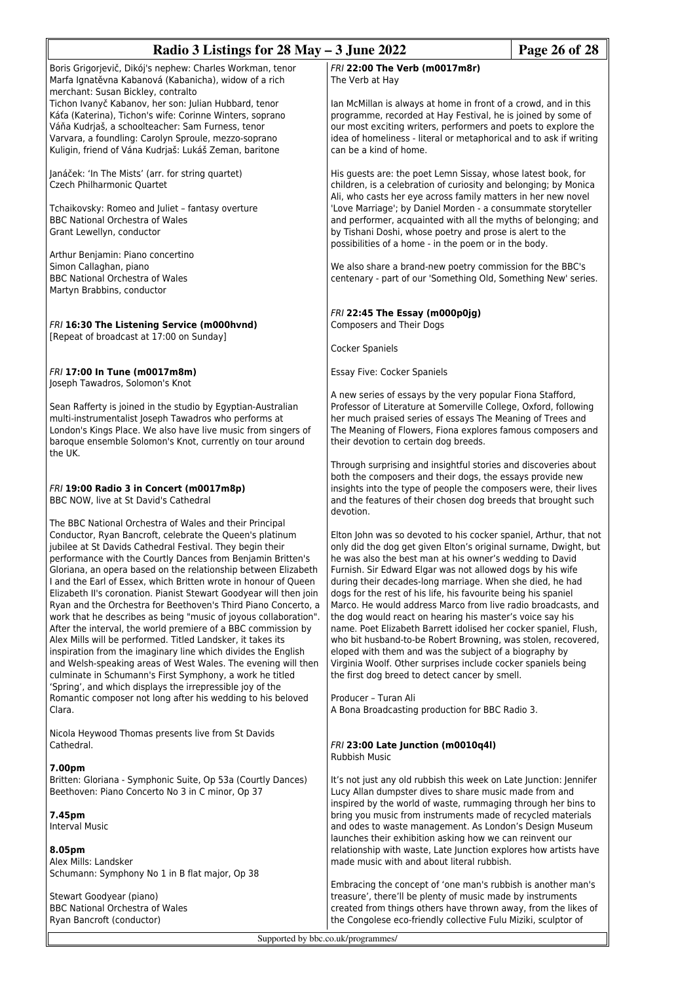| Radio 3 Listings for 28 May – 3 June 2022                                                                                                                                                                                                                                                                                                                                                                                                                                                                                                                                                                                                                                                                                                                                                                                                                                                                                                                                                                                                                            |                                                                                                                                                                                                                                                                                                                                                                                                                                                                                                                                                                                                                                                                                                                                                                                                                                                                                                                           | Page 26 of 28 |
|----------------------------------------------------------------------------------------------------------------------------------------------------------------------------------------------------------------------------------------------------------------------------------------------------------------------------------------------------------------------------------------------------------------------------------------------------------------------------------------------------------------------------------------------------------------------------------------------------------------------------------------------------------------------------------------------------------------------------------------------------------------------------------------------------------------------------------------------------------------------------------------------------------------------------------------------------------------------------------------------------------------------------------------------------------------------|---------------------------------------------------------------------------------------------------------------------------------------------------------------------------------------------------------------------------------------------------------------------------------------------------------------------------------------------------------------------------------------------------------------------------------------------------------------------------------------------------------------------------------------------------------------------------------------------------------------------------------------------------------------------------------------------------------------------------------------------------------------------------------------------------------------------------------------------------------------------------------------------------------------------------|---------------|
| Boris Grigorjevič, Dikój's nephew: Charles Workman, tenor<br>Marfa Ignatěvna Kabanová (Kabanicha), widow of a rich<br>merchant: Susan Bickley, contralto                                                                                                                                                                                                                                                                                                                                                                                                                                                                                                                                                                                                                                                                                                                                                                                                                                                                                                             | FRI 22:00 The Verb (m0017m8r)<br>The Verb at Hay                                                                                                                                                                                                                                                                                                                                                                                                                                                                                                                                                                                                                                                                                                                                                                                                                                                                          |               |
| Tichon Ivanyč Kabanov, her son: Julian Hubbard, tenor<br>Káťa (Katerina), Tichon's wife: Corinne Winters, soprano<br>Váňa Kudrjaš, a schoolteacher: Sam Furness, tenor<br>Varvara, a foundling: Carolyn Sproule, mezzo-soprano<br>Kuligin, friend of Vána Kudrjaš: Lukáš Zeman, baritone                                                                                                                                                                                                                                                                                                                                                                                                                                                                                                                                                                                                                                                                                                                                                                             | Ian McMillan is always at home in front of a crowd, and in this<br>programme, recorded at Hay Festival, he is joined by some of<br>our most exciting writers, performers and poets to explore the<br>idea of homeliness - literal or metaphorical and to ask if writing<br>can be a kind of home.                                                                                                                                                                                                                                                                                                                                                                                                                                                                                                                                                                                                                         |               |
| Janáček: 'In The Mists' (arr. for string quartet)<br>Czech Philharmonic Ouartet                                                                                                                                                                                                                                                                                                                                                                                                                                                                                                                                                                                                                                                                                                                                                                                                                                                                                                                                                                                      | His guests are: the poet Lemn Sissay, whose latest book, for<br>children, is a celebration of curiosity and belonging; by Monica<br>Ali, who casts her eye across family matters in her new novel                                                                                                                                                                                                                                                                                                                                                                                                                                                                                                                                                                                                                                                                                                                         |               |
| Tchaikovsky: Romeo and Juliet - fantasy overture<br><b>BBC National Orchestra of Wales</b><br>Grant Lewellyn, conductor                                                                                                                                                                                                                                                                                                                                                                                                                                                                                                                                                                                                                                                                                                                                                                                                                                                                                                                                              | 'Love Marriage'; by Daniel Morden - a consummate storyteller<br>and performer, acquainted with all the myths of belonging; and<br>by Tishani Doshi, whose poetry and prose is alert to the<br>possibilities of a home - in the poem or in the body.                                                                                                                                                                                                                                                                                                                                                                                                                                                                                                                                                                                                                                                                       |               |
| Arthur Benjamin: Piano concertino<br>Simon Callaghan, piano<br><b>BBC National Orchestra of Wales</b><br>Martyn Brabbins, conductor                                                                                                                                                                                                                                                                                                                                                                                                                                                                                                                                                                                                                                                                                                                                                                                                                                                                                                                                  | We also share a brand-new poetry commission for the BBC's<br>centenary - part of our 'Something Old, Something New' series.                                                                                                                                                                                                                                                                                                                                                                                                                                                                                                                                                                                                                                                                                                                                                                                               |               |
| FRI 16:30 The Listening Service (m000hvnd)<br>[Repeat of broadcast at 17:00 on Sunday]                                                                                                                                                                                                                                                                                                                                                                                                                                                                                                                                                                                                                                                                                                                                                                                                                                                                                                                                                                               | FRI 22:45 The Essay (m000p0jg)<br><b>Composers and Their Dogs</b>                                                                                                                                                                                                                                                                                                                                                                                                                                                                                                                                                                                                                                                                                                                                                                                                                                                         |               |
|                                                                                                                                                                                                                                                                                                                                                                                                                                                                                                                                                                                                                                                                                                                                                                                                                                                                                                                                                                                                                                                                      | <b>Cocker Spaniels</b>                                                                                                                                                                                                                                                                                                                                                                                                                                                                                                                                                                                                                                                                                                                                                                                                                                                                                                    |               |
| FRI 17:00 In Tune (m0017m8m)<br>Joseph Tawadros, Solomon's Knot                                                                                                                                                                                                                                                                                                                                                                                                                                                                                                                                                                                                                                                                                                                                                                                                                                                                                                                                                                                                      | <b>Essay Five: Cocker Spaniels</b>                                                                                                                                                                                                                                                                                                                                                                                                                                                                                                                                                                                                                                                                                                                                                                                                                                                                                        |               |
| Sean Rafferty is joined in the studio by Egyptian-Australian<br>multi-instrumentalist Joseph Tawadros who performs at<br>London's Kings Place. We also have live music from singers of<br>baroque ensemble Solomon's Knot, currently on tour around<br>the UK.                                                                                                                                                                                                                                                                                                                                                                                                                                                                                                                                                                                                                                                                                                                                                                                                       | A new series of essays by the very popular Fiona Stafford,<br>Professor of Literature at Somerville College, Oxford, following<br>her much praised series of essays The Meaning of Trees and<br>The Meaning of Flowers, Fiona explores famous composers and<br>their devotion to certain dog breeds.                                                                                                                                                                                                                                                                                                                                                                                                                                                                                                                                                                                                                      |               |
| FRI 19:00 Radio 3 in Concert (m0017m8p)<br>BBC NOW, live at St David's Cathedral                                                                                                                                                                                                                                                                                                                                                                                                                                                                                                                                                                                                                                                                                                                                                                                                                                                                                                                                                                                     | Through surprising and insightful stories and discoveries about<br>both the composers and their dogs, the essays provide new<br>insights into the type of people the composers were, their lives<br>and the features of their chosen dog breeds that brought such<br>devotion.                                                                                                                                                                                                                                                                                                                                                                                                                                                                                                                                                                                                                                            |               |
| The BBC National Orchestra of Wales and their Principal<br>Conductor, Ryan Bancroft, celebrate the Queen's platinum<br>jubilee at St Davids Cathedral Festival. They begin their<br>performance with the Courtly Dances from Benjamin Britten's<br>Gloriana, an opera based on the relationship between Elizabeth<br>I and the Earl of Essex, which Britten wrote in honour of Queen<br>Elizabeth II's coronation. Pianist Stewart Goodyear will then join<br>Ryan and the Orchestra for Beethoven's Third Piano Concerto, a<br>work that he describes as being "music of joyous collaboration".<br>After the interval, the world premiere of a BBC commission by<br>Alex Mills will be performed. Titled Landsker, it takes its<br>inspiration from the imaginary line which divides the English<br>and Welsh-speaking areas of West Wales. The evening will then<br>culminate in Schumann's First Symphony, a work he titled<br>'Spring', and which displays the irrepressible joy of the<br>Romantic composer not long after his wedding to his beloved<br>Clara. | Elton John was so devoted to his cocker spaniel, Arthur, that not<br>only did the dog get given Elton's original surname, Dwight, but<br>he was also the best man at his owner's wedding to David<br>Furnish. Sir Edward Elgar was not allowed dogs by his wife<br>during their decades-long marriage. When she died, he had<br>dogs for the rest of his life, his favourite being his spaniel<br>Marco. He would address Marco from live radio broadcasts, and<br>the dog would react on hearing his master's voice say his<br>name. Poet Elizabeth Barrett idolised her cocker spaniel, Flush,<br>who bit husband-to-be Robert Browning, was stolen, recovered,<br>eloped with them and was the subject of a biography by<br>Virginia Woolf. Other surprises include cocker spaniels being<br>the first dog breed to detect cancer by smell.<br>Producer - Turan Ali<br>A Bona Broadcasting production for BBC Radio 3. |               |
| Nicola Heywood Thomas presents live from St Davids<br>Cathedral.                                                                                                                                                                                                                                                                                                                                                                                                                                                                                                                                                                                                                                                                                                                                                                                                                                                                                                                                                                                                     | FRI 23:00 Late Junction (m0010q4l)<br><b>Rubbish Music</b>                                                                                                                                                                                                                                                                                                                                                                                                                                                                                                                                                                                                                                                                                                                                                                                                                                                                |               |
| 7.00pm<br>Britten: Gloriana - Symphonic Suite, Op 53a (Courtly Dances)<br>Beethoven: Piano Concerto No 3 in C minor, Op 37                                                                                                                                                                                                                                                                                                                                                                                                                                                                                                                                                                                                                                                                                                                                                                                                                                                                                                                                           | It's not just any old rubbish this week on Late Junction: Jennifer<br>Lucy Allan dumpster dives to share music made from and<br>inspired by the world of waste, rummaging through her bins to                                                                                                                                                                                                                                                                                                                                                                                                                                                                                                                                                                                                                                                                                                                             |               |
| 7.45pm<br>Interval Music                                                                                                                                                                                                                                                                                                                                                                                                                                                                                                                                                                                                                                                                                                                                                                                                                                                                                                                                                                                                                                             | bring you music from instruments made of recycled materials<br>and odes to waste management. As London's Design Museum<br>launches their exhibition asking how we can reinvent our                                                                                                                                                                                                                                                                                                                                                                                                                                                                                                                                                                                                                                                                                                                                        |               |
| 8.05pm<br>Alex Mills: Landsker<br>Schumann: Symphony No 1 in B flat major, Op 38                                                                                                                                                                                                                                                                                                                                                                                                                                                                                                                                                                                                                                                                                                                                                                                                                                                                                                                                                                                     | relationship with waste, Late Junction explores how artists have<br>made music with and about literal rubbish.                                                                                                                                                                                                                                                                                                                                                                                                                                                                                                                                                                                                                                                                                                                                                                                                            |               |
|                                                                                                                                                                                                                                                                                                                                                                                                                                                                                                                                                                                                                                                                                                                                                                                                                                                                                                                                                                                                                                                                      | Embracing the concept of 'one man's rubbish is another man's                                                                                                                                                                                                                                                                                                                                                                                                                                                                                                                                                                                                                                                                                                                                                                                                                                                              |               |

Stewart Goodyear (piano) BBC National Orchestra of Wales Ryan Bancroft (conductor)

treasure', there'll be plenty of music made by instruments created from things others have thrown away, from the likes of the Congolese eco-friendly collective Fulu Miziki, sculptor of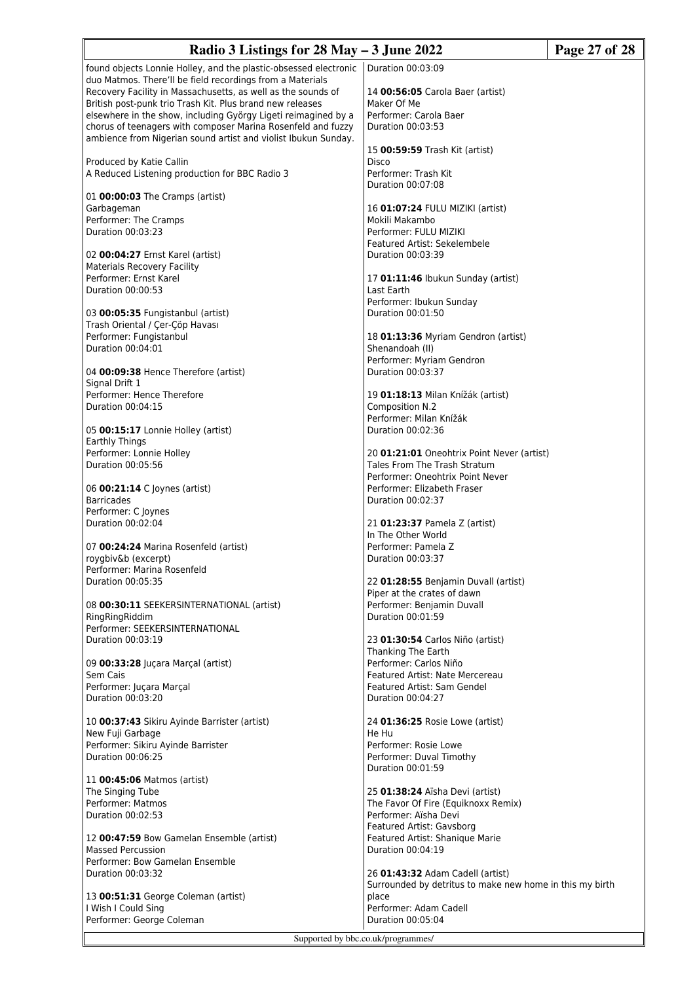| Radio 3 Listings for 28 May – 3 June 2022                                                                                 |                                                                 | Page 27 of 28 |
|---------------------------------------------------------------------------------------------------------------------------|-----------------------------------------------------------------|---------------|
| found objects Lonnie Holley, and the plastic-obsessed electronic                                                          | Duration 00:03:09                                               |               |
| duo Matmos. There'll be field recordings from a Materials<br>Recovery Facility in Massachusetts, as well as the sounds of | 14 00:56:05 Carola Baer (artist)                                |               |
| British post-punk trio Trash Kit. Plus brand new releases                                                                 | Maker Of Me                                                     |               |
| elsewhere in the show, including György Ligeti reimagined by a                                                            | Performer: Carola Baer                                          |               |
| chorus of teenagers with composer Marina Rosenfeld and fuzzy                                                              | Duration 00:03:53                                               |               |
| ambience from Nigerian sound artist and violist Ibukun Sunday.                                                            | 15 00:59:59 Trash Kit (artist)                                  |               |
| Produced by Katie Callin                                                                                                  | Disco                                                           |               |
| A Reduced Listening production for BBC Radio 3                                                                            | Performer: Trash Kit                                            |               |
| 01 00:00:03 The Cramps (artist)                                                                                           | Duration 00:07:08                                               |               |
| Garbageman                                                                                                                | 16 <b>01:07:24</b> FULU MIZIKI (artist)                         |               |
| Performer: The Cramps                                                                                                     | Mokili Makambo                                                  |               |
| Duration 00:03:23                                                                                                         | Performer: FULU MIZIKI<br>Featured Artist: Sekelembele          |               |
| 02 00:04:27 Ernst Karel (artist)                                                                                          | Duration 00:03:39                                               |               |
| <b>Materials Recovery Facility</b>                                                                                        |                                                                 |               |
| Performer: Ernst Karel<br>Duration 00:00:53                                                                               | 17 01:11:46 Ibukun Sunday (artist)<br>Last Earth                |               |
|                                                                                                                           | Performer: Ibukun Sunday                                        |               |
| 03 00:05:35 Fungistanbul (artist)                                                                                         | Duration 00:01:50                                               |               |
| Trash Oriental / Çer-Çöp Havası                                                                                           |                                                                 |               |
| Performer: Fungistanbul<br>Duration 00:04:01                                                                              | 18 01:13:36 Myriam Gendron (artist)<br>Shenandoah (II)          |               |
|                                                                                                                           | Performer: Myriam Gendron                                       |               |
| 04 00:09:38 Hence Therefore (artist)                                                                                      | Duration 00:03:37                                               |               |
| Signal Drift 1<br>Performer: Hence Therefore                                                                              | 19 01:18:13 Milan Knížák (artist)                               |               |
| Duration 00:04:15                                                                                                         | Composition N.2                                                 |               |
|                                                                                                                           | Performer: Milan Knížák                                         |               |
| 05 00:15:17 Lonnie Holley (artist)<br><b>Earthly Things</b>                                                               | Duration 00:02:36                                               |               |
| Performer: Lonnie Holley                                                                                                  | 20 01:21:01 Oneohtrix Point Never (artist)                      |               |
| Duration 00:05:56                                                                                                         | Tales From The Trash Stratum                                    |               |
| 06 00:21:14 C Joynes (artist)                                                                                             | Performer: Oneohtrix Point Never<br>Performer: Elizabeth Fraser |               |
| <b>Barricades</b>                                                                                                         | Duration 00:02:37                                               |               |
| Performer: C Joynes<br>Duration 00:02:04                                                                                  | 21 <b>01:23:37</b> Pamela Z (artist)                            |               |
|                                                                                                                           | In The Other World                                              |               |
| 07 00:24:24 Marina Rosenfeld (artist)                                                                                     | Performer: Pamela Z                                             |               |
| roygbiv&b (excerpt)<br>Performer: Marina Rosenfeld                                                                        | Duration 00:03:37                                               |               |
| Duration 00:05:35                                                                                                         | 22 01:28:55 Benjamin Duvall (artist)                            |               |
| 08 00:30:11 SEEKERSINTERNATIONAL (artist)                                                                                 | Piper at the crates of dawn                                     |               |
| RingRingRiddim                                                                                                            | Performer: Benjamin Duvall<br>Duration 00:01:59                 |               |
| Performer: SEEKERSINTERNATIONAL                                                                                           |                                                                 |               |
| Duration 00:03:19                                                                                                         | 23 01:30:54 Carlos Niño (artist)<br>Thanking The Earth          |               |
| 09 00:33:28 Juçara Marçal (artist)                                                                                        | Performer: Carlos Niño                                          |               |
| Sem Cais                                                                                                                  | Featured Artist: Nate Mercereau                                 |               |
| Performer: Juçara Marçal<br>Duration 00:03:20                                                                             | Featured Artist: Sam Gendel<br>Duration 00:04:27                |               |
|                                                                                                                           |                                                                 |               |
| 10 00:37:43 Sikiru Ayinde Barrister (artist)                                                                              | 24 01:36:25 Rosie Lowe (artist)                                 |               |
| New Fuji Garbage<br>Performer: Sikiru Ayinde Barrister                                                                    | He Hu<br>Performer: Rosie Lowe                                  |               |
| Duration 00:06:25                                                                                                         | Performer: Duval Timothy                                        |               |
| 11 00:45:06 Matmos (artist)                                                                                               | Duration 00:01:59                                               |               |
| The Singing Tube                                                                                                          | 25 01:38:24 Aïsha Devi (artist)                                 |               |
| Performer: Matmos                                                                                                         | The Favor Of Fire (Equiknoxx Remix)                             |               |
| Duration 00:02:53                                                                                                         | Performer: Aïsha Devi<br>Featured Artist: Gavsborg              |               |
| 12 00:47:59 Bow Gamelan Ensemble (artist)                                                                                 | Featured Artist: Shanique Marie                                 |               |
| <b>Massed Percussion</b>                                                                                                  | Duration 00:04:19                                               |               |
| Performer: Bow Gamelan Ensemble<br>Duration 00:03:32                                                                      | 26 01:43:32 Adam Cadell (artist)                                |               |
|                                                                                                                           | Surrounded by detritus to make new home in this my birth        |               |
| 13 00:51:31 George Coleman (artist)                                                                                       | place<br>Performer: Adam Cadell                                 |               |
| I Wish I Could Sing<br>Performer: George Coleman                                                                          | Duration 00:05:04                                               |               |
|                                                                                                                           | Supported by bbc.co.uk/programmes/                              |               |
|                                                                                                                           |                                                                 |               |
|                                                                                                                           |                                                                 |               |